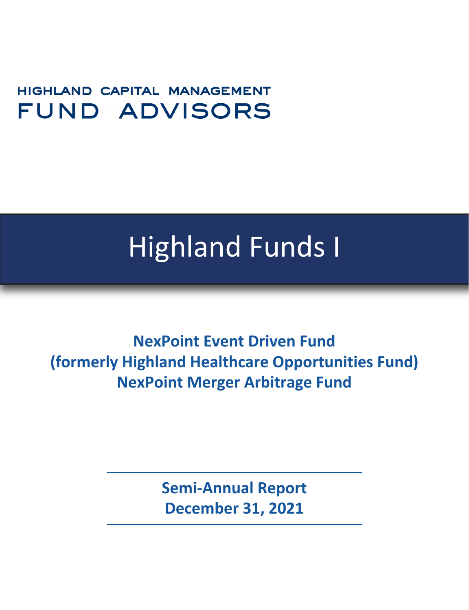**HIGHLAND CAPITAL MANAGEMENT FUND ADVISORS** 

# Highland Funds I

**NexPoint Event Driven Fund (formerly Highland Healthcare Opportunities Fund) NexPoint Merger Arbitrage Fund**

> **Semi-Annual Report December 31, 2021**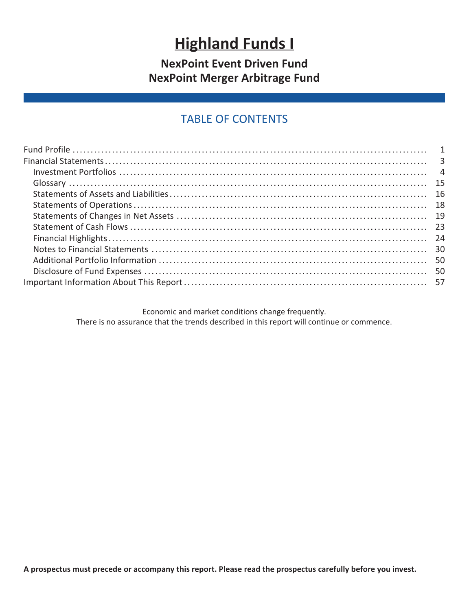# **Highland Funds I**

# **NexPoint Event Driven Fund NexPoint Merger Arbitrage Fund**

# TABLE OF CONTENTS

Economic and market conditions change frequently. There is no assurance that the trends described in this report will continue or commence.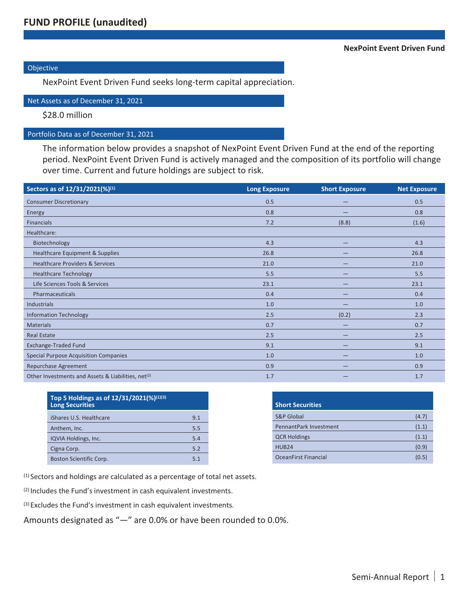#### <span id="page-2-0"></span>Objective

NexPoint Event Driven Fund seeks long-term capital appreciation.

#### Net Assets as of December 31, 2021

\$28.0 million

### Portfolio Data as of December 31, 2021

The information below provides a snapshot of NexPoint Event Driven Fund at the end of the reporting period. NexPoint Event Driven Fund is actively managed and the composition of its portfolio will change over time. Current and future holdings are subject to risk.

| Sectors as of 12/31/2021(%)(1)                                 | <b>Long Exposure</b> | <b>Short Exposure</b> | <b>Net Exposure</b> |
|----------------------------------------------------------------|----------------------|-----------------------|---------------------|
| <b>Consumer Discretionary</b>                                  | 0.5                  |                       | 0.5                 |
| Energy                                                         | 0.8                  |                       | 0.8                 |
| <b>Financials</b>                                              | 7.2                  | (8.8)                 | (1.6)               |
| Healthcare:                                                    |                      |                       |                     |
| Biotechnology                                                  | 4.3                  | _                     | 4.3                 |
| Healthcare Equipment & Supplies                                | 26.8                 |                       | 26.8                |
| <b>Healthcare Providers &amp; Services</b>                     | 21.0                 |                       | 21.0                |
| <b>Healthcare Technology</b>                                   | 5.5                  |                       | 5.5                 |
| Life Sciences Tools & Services                                 | 23.1                 |                       | 23.1                |
| Pharmaceuticals                                                | 0.4                  |                       | 0.4                 |
| <b>Industrials</b>                                             | 1.0                  |                       | 1.0                 |
| <b>Information Technology</b>                                  | 2.5                  | (0.2)                 | 2.3                 |
| <b>Materials</b>                                               | 0.7                  | –                     | 0.7                 |
| <b>Real Estate</b>                                             | 2.5                  |                       | 2.5                 |
| <b>Exchange-Traded Fund</b>                                    | 9.1                  |                       | 9.1                 |
| <b>Special Purpose Acquisition Companies</b>                   | 1.0                  |                       | 1.0                 |
| Repurchase Agreement                                           | 0.9                  |                       | 0.9                 |
| Other Investments and Assets & Liabilities, net <sup>(2)</sup> | 1.7                  |                       | 1.7                 |

| Top 5 Holdings as of 12/31/2021(%) <sup>(1)(3)</sup><br><b>Long Securities</b> |     |
|--------------------------------------------------------------------------------|-----|
| iShares U.S. Healthcare                                                        | 9.1 |
| Anthem, Inc.                                                                   | 5.5 |
| IQVIA Holdings, Inc.                                                           | 5.4 |
| Cigna Corp.                                                                    | 5.2 |
| Boston Scientific Corp.                                                        | 5.1 |

| <b>Short Securities</b>     |       |
|-----------------------------|-------|
| <b>S&amp;P Global</b>       | (4.7) |
| PennantPark Investment      | (1.1) |
| <b>QCR Holdings</b>         | (1.1) |
| HUB <sub>24</sub>           | (0.9) |
| <b>OceanFirst Financial</b> | (0.5) |

(1) Sectors and holdings are calculated as a percentage of total net assets.

(2) Includes the Fund's investment in cash equivalent investments.

(3) Excludes the Fund's investment in cash equivalent investments.

Amounts designated as "—" are 0.0% or have been rounded to 0.0%.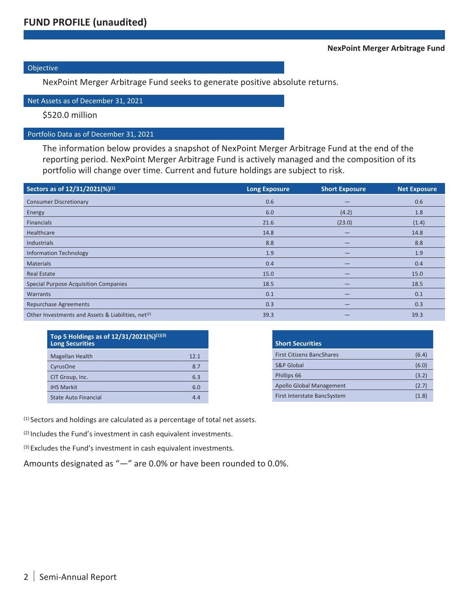**NexPoint Merger Arbitrage Fund**

#### Objective

NexPoint Merger Arbitrage Fund seeks to generate positive absolute returns.

#### Net Assets as of December 31, 2021

\$520.0 million

### Portfolio Data as of December 31, 2021

The information below provides a snapshot of NexPoint Merger Arbitrage Fund at the end of the reporting period. NexPoint Merger Arbitrage Fund is actively managed and the composition of its portfolio will change over time. Current and future holdings are subject to risk.

| Sectors as of 12/31/2021(%)(1)                                 | <b>Long Exposure</b> | <b>Short Exposure</b> | <b>Net Exposure</b> |
|----------------------------------------------------------------|----------------------|-----------------------|---------------------|
| <b>Consumer Discretionary</b>                                  | 0.6                  | –                     | 0.6                 |
| Energy                                                         | 6.0                  | (4.2)                 | 1.8                 |
| <b>Financials</b>                                              | 21.6                 | (23.0)                | (1.4)               |
| Healthcare                                                     | 14.8                 |                       | 14.8                |
| <b>Industrials</b>                                             | 8.8                  |                       | 8.8                 |
| <b>Information Technology</b>                                  | 1.9                  | –                     | 1.9                 |
| <b>Materials</b>                                               | 0.4                  | –                     | 0.4                 |
| <b>Real Estate</b>                                             | 15.0                 |                       | 15.0                |
| <b>Special Purpose Acquisition Companies</b>                   | 18.5                 | –                     | 18.5                |
| Warrants                                                       | 0.1                  |                       | 0.1                 |
| <b>Repurchase Agreements</b>                                   | 0.3                  |                       | 0.3                 |
| Other Investments and Assets & Liabilities, net <sup>(2)</sup> | 39.3                 |                       | 39.3                |

| Top 5 Holdings as of 12/31/2021(%)(1)(3)<br><b>Long Securities</b> |      |
|--------------------------------------------------------------------|------|
| Magellan Health                                                    | 12.1 |
| CyrusOne                                                           | 8.7  |
| CIT Group, Inc.                                                    | 6.3  |
| <b>IHS Markit</b>                                                  | 6.0  |
| State Auto Financial                                               |      |

| <b>Short Securities</b>          |       |
|----------------------------------|-------|
| <b>First Citizens BancShares</b> | (6.4) |
| S&P Global                       | (6.0) |
| Phillips 66                      | (3.2) |
| <b>Apollo Global Management</b>  | (2.7) |
| First Interstate BancSystem      | (1.8) |

(1) Sectors and holdings are calculated as a percentage of total net assets.

(2) Includes the Fund's investment in cash equivalent investments.

(3) Excludes the Fund's investment in cash equivalent investments.

Amounts designated as "—" are 0.0% or have been rounded to 0.0%.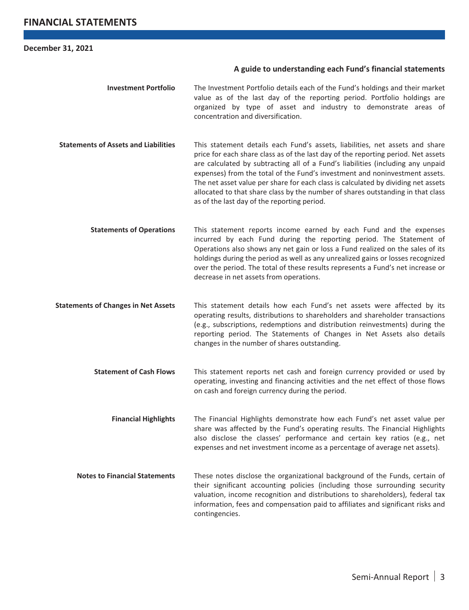# <span id="page-4-0"></span>**December 31, 2021**

# **A guide to understanding each Fund's financial statements**

| <b>Investment Portfolio</b>                 | The Investment Portfolio details each of the Fund's holdings and their market<br>value as of the last day of the reporting period. Portfolio holdings are<br>organized by type of asset and industry to demonstrate areas of<br>concentration and diversification.                                                                                                                                                                                                                                                                                         |
|---------------------------------------------|------------------------------------------------------------------------------------------------------------------------------------------------------------------------------------------------------------------------------------------------------------------------------------------------------------------------------------------------------------------------------------------------------------------------------------------------------------------------------------------------------------------------------------------------------------|
| <b>Statements of Assets and Liabilities</b> | This statement details each Fund's assets, liabilities, net assets and share<br>price for each share class as of the last day of the reporting period. Net assets<br>are calculated by subtracting all of a Fund's liabilities (including any unpaid<br>expenses) from the total of the Fund's investment and noninvestment assets.<br>The net asset value per share for each class is calculated by dividing net assets<br>allocated to that share class by the number of shares outstanding in that class<br>as of the last day of the reporting period. |
| <b>Statements of Operations</b>             | This statement reports income earned by each Fund and the expenses<br>incurred by each Fund during the reporting period. The Statement of<br>Operations also shows any net gain or loss a Fund realized on the sales of its<br>holdings during the period as well as any unrealized gains or losses recognized<br>over the period. The total of these results represents a Fund's net increase or<br>decrease in net assets from operations.                                                                                                               |
| <b>Statements of Changes in Net Assets</b>  | This statement details how each Fund's net assets were affected by its<br>operating results, distributions to shareholders and shareholder transactions<br>(e.g., subscriptions, redemptions and distribution reinvestments) during the<br>reporting period. The Statements of Changes in Net Assets also details<br>changes in the number of shares outstanding.                                                                                                                                                                                          |
| <b>Statement of Cash Flows</b>              | This statement reports net cash and foreign currency provided or used by<br>operating, investing and financing activities and the net effect of those flows<br>on cash and foreign currency during the period.                                                                                                                                                                                                                                                                                                                                             |
| <b>Financial Highlights</b>                 | The Financial Highlights demonstrate how each Fund's net asset value per<br>share was affected by the Fund's operating results. The Financial Highlights<br>also disclose the classes' performance and certain key ratios (e.g., net<br>expenses and net investment income as a percentage of average net assets).                                                                                                                                                                                                                                         |
| <b>Notes to Financial Statements</b>        | These notes disclose the organizational background of the Funds, certain of<br>their significant accounting policies (including those surrounding security<br>valuation, income recognition and distributions to shareholders), federal tax<br>information, fees and compensation paid to affiliates and significant risks and<br>contingencies.                                                                                                                                                                                                           |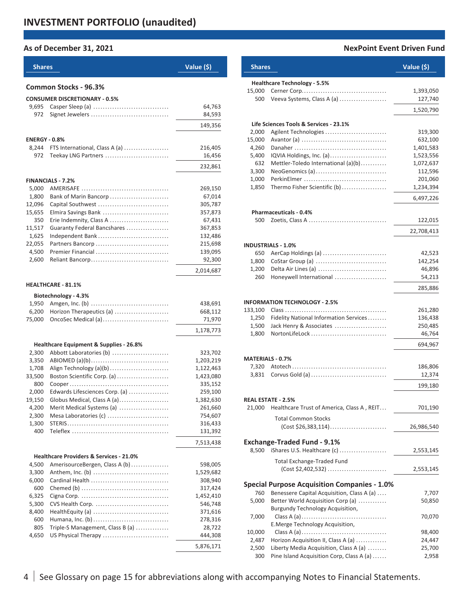| <b>Shares</b>        |                                                                    | Value (\$)           |
|----------------------|--------------------------------------------------------------------|----------------------|
|                      | Common Stocks - 96.3%                                              |                      |
|                      | <b>CONSUMER DISCRETIONARY - 0.5%</b>                               |                      |
| 9.695                | Casper Sleep (a)                                                   | 64,763               |
| 972                  | Signet Jewelers                                                    | 84,593               |
|                      |                                                                    | 149,356              |
| <b>ENERGY - 0.8%</b> |                                                                    |                      |
| 8,244                | FTS International, Class A (a)                                     | 216,405              |
| 972                  | Teekay LNG Partners                                                | 16,456               |
|                      |                                                                    | 232,861              |
|                      | <b>FINANCIALS - 7.2%</b>                                           |                      |
| 5,000                |                                                                    | 269,150              |
| 1,800                | Bank of Marin Bancorp                                              | 67,014               |
| 12,096               | Capital Southwest                                                  | 305,787              |
| 15,655               | Elmira Savings Bank                                                | 357,873              |
| 350                  | Erie Indemnity, Class A                                            | 67,431               |
| 11,517<br>1,625      | Guaranty Federal Bancshares<br>Independent Bank                    | 367,853<br>132,486   |
| 22,055               | Partners Bancorp                                                   | 215,698              |
| 4,500                | Premier Financial                                                  | 139,095              |
| 2,600                | Reliant Bancorp                                                    | 92,300               |
|                      |                                                                    | 2,014,687            |
|                      | <b>HEALTHCARE - 81.1%</b>                                          |                      |
|                      | Biotechnology - 4.3%                                               |                      |
| 1,950                |                                                                    | 438,691              |
| 6,200                | Horizon Therapeutics (a)                                           | 668,112              |
| 75,000               | OncoSec Medical (a)                                                | 71,970               |
|                      |                                                                    | 1,178,773            |
|                      |                                                                    |                      |
| 2,300                | Healthcare Equipment & Supplies - 26.8%<br>Abbott Laboratories (b) | 323,702              |
| 3,350                | ABIOMED (a)(b)                                                     | 1,203,219            |
| 1,708                | Align Technology (a)(b)                                            | 1,122,463            |
| 33,500               | Boston Scientific Corp. (a)                                        | 1,423,080            |
| 800                  |                                                                    | 335,152              |
| 2,000                | Edwards Lifesciences Corp. (a)                                     | 259,100              |
| 19,150               | Globus Medical, Class A (a)                                        | 1,382,630            |
| 4,200                | Merit Medical Systems (a)                                          | 261,660              |
| 2,300                | Mesa Laboratories (c)                                              | 754,607              |
| 1,300                |                                                                    | 316,433              |
| 400                  |                                                                    | 131,392              |
|                      |                                                                    | 7,513,438            |
|                      | Healthcare Providers & Services - 21.0%                            |                      |
| 4,500                | AmerisourceBergen, Class A (b)                                     | 598,005              |
| 3,300                |                                                                    | 1,529,682            |
| 6,000                | Cardinal Health                                                    | 308,940              |
| 600<br>6,325         |                                                                    | 317,424<br>1,452,410 |
| 5,300                | CVS Health Corp.                                                   | 546,748              |
| 8,400                | Health Equity (a)                                                  | 371,616              |
| 600                  |                                                                    | 278,316              |
| 805                  | Triple-S Management, Class B (a)                                   | 28,722               |
| 4,650                | US Physical Therapy                                                | 444,308              |
|                      |                                                                    | 5,876,171            |
|                      |                                                                    |                      |

# <span id="page-5-0"></span>As of December 31, 2021 **As of December 31, 2021 Nexpoint Event Driven Fund**

| <b>Shares</b> |                                                     | Value (\$) |  |  |
|---------------|-----------------------------------------------------|------------|--|--|
|               | <b>Healthcare Technology - 5.5%</b>                 |            |  |  |
| 15,000        |                                                     | 1,393,050  |  |  |
| 500           | Veeva Systems, Class A (a)                          | 127,740    |  |  |
|               |                                                     | 1,520,790  |  |  |
|               |                                                     |            |  |  |
|               | Life Sciences Tools & Services - 23.1%              |            |  |  |
| 2,000         | Agilent Technologies                                | 319,300    |  |  |
| 15,000        |                                                     | 632,100    |  |  |
| 4,260         |                                                     | 1,401,583  |  |  |
| 5,400         | IQVIA Holdings, Inc. (a)                            | 1,523,556  |  |  |
| 632           | Mettler-Toledo International (a)(b)                 | 1,072,637  |  |  |
| 3,300         | NeoGenomics (a)<br>PerkinElmer                      | 112,596    |  |  |
| 1,000         | Thermo Fisher Scientific (b)                        | 201,060    |  |  |
| 1,850         |                                                     | 1,234,394  |  |  |
|               |                                                     | 6,497,226  |  |  |
|               | <b>Pharmaceuticals - 0.4%</b>                       |            |  |  |
| 500           |                                                     | 122,015    |  |  |
|               |                                                     | 22,708,413 |  |  |
|               |                                                     |            |  |  |
|               | INDUSTRIALS - 1.0%                                  |            |  |  |
| 650           | AerCap Holdings (a)                                 | 42,523     |  |  |
| 1.800         | CoStar Group (a)                                    | 142,254    |  |  |
| 1,200         | Delta Air Lines (a)                                 | 46,896     |  |  |
| 260           | Honeywell International                             | 54,213     |  |  |
|               |                                                     | 285,886    |  |  |
|               | <b>INFORMATION TECHNOLOGY - 2.5%</b>                |            |  |  |
| 133,100       |                                                     | 261,280    |  |  |
| 1,250         | Fidelity National Information Services              | 136,438    |  |  |
| 1,500         | Jack Henry & Associates                             | 250,485    |  |  |
| 1,800         | NortonLifeLock                                      | 46,764     |  |  |
|               |                                                     | 694,967    |  |  |
|               |                                                     |            |  |  |
|               | <b>MATERIALS - 0.7%</b>                             |            |  |  |
| 7,320         |                                                     | 186,806    |  |  |
| 3.831         | Corvus Gold (a)                                     | 12,374     |  |  |
|               |                                                     | 199,180    |  |  |
|               | <b>REAL ESTATE - 2.5%</b>                           |            |  |  |
| 21,000        | Healthcare Trust of America, Class A, REIT          | 701,190    |  |  |
|               | <b>Total Common Stocks</b>                          |            |  |  |
|               | $(Cost $26,383,114)$                                | 26,986,540 |  |  |
|               |                                                     |            |  |  |
|               | <b>Exchange-Traded Fund - 9.1%</b>                  |            |  |  |
| 8,500         | iShares U.S. Healthcare (c)                         | 2,553,145  |  |  |
|               | <b>Total Exchange-Traded Fund</b>                   |            |  |  |
|               | $(Cost $2,402,532)$                                 | 2,553,145  |  |  |
|               | <b>Special Purpose Acquisition Companies - 1.0%</b> |            |  |  |
| 760           | Benessere Capital Acquisition, Class A (a)          | 7,707      |  |  |
| 5,000         | Better World Acquisition Corp (a)                   | 50,850     |  |  |
|               | <b>Burgundy Technology Acquisition,</b>             |            |  |  |
| 7,000         |                                                     | 70,070     |  |  |
|               | E.Merge Technology Acquisition,                     |            |  |  |
| 10,000        |                                                     | 98,400     |  |  |
| 2,487         | Horizon Acquisition II, Class A (a)                 | 24,447     |  |  |
| 2,500         | Liberty Media Acquisition, Class A (a)              | 25,700     |  |  |
| 300           | Pine Island Acquisition Corp, Class A (a)           | 2,958      |  |  |

4 See Glossary on page 15 for abbreviations along with accompanying Notes to Financial Statements.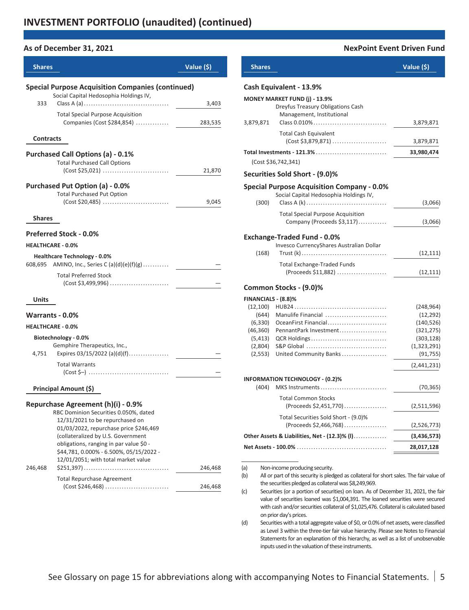| <b>Shares</b>                                                                                                                                                                                                                                                                                                               | Value (\$) |
|-----------------------------------------------------------------------------------------------------------------------------------------------------------------------------------------------------------------------------------------------------------------------------------------------------------------------------|------------|
| <b>Special Purpose Acquisition Companies (continued)</b><br>Social Capital Hedosophia Holdings IV,                                                                                                                                                                                                                          |            |
| 333                                                                                                                                                                                                                                                                                                                         | 3,403      |
| <b>Total Special Purpose Acquisition</b><br>Companies (Cost \$284,854)                                                                                                                                                                                                                                                      | 283,535    |
| Contracts                                                                                                                                                                                                                                                                                                                   |            |
| <b>Purchased Call Options (a) - 0.1%</b><br><b>Total Purchased Call Options</b><br>$(Cost $25,021)$                                                                                                                                                                                                                         | 21,870     |
| Purchased Put Option (a) - 0.0%<br><b>Total Purchased Put Option</b>                                                                                                                                                                                                                                                        |            |
| $(Cost $20,485)$                                                                                                                                                                                                                                                                                                            | 9,045      |
| <b>Shares</b>                                                                                                                                                                                                                                                                                                               |            |
| Preferred Stock - 0.0%                                                                                                                                                                                                                                                                                                      |            |
| <b>HEALTHCARE - 0.0%</b>                                                                                                                                                                                                                                                                                                    |            |
| <b>Healthcare Technology - 0.0%</b><br>AMINO, Inc., Series C (a)(d)(e)(f)(g)<br>608,695                                                                                                                                                                                                                                     |            |
| <b>Total Preferred Stock</b><br>$(Cost $3,499,996)$                                                                                                                                                                                                                                                                         |            |
| Units                                                                                                                                                                                                                                                                                                                       |            |
| Warrants - 0.0%                                                                                                                                                                                                                                                                                                             |            |
| <b>HEALTHCARE - 0.0%</b>                                                                                                                                                                                                                                                                                                    |            |
| Biotechnology - 0.0%<br>Gemphire Therapeutics, Inc.,<br>4,751<br>Expires $03/15/2022$ (a)(d)(f)                                                                                                                                                                                                                             |            |
| <b>Total Warrants</b>                                                                                                                                                                                                                                                                                                       |            |
| Principal Amount (\$)                                                                                                                                                                                                                                                                                                       |            |
| Repurchase Agreement (h)(i) - 0.9%<br>RBC Dominion Securities 0.050%, dated<br>12/31/2021 to be repurchased on<br>01/03/2022, repurchase price \$246,469<br>(collateralized by U.S. Government<br>obligations, ranging in par value \$0 -<br>\$44,781, 0.000% - 6.500%, 05/15/2022 -<br>12/01/2051; with total market value |            |
| 246,468                                                                                                                                                                                                                                                                                                                     | 246,468    |
| <b>Total Repurchase Agreement</b><br>$(Cost $246,468) \ldots \ldots \ldots \ldots \ldots \ldots$                                                                                                                                                                                                                            | 246,468    |

#### As of December 31, 2021 **As a struck and Separate Separate Security Assember 31, 2021 NexPoint Event Driven Fund**

| <b>Shares</b>       |                                                                                          | Value (\$)               |
|---------------------|------------------------------------------------------------------------------------------|--------------------------|
|                     | Cash Equivalent - 13.9%                                                                  |                          |
|                     | MONEY MARKET FUND (j) - 13.9%                                                            |                          |
|                     | Dreyfus Treasury Obligations Cash                                                        |                          |
|                     | Management, Institutional                                                                |                          |
| 3,879,871           | Class 0.010%                                                                             | 3,879,871                |
|                     | <b>Total Cash Equivalent</b>                                                             |                          |
|                     | $(Cost $3,879,871)$                                                                      | 3,879,871                |
|                     | Total Investments - 121.3%                                                               | 33,980,474               |
|                     | (Cost \$36,742,341)                                                                      |                          |
|                     | Securities Sold Short - (9.0)%                                                           |                          |
|                     |                                                                                          |                          |
|                     | <b>Special Purpose Acquisition Company - 0.0%</b>                                        |                          |
|                     | Social Capital Hedosophia Holdings IV,                                                   |                          |
| (300)               |                                                                                          | (3,066)                  |
|                     | <b>Total Special Purpose Acquisition</b>                                                 |                          |
|                     | Company (Proceeds $$3,117$ )                                                             | (3,066)                  |
|                     | <b>Exchange-Traded Fund - 0.0%</b>                                                       |                          |
|                     | Invesco CurrencyShares Australian Dollar                                                 |                          |
| (168)               |                                                                                          | (12, 111)                |
|                     |                                                                                          |                          |
|                     | <b>Total Exchange-Traded Funds</b><br>(Proceeds \$11,882)                                | (12, 111)                |
|                     |                                                                                          |                          |
|                     | Common Stocks - (9.0)%                                                                   |                          |
| FINANCIALS - (8.8)% |                                                                                          |                          |
| (12, 100)           |                                                                                          | (248, 964)               |
| (644)               | Manulife Financial                                                                       | (12, 292)                |
| (6, 330)            | OceanFirst Financial                                                                     | (140, 526)               |
| (46,360)            | PennantPark Investment                                                                   | (321, 275)               |
| (5, 413)            | QCR Holdings                                                                             | (303, 128)               |
| (2,804)<br>(2, 553) | S&P Global<br>United Community Banks                                                     | (1,323,291)<br>(91, 755) |
|                     |                                                                                          |                          |
|                     |                                                                                          | (2,441,231)              |
|                     | <b>INFORMATION TECHNOLOGY - (0.2)%</b>                                                   |                          |
| (404)               | MKS Instruments                                                                          | (70,365)                 |
|                     | <b>Total Common Stocks</b>                                                               |                          |
|                     | (Proceeds \$2,451,770)                                                                   | (2,511,596)              |
|                     | Total Securities Sold Short - (9.0)%                                                     |                          |
|                     | $(Proceeds $2,466,768)$                                                                  | (2,526,773)              |
|                     |                                                                                          |                          |
|                     | Other Assets & Liabilities, Net - (12.3)% (I)                                            | (3,436,573)              |
|                     |                                                                                          | 28,017,128               |
|                     |                                                                                          |                          |
| (a)                 | Non-income producing security.                                                           |                          |
| (b)                 | All or part of this security is pledged as collateral for short sales. The fair value of |                          |
|                     | the securities pledged as collateral was \$8,249,969.                                    |                          |

(c) Securities (or a portion of securities) on loan. As of December 31, 2021, the fair value of securities loaned was \$1,004,391. The loaned securities were secured with cash and/or securities collateral of \$1,025,476. Collateral is calculated based on prior day's prices.

(d) Securities with a total aggregate value of \$0, or 0.0% of net assets, were classified as Level 3 within the three-tier fair value hierarchy. Please see Notes to Financial Statements for an explanation of this hierarchy, as well as a list of unobservable inputs used in the valuation of these instruments.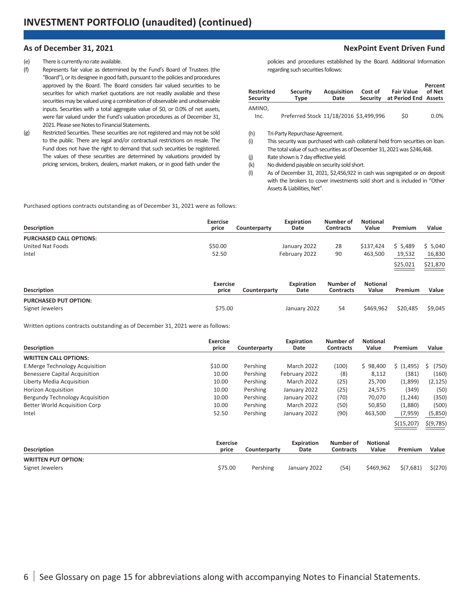- (e) There is currently no rate available.
- (f) Represents fair value as determined by the Fund's Board of Trustees (the "Board"), or its designee in good faith, pursuant to the policies and procedures approved by the Board. The Board considers fair valued securities to be securities for which market quotations are not readily available and these securities may be valued using a combination of observable and unobservable inputs. Securities with a total aggregate value of \$0, or 0.0% of net assets, were fair valued under the Fund's valuation procedures as of December 31, 2021. Please see Notes to Financial Statements.
- (g) Restricted Securities. These securities are not registered and may not be sold to the public. There are legal and/or contractual restrictions on resale. The Fund does not have the right to demand that such securities be registered. The values of these securities are determined by valuations provided by pricing services, brokers, dealers, market makers, or in good faith under the

As of December 31, 2021 **NextLeft Assets Assets Assets Assets Assets Assets Assets Assets Assets Assets Assets** 

policies and procedures established by the Board. Additional Information regarding such securities follows:

| <b>Restricted</b><br><b>Security</b> | <b>Security</b><br>Type                | <b>Acquisition</b><br>Date | Cost of<br><b>Security</b> | <b>Fair Value</b><br>at Period End Assets | Percent<br>of Net |
|--------------------------------------|----------------------------------------|----------------------------|----------------------------|-------------------------------------------|-------------------|
| AMINO,<br>Inc.                       | Preferred Stock 11/18/2016 \$3,499,996 |                            |                            | \$0                                       | 0.0%              |
|                                      |                                        |                            |                            |                                           |                   |

(h) Tri-Party Repurchase Agreement.

(i) This security was purchased with cash collateral held from securities on loan. The total value of such securities as of December 31, 2021 was \$246,468.

(j) Rate shown is 7 dayeffective yield.

(k) No dividend payable on security sold short.

(l) As of December 31, 2021, \$2,456,922 in cash was segregated or on deposit with the brokers to cover investments sold short and is included in "Other Assets & Liabilities, Net".

Purchased options contracts outstanding as of December 31, 2021 were as follows:

| <b>Description</b>             | <b>Exercise</b><br>price | Counterparty | <b>Expiration</b><br>Date | Number of<br><b>Contracts</b> | <b>Notional</b><br>Value | Premium  | Value    |
|--------------------------------|--------------------------|--------------|---------------------------|-------------------------------|--------------------------|----------|----------|
| <b>PURCHASED CALL OPTIONS:</b> |                          |              |                           |                               |                          |          |          |
| United Nat Foods               | \$50.00                  |              | January 2022              | 28                            | \$137,424                | \$5,489  | \$5,040  |
| Intel                          | 52.50                    |              | February 2022             | 90                            | 463,500                  | 19,532   | 16,830   |
|                                |                          |              |                           |                               |                          | \$25,021 | \$21,870 |
| <b>Description</b>             | <b>Exercise</b><br>price | Counterparty | <b>Expiration</b><br>Date | Number of<br><b>Contracts</b> | <b>Notional</b><br>Value | Premium  | Value    |
| <b>PURCHASED PUT OPTION:</b>   |                          |              |                           |                               |                          |          |          |

Signet Jewelers \$75.00 January 2022 54 \$469,962 \$20,485 \$9,045

Written options contracts outstanding as of December 31, 2021 were as follows:

| <b>Description</b>                   | <b>Exercise</b><br>price | Counterparty                                                                                                                                                                                                                           | <b>Expiration</b><br>Date        | Number of<br><b>Contracts</b>    | <b>Notional</b><br>Value          | Premium           | Value          |
|--------------------------------------|--------------------------|----------------------------------------------------------------------------------------------------------------------------------------------------------------------------------------------------------------------------------------|----------------------------------|----------------------------------|-----------------------------------|-------------------|----------------|
| <b>WRITTEN CALL OPTIONS:</b>         |                          |                                                                                                                                                                                                                                        |                                  |                                  |                                   |                   |                |
| E.Merge Technology Acquisition       | \$10.00                  | Pershing                                                                                                                                                                                                                               | March 2022                       | (100)                            | \$98,400                          | \$(1,495)         | (750)          |
| <b>Benessere Capital Acquisition</b> | 10.00                    | Pershing                                                                                                                                                                                                                               | February 2022                    | (8)                              | 8,112                             | (381)             | (160)          |
| Liberty Media Acquisition            | 10.00                    | Pershing                                                                                                                                                                                                                               | March 2022                       | (25)                             | 25,700                            | (1,899)           | (2, 125)       |
| <b>Horizon Acquisition</b>           | 10.00                    | Pershing                                                                                                                                                                                                                               | January 2022                     | (25)                             | 24,575                            | (349)             | (50)           |
| Bergundy Technology Acquisition      | 10.00                    | Pershing                                                                                                                                                                                                                               | January 2022                     | (70)                             | 70,070                            | (1, 244)          | (350)          |
| <b>Better World Acquisition Corp</b> | 10.00                    | Pershing                                                                                                                                                                                                                               | March 2022                       | (50)                             | 50.850                            | (1,880)           | (500)          |
| Intel                                | 52.50                    | Pershing                                                                                                                                                                                                                               | January 2022                     | (90)                             | 463,500                           | (7,959)           | (5,850)        |
|                                      |                          |                                                                                                                                                                                                                                        |                                  |                                  |                                   | \$(15,207)        | \$(9,785)      |
| <b>Desaulution</b>                   | <b>Exercise</b><br>$ -$  | $C_{\text{in}}$ . $\ldots$ is a second second second second second second second second second second second second second second second second second second second second second second second second second second second second se | <b>Expiration</b><br><b>Data</b> | Number of<br>$C$ and $A$ and $A$ | <b>Notional</b><br>$11 - 1.1 - 1$ | <b>Dungations</b> | $11 - 1.1 - 1$ |

| <b>Description</b>         | price   | Counterparty | Date         | Contracts | Value     | Premium   | Value   |
|----------------------------|---------|--------------|--------------|-----------|-----------|-----------|---------|
| <b>WRITTEN PUT OPTION:</b> |         |              |              |           |           |           |         |
| Signet Jewelers            | \$75.00 | Pershing     | January 2022 | (54)      | \$469.962 | \$(7,681) | \$(270) |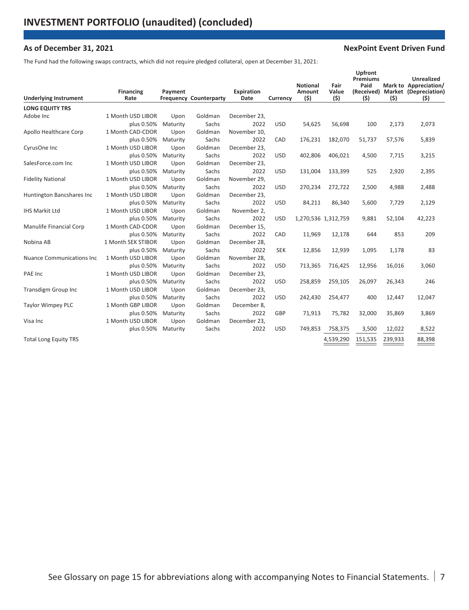### As of December 31, 2021 **As a struck of December 31, 2021 Nexpoint Event Driven Fund**

The Fund had the following swaps contracts, which did not require pledged collateral, open at December 31, 2021:

| <b>Underlying Instrument</b>      | <b>Financing</b><br>Rate | Payment  | <b>Frequency Counterparty</b> | <b>Expiration</b><br>Date | Currency   | <b>Notional</b><br>Amount<br>(\$) | Fair<br>Value<br>(5) | Upfront<br><b>Premiums</b><br>Paid<br>(5) | (5)     | <b>Unrealized</b><br>Mark to Appreciation/<br>(Received) Market (Depreciation)<br>(5) |
|-----------------------------------|--------------------------|----------|-------------------------------|---------------------------|------------|-----------------------------------|----------------------|-------------------------------------------|---------|---------------------------------------------------------------------------------------|
| <b>LONG EQUITY TRS</b>            |                          |          |                               |                           |            |                                   |                      |                                           |         |                                                                                       |
| Adobe Inc                         | 1 Month USD LIBOR        | Upon     | Goldman                       | December 23,              |            |                                   |                      |                                           |         |                                                                                       |
|                                   | plus 0.50%               | Maturity | Sachs                         | 2022                      | <b>USD</b> | 54,625                            | 56,698               | 100                                       | 2,173   | 2,073                                                                                 |
| Apollo Healthcare Corp            | 1 Month CAD-CDOR         | Upon     | Goldman                       | November 10,              |            |                                   |                      |                                           |         |                                                                                       |
|                                   | plus 0.50%               | Maturity | Sachs                         | 2022                      | CAD        | 176,231                           | 182,070              | 51,737                                    | 57,576  | 5,839                                                                                 |
| CyrusOne Inc                      | 1 Month USD LIBOR        | Upon     | Goldman                       | December 23,              |            |                                   |                      |                                           |         |                                                                                       |
|                                   | plus 0.50%               | Maturity | Sachs                         | 2022                      | <b>USD</b> | 402,806                           | 406,021              | 4,500                                     | 7,715   | 3,215                                                                                 |
| SalesForce.com Inc                | 1 Month USD LIBOR        | Upon     | Goldman                       | December 23,              |            |                                   |                      |                                           |         |                                                                                       |
|                                   | plus 0.50%               | Maturity | Sachs                         | 2022                      | <b>USD</b> | 131.004                           | 133,399              | 525                                       | 2,920   | 2,395                                                                                 |
| <b>Fidelity National</b>          | 1 Month USD LIBOR        | Upon     | Goldman                       | November 29,              |            |                                   |                      |                                           |         |                                                                                       |
|                                   | plus 0.50%               | Maturity | Sachs                         | 2022                      | <b>USD</b> | 270,234                           | 272,722              | 2,500                                     | 4,988   | 2,488                                                                                 |
| Huntington Bancshares Inc         | 1 Month USD LIBOR        | Upon     | Goldman                       | December 23,              |            |                                   |                      |                                           |         |                                                                                       |
|                                   | plus 0.50%               | Maturity | Sachs                         | 2022                      | <b>USD</b> | 84,211                            | 86,340               | 5,600                                     | 7,729   | 2,129                                                                                 |
| <b>IHS Markit Ltd</b>             | 1 Month USD LIBOR        | Upon     | Goldman                       | November 2,               |            |                                   |                      |                                           |         |                                                                                       |
|                                   | plus 0.50%               | Maturity | Sachs                         | 2022                      | <b>USD</b> |                                   | 1,270,536 1,312,759  | 9,881                                     | 52,104  | 42,223                                                                                |
| Manulife Financial Corp           | 1 Month CAD-CDOR         | Upon     | Goldman                       | December 15,              |            |                                   |                      |                                           |         |                                                                                       |
|                                   | plus 0.50%               | Maturity | Sachs                         | 2022                      | CAD        | 11,969                            | 12,178               | 644                                       | 853     | 209                                                                                   |
| Nobina AB                         | 1 Month SEK STIBOR       | Upon     | Goldman                       | December 28,              |            |                                   |                      |                                           |         |                                                                                       |
|                                   | plus 0.50%               | Maturity | Sachs                         | 2022                      | <b>SEK</b> | 12,856                            | 12.939               | 1,095                                     | 1,178   | 83                                                                                    |
| <b>Nuance Communications Inc.</b> | 1 Month USD LIBOR        | Upon     | Goldman                       | November 28.              |            |                                   |                      |                                           |         |                                                                                       |
|                                   | plus 0.50%               | Maturity | Sachs                         | 2022                      | <b>USD</b> | 713,365                           | 716,425              | 12,956                                    | 16,016  | 3,060                                                                                 |
| PAE Inc                           | 1 Month USD LIBOR        | Upon     | Goldman                       | December 23,              |            |                                   |                      |                                           |         |                                                                                       |
|                                   | plus 0.50%               | Maturity | Sachs                         | 2022                      | <b>USD</b> | 258,859                           | 259,105              | 26,097                                    | 26,343  | 246                                                                                   |
| <b>Transdigm Group Inc</b>        | 1 Month USD LIBOR        | Upon     | Goldman                       | December 23,              |            |                                   |                      |                                           |         |                                                                                       |
|                                   | plus 0.50%               | Maturity | Sachs                         | 2022                      | <b>USD</b> | 242,430                           | 254.477              | 400                                       | 12,447  | 12,047                                                                                |
| <b>Taylor Wimpey PLC</b>          | 1 Month GBP LIBOR        | Upon     | Goldman                       | December 8,               |            |                                   |                      |                                           |         |                                                                                       |
|                                   | plus 0.50%               | Maturity | Sachs                         | 2022                      | GBP        | 71,913                            | 75,782               | 32,000                                    | 35,869  | 3,869                                                                                 |
| Visa Inc                          | 1 Month USD LIBOR        | Upon     | Goldman                       | December 23,              |            |                                   |                      |                                           |         |                                                                                       |
|                                   | plus 0.50%               | Maturity | Sachs                         | 2022                      | <b>USD</b> | 749,853                           | 758,375              | 3,500                                     | 12,022  | 8,522                                                                                 |
| <b>Total Long Equity TRS</b>      |                          |          |                               |                           |            |                                   | 4,539,290            | 151,535                                   | 239,933 | 88,398                                                                                |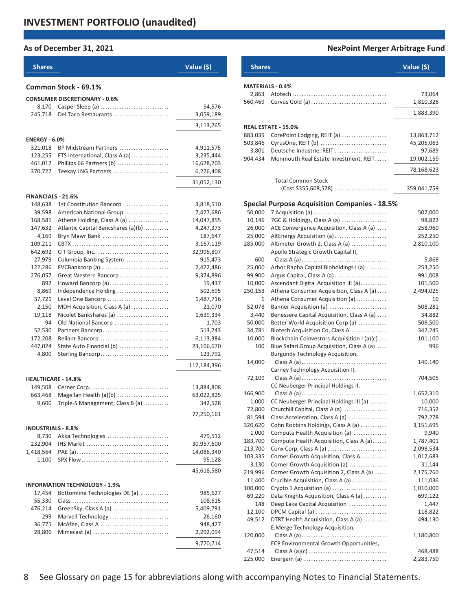| Shares                             |                                      | Value (\$)            |
|------------------------------------|--------------------------------------|-----------------------|
|                                    | Common Stock - 69.1%                 |                       |
|                                    | <b>CONSUMER DISCRETIONARY - 0.6%</b> |                       |
| 8,170                              | Casper Sleep (a)                     | 54,576                |
| 245,718                            | Del Taco Restaurants                 | 3,059,189             |
|                                    |                                      | 3,113,765             |
|                                    |                                      |                       |
| <b>ENERGY - 6.0%</b>               |                                      |                       |
| 321.018                            | BP Midstream Partners                | 4,911,575             |
| 123,255                            | FTS International, Class A (a)       | 3,235,444             |
| 461,012                            | Phillips 66 Partners (b)             | 16,628,703            |
| 370,727                            | Teekay LNG Partners                  | 6,276,408             |
|                                    |                                      | 31,052,130            |
| <b>FINANCIALS - 21.6%</b>          |                                      |                       |
| 148,638                            | 1st Constitution Bancorp             | 3,818,510             |
| 39,598                             | American National Group              | 7,477,686             |
| 168,581                            | Athene Holding, Class A (a)          | 14,047,855            |
| 147,632                            | Atlantic Capital Bancshares (a)(b)   | 4,247,373             |
| 4,169                              | Bryn Mawr Bank                       | 187,647               |
| 109,211                            |                                      | 3,167,119             |
| 642,692                            | CIT Group, Inc.                      | 32,995,807            |
| 27,979                             | Columbia Banking System              | 915,473               |
| 122,286                            | FVCBankcorp (a)                      | 2,422,486             |
| 276,057                            | Great Western Bancorp                | 9,374,896             |
| 892                                | Howard Bancorp (a)                   | 19,437                |
| 8,869                              | Independence Holding                 | 502,695               |
| 37,721                             | Level One Bancorp                    | 1,487,716             |
| 2,150                              | MDH Acquisition, Class A (a)         | 21,070                |
| 19,118                             | Nicolet Bankshares (a)               | 1,639,334             |
| 94                                 | Old National Bancorp                 | 1,703                 |
| 52,530                             | Partners Bancorp                     | 513,743               |
| 172,208                            | Reliant Bancorp                      | 6,113,384             |
| 447,024<br>4,800                   | State Auto Financial (b)             | 23,106,670<br>123,792 |
|                                    | Sterling Bancorp                     |                       |
|                                    |                                      | 112,184,396           |
| <b>HEALTHCARE - 14.8%</b>          |                                      |                       |
| 149,508                            | Cerner Corp                          | 13,884,808            |
| 663,468                            | Magellan Health (a)(b)               | 63,022,825            |
| 9.600                              | Triple-S Management, Class B (a)     | 342,528               |
|                                    |                                      | 77,250,161            |
|                                    |                                      |                       |
| <b>INDUSTRIALS - 8.8%</b><br>8,730 | Akka Technologies                    | 479,512               |
| 232,904                            |                                      | 30,957,600            |
| 1,418,564                          |                                      | 14,086,340            |
| 1,100                              |                                      | 95,128                |
|                                    |                                      | 45,618,580            |
|                                    |                                      |                       |
|                                    | <b>INFORMATION TECHNOLOGY - 1.9%</b> |                       |
| 17,454                             | Bottomline Technologies DE (a)       | 985,627               |
| 55,330                             |                                      | 108,615               |
| 476,214                            | GreenSky, Class A (a)                | 5,409,791             |
| 299                                | Marvell Technology                   | 26,160                |
| 36,775                             | McAfee, Class A                      | 948,427               |
| 28,806                             | Mimecast (a)                         | 2,292,094             |
|                                    |                                      | 9,770,714             |
|                                    |                                      |                       |

# As of December 31, 2021 **As of December 31, 2021 Nexpoint Merger Arbitrage Fund**

| <b>Shares</b>      |                                                                                       | Value (\$)           |
|--------------------|---------------------------------------------------------------------------------------|----------------------|
|                    | <b>MATERIALS - 0.4%</b>                                                               |                      |
| 2,863              |                                                                                       | 73,064               |
| 560,469            | Corvus Gold (a)                                                                       | 1,810,326            |
|                    |                                                                                       | 1,883,390            |
|                    |                                                                                       |                      |
|                    | REAL ESTATE - 15.0%                                                                   |                      |
| 883,039<br>503,846 | CorePoint Lodging, REIT (a)<br>CyrusOne, REIT (b)                                     | 13,863,712           |
| 3,801              | Deutsche Industrie, REIT                                                              | 45,205,063<br>97,689 |
| 904,434            | Monmouth Real Estate Investment, REIT                                                 |                      |
|                    |                                                                                       | 19,002,159           |
|                    |                                                                                       | 78,168,623           |
|                    | <b>Total Common Stock</b><br>(Cost \$355,608,578)                                     | 359,041,759          |
|                    |                                                                                       |                      |
|                    | <b>Special Purpose Acquisition Companies - 18.5%</b>                                  |                      |
| 50,000             | 7 Acquisition (a)                                                                     | 507,000              |
| 10,146             | 7GC & Holdings, Class A (a)                                                           | 98,822               |
| 26,000             | ACE Convergence Acquisition, Class A (a)                                              | 258,960              |
| 25,000             | AltEnergy Acquisition (a)                                                             | 252,250              |
| 285,000            | Altimeter Growth 2, Class A (a)                                                       | 2,810,100            |
| 600                | Apollo Strategic Growth Capital II,                                                   |                      |
|                    |                                                                                       | 5,868                |
| 25,000             | Arbor Rapha Capital Bioholdings I (a)                                                 | 253,250              |
| 99,900             | Argus Capital, Class A (a)                                                            | 991,008              |
| 10,000             | Ascendant Digital Acquisition III (a)                                                 | 101,500              |
| 250,153            | Athena Consumer Acquisition, Class A (a)                                              | 2,494,025            |
| 1                  | Athena Consumer Acquisition (a)                                                       | 10                   |
| 52,078             | Banner Acquisition (a)                                                                | 508,281              |
| 3,440              | Benessere Capital Acquisition, Class A (a)                                            | 34,882               |
| 50,000             | Better World Acquisition Corp (a)                                                     | 508,500              |
| 34,781             | Biotech Acquisition Co, Class A                                                       | 342,245              |
| 10,000             | Blockchain Coinvestors Acquisition I (a)(c)                                           | 101,100              |
| 100                | Blue Safari Group Acquisition, Class A (a)<br><b>Burgundy Technology Acquisition,</b> | 996                  |
| 14,000             |                                                                                       | 140,140              |
|                    | Carney Technology Acquisition II,                                                     |                      |
| 72,109             |                                                                                       | 704,505              |
|                    | CC Neuberger Principal Holdings II,                                                   |                      |
| 166,900            |                                                                                       | 1,652,310            |
| 1,000              | CC Neuberger Principal Holdings III (a)                                               | 10,000               |
| 72,800             | Churchill Capital, Class A (a)                                                        | 716,352              |
| 81,594             | Class Acceleration, Class A (a)                                                       | 792,278              |
| 320,620            | Cohn Robbins Holdings, Class A (a)                                                    | 3,151,695            |
| 1,000              | Compute Health Acquisition (a)                                                        | 9,940                |
| 183,700            | Compute Health Acquisition, Class A (a)                                               | 1,787,401            |
| 213,700            | Conx Corp, Class A (a)                                                                | 2,098,534            |
| 103,335            | Corner Growth Acquisition, Class A                                                    | 1,012,683            |
| 3,130              | Corner Growth Acquisition (a)                                                         | 31,144               |
| 219,996            | Corner Growth Acquisition 2, Class A (a)                                              | 2,175,760            |
| 11,400             | Crucible Acquisition, Class A (a)                                                     | 111,036              |
| 100,000            | Crypto 1 Acquisition (a)                                                              | 1,010,000            |
| 69,220             | Data Knights Acquisition, Class A (a)                                                 | 699,122              |
| 148                | Deep Lake Capital Acquisition                                                         | 1,447                |
| 12,100             | DPCM Capital (a)                                                                      | 118,822              |
| 49,512             | DTRT Health Acquisition, Class A (a)                                                  | 494,130              |
|                    | E.Merge Technology Acquisition,                                                       |                      |
| 120,000            |                                                                                       | 1,180,800            |
|                    | ECP Environmental Growth Opportunities,                                               |                      |
| 47,514             |                                                                                       | 468,488              |
| 225,000            |                                                                                       | 2,283,750            |

8 See Glossary on page 15 for abbreviations along with accompanying Notes to Financial Statements.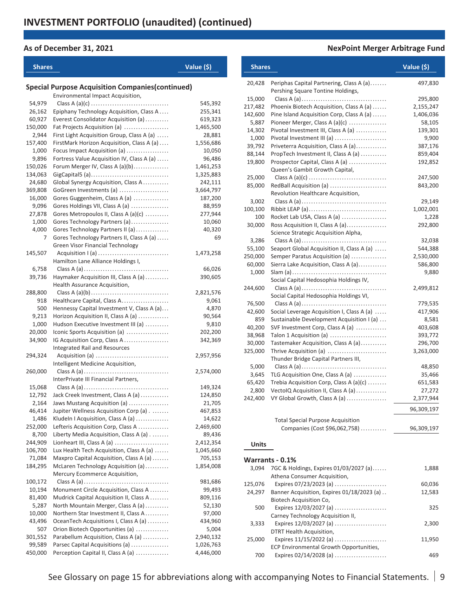# **Special Purpose Acquisition Companies(continued)**

**Shares Value (\$)**

|         | Environmental Impact Acquisition,          |           |
|---------|--------------------------------------------|-----------|
| 54,979  |                                            | 545,392   |
| 26,162  | Epiphany Technology Acquisition, Class A   | 255,341   |
| 60,927  | Everest Consolidator Acquisition (a)       | 619,323   |
| 150,000 | Fat Projects Acquisition (a)               | 1,465,500 |
| 2,944   | First Light Acquisition Group, Class A (a) | 28,881    |
| 157,400 |                                            | 1,556,686 |
|         | FirstMark Horizon Acquisition, Class A (a) |           |
| 1,000   | Focus Impact Acquisition (a)               | 10,050    |
| 9,896   | Fortress Value Acquisition IV, Class A (a) | 96,486    |
| 150,026 | Forum Merger IV, Class A (a)(b)            | 1,461,253 |
| 134,063 | GigCapital5 (a)                            | 1,325,883 |
| 24,680  | Global Synergy Acquisition, Class A        | 242,111   |
| 369,808 | GoGreen Investments (a)                    | 3,664,797 |
| 16,000  | Gores Guggenheim, Class A (a)              | 187,200   |
| 9,096   | Gores Holdings VII, Class A (a)            | 88,959    |
| 27,878  | Gores Metropoulos II, Class A (a)(c)       | 277,944   |
| 1,000   | Gores Technology Partners (a)              | 10,060    |
| 4,000   | Gores Technology Partners II (a)           | 40,320    |
| 7       | Gores Technology Partners II, Class A (a)  | 69        |
|         | <b>Green Visor Financial Technology</b>    |           |
| 145,507 | Acquisition I (a)                          |           |
|         |                                            | 1,473,258 |
|         | Hamilton Lane Alliance Holdings I,         |           |
| 6,758   |                                            | 66,026    |
| 39,736  | Haymaker Acquisition III, Class A (a)      | 390,605   |
|         | Health Assurance Acquisition,              |           |
| 288,800 |                                            | 2,821,576 |
| 918     | Healthcare Capital, Class A                | 9,061     |
| 500     | Hennessy Capital Investment V, Class A (a) | 4,870     |
| 9,213   | Horizon Acquisition II, Class A (a)        | 90,564    |
| 1,000   | Hudson Executive Investment III (a)        | 9,810     |
| 20,000  | Iconic Sports Acquisition (a)              | 202,200   |
| 34,900  | IG Acquisition Corp, Class A               | 342,369   |
|         | <b>Integrated Rail and Resources</b>       |           |
| 294,324 | Acquisition (a)                            | 2,957,956 |
|         | Intelligent Medicine Acquisition,          |           |
| 260,000 |                                            | 2,574,000 |
|         | InterPrivate III Financial Partners,       |           |
|         |                                            |           |
| 15,068  |                                            | 149,324   |
| 12,792  | Jack Creek Investment, Class A (a)         | 124,850   |
| 2,164   | Jaws Mustang Acquisition (a)               | 21,705    |
| 46,414  | Jupiter Wellness Acquisition Corp (a)      | 467,853   |
| 1,486   | Kludeln I Acquisition, Class A (a)         | 14,622    |
| 252,000 | Lefteris Acquisition Corp, Class A         | 2,469,600 |
| 8,700   | Liberty Media Acquisition, Class A (a)     | 89,436    |
| 244,909 | Lionheart III, Class A (a)                 | 2,412,354 |
| 106,700 | Lux Health Tech Acquisition, Class A (a)   | 1,045,660 |
| 71,084  | Maxpro Capital Acquisition, Class A (a)    | 705,153   |
| 184,295 | McLaren Technology Acquisition (a)         | 1,854,008 |
|         | Mercury Ecommerce Acquisition,             |           |
| 100,172 |                                            | 981,686   |
| 10,194  | Monument Circle Acquisition, Class A       | 99,493    |
| 81,400  |                                            |           |
|         | Mudrick Capital Acquisition II, Class A    | 809,116   |
| 5,287   | North Mountain Merger, Class A (a)         | 52,130    |
| 10,000  | Northern Star Investment II, Class A       | 97,000    |
| 43,496  | OceanTech Acquisitions I, Class A (a)      | 434,960   |
| 507     | Orion Biotech Opportunities (a)            | 5,004     |
| 301,552 | Parabellum Acquisition, Class A (a)        | 2,940,132 |
| 99,589  | Parsec Capital Acquisitions (a)            | 1,026,763 |
| 450,000 | Perception Capital II, Class A (a)         | 4,446,000 |
|         |                                            |           |

### As of December 31, 2021 **As of December 31, 2021 Nexponsity Nexponsity Nexponsity Nexponsity Nexponsity Nexponsity Nexponsity Nexponsity Nexponsity Nexponsity Nexponsity Nexponsity Nexponsity Ne**

| <b>Shares</b> |                                                                               | Value (\$) |
|---------------|-------------------------------------------------------------------------------|------------|
| 20,428        | Periphas Capital Partnering, Class A (a)<br>Pershing Square Tontine Holdings, | 497,830    |
| 15,000        |                                                                               | 295,800    |
| 217,482       | Phoenix Biotech Acquisition, Class A (a)                                      | 2,155,247  |
| 142,600       | Pine Island Acquisition Corp, Class A (a)                                     | 1,406,036  |
| 5,887         | Pioneer Merger, Class A (a)(c)                                                | 58,105     |
| 14,302        | Pivotal Investment III, Class A (a)                                           | 139,301    |
| 1,000         | Pivotal Investment III (a)                                                    | 9,900      |
| 39,792        | Priveterra Acquisition, Class A (a)                                           | 387,176    |
| 88,144        | PropTech Investment II, Class A (a)                                           | 859,404    |
| 19,800        | Prospector Capital, Class A (a)<br>Queen's Gambit Growth Capital,             | 192,852    |
| 25,000        |                                                                               | 247,500    |
| 85,000        | RedBall Acquisition (a)<br>Revolution Healthcare Acquisition,                 | 843,200    |
| 3,002         |                                                                               | 29,149     |
| 100,100       | Ribbit LEAP (a)                                                               | 1,002,001  |
| 100           | Rocket Lab USA, Class A (a)                                                   | 1,228      |
| 30,000        | Ross Acquisition II, Class A (a)<br>Science Strategic Acquisition Alpha,      | 292,800    |
| 3,286         |                                                                               | 32,038     |
| 55,100        | Seaport Global Acquisition II, Class A (a)                                    | 544,388    |
| 250,000       | Semper Paratus Acquisition (a)                                                | 2,530,000  |
| 60,000        | Sierra Lake Acquisition, Class A (a)                                          | 586,800    |
| 1,000         | Social Capital Hedosophia Holdings IV,                                        | 9,880      |
| 244,600       | Social Capital Hedosophia Holdings VI,                                        | 2,499,812  |
| 76,500        |                                                                               | 779,535    |
| 42,600        | Social Leverage Acquisition I, Class A (a)                                    | 417,906    |
| 859           | Sustainable Development Acquisition I (a)                                     | 8,581      |
| 40,200        | SVF Investment Corp, Class A (a)                                              | 403,608    |
| 38,968        | Talon 1 Acquisition (a)                                                       | 393,772    |
| 30,000        | Tastemaker Acquisition, Class A (a)                                           | 296,700    |
| 325,000       | Thrive Acquisition (a)<br>Thunder Bridge Capital Partners III,                | 3,263,000  |
| 5,000         |                                                                               | 48,850     |
| 3,645         | TLG Acquisition One, Class A (a)                                              | 35,466     |
| 65,420        | Trebia Acquisition Corp, Class A (a)(c)                                       | 651,583    |
| 2,800         | VectolQ Acquisition II, Class A (a)                                           | 27,272     |
| 242,400       | VY Global Growth, Class A (a)                                                 | 2,377,944  |
|               |                                                                               | 96,309,197 |
|               | <b>Total Special Purpose Acquisition</b><br>Companies (Cost \$96,062,758)     | 96,309,197 |

#### **Units**

#### **Warrants - 0.1%**

| 3.094   | 7GC & Holdings, Expires 01/03/2027 (a)<br>Athena Consumer Acquisition, | 1.888  |
|---------|------------------------------------------------------------------------|--------|
| 125,076 | Expires 07/23/2023 (a)                                                 | 60.036 |
| 24,297  | Banner Acquisition, Expires 01/18/2023 (a)                             | 12,583 |
|         | Biotech Acquisition Co,                                                |        |
| 500     | Expires 12/03/2027 (a)                                                 | 325    |
|         | Carney Technology Acquisition II,                                      |        |
| 3.333   | Expires 12/03/2027 (a)                                                 | 2.300  |
|         | DTRT Health Acquisition,                                               |        |
| 25.000  | Expires 11/15/2022 (a)                                                 | 11,950 |
|         | <b>ECP Environmental Growth Opportunities,</b>                         |        |
| 700     | Expires 02/14/2028 (a)                                                 | 469    |

See Glossary on page 15 for abbreviations along with accompanying Notes to Financial Statements. 9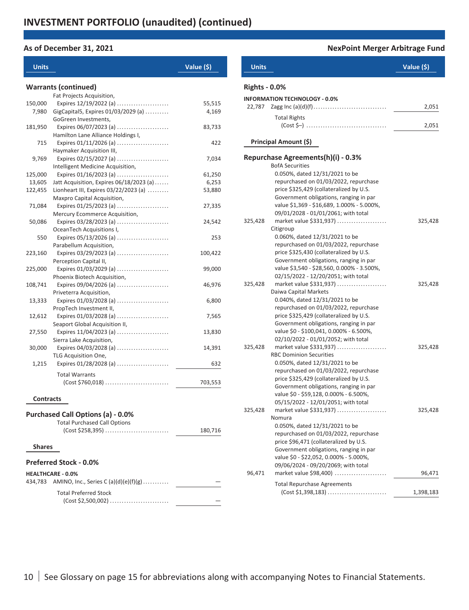| <b>Units</b> |                                          | Value (\$) |
|--------------|------------------------------------------|------------|
|              | <b>Warrants (continued)</b>              |            |
|              | Fat Projects Acquisition,                |            |
| 150,000      | Expires 12/19/2022 (a)                   | 55,515     |
| 7,980        | GigCapital5, Expires 01/03/2029 (a)      | 4,169      |
|              | GoGreen Investments,                     |            |
| 181,950      | Expires 06/07/2023 (a)                   | 83,733     |
|              | Hamilton Lane Alliance Holdings I,       |            |
| 715          | Expires 01/11/2026 (a)                   | 422        |
|              | Haymaker Acquisition III,                |            |
| 9,769        | Expires 02/15/2027 (a)                   | 7,034      |
|              | Intelligent Medicine Acquisition,        |            |
| 125,000      | Expires 01/16/2023 (a)                   | 61,250     |
| 13,605       | Jatt Acquisition, Expires 06/18/2023 (a) | 6,253      |
| 122,455      | Lionheart III, Expires 03/22/2023 (a)    | 53,880     |
|              | Maxpro Capital Acquisition,              |            |
| 71,084       | Expires 01/25/2023 (a)                   | 27,335     |
|              | Mercury Ecommerce Acquisition,           |            |
| 50,086       | Expires 03/28/2023 (a)                   | 24,542     |
|              | OceanTech Acquisitions I,                |            |
| 550          | Expires 05/13/2026 (a)                   | 253        |
|              | Parabellum Acquisition,                  |            |
| 223,160      | Expires 03/29/2023 (a)                   | 100,422    |
|              | Perception Capital II,                   |            |
| 225,000      | Expires 01/03/2029 (a)                   | 99,000     |
|              | Phoenix Biotech Acquisition,             |            |
| 108,741      | Expires 09/04/2026 (a)                   | 46,976     |
|              | Priveterra Acquisition,                  |            |
| 13,333       | Expires 01/03/2028 (a)                   | 6,800      |
|              | PropTech Investment II,                  |            |
| 12,612       | Expires 01/03/2028 (a)                   | 7,565      |
|              | Seaport Global Acquisition II,           |            |
| 27,550       | Expires 11/04/2023 (a)                   | 13,830     |
|              | Sierra Lake Acquisition,                 |            |
| 30,000       | Expires 04/03/2028 (a)                   | 14,391     |
|              | TLG Acquisition One,                     |            |
| 1,215        | Expires 01/28/2028 (a)                   | 632        |
|              | <b>Total Warrants</b>                    |            |
|              |                                          | 703,553    |
|              |                                          |            |

#### **Contracts**

#### **Purchased Call Options (a) - 0.0%**

| <b>Total Purchased Call Options</b> |         |
|-------------------------------------|---------|
| $(Cost $258,395)$                   | 180.716 |

#### **Shares**

### **Preferred Stock - 0.0%**

| <b>HEALTHCARE - 0.0%</b>                           |  |
|----------------------------------------------------|--|
| 434,783 AMINO, Inc., Series C (a)(d)(e)(f)(g)      |  |
| <b>Total Preferred Stock</b><br>(Cost \$2,500,002) |  |

### As of December 31, 2021 **As of December 31, 2021 Nexponsity Nexponsity Nexponsity Nexponsity Nexponsity Nexponsity Nexponsity Nexponsity Nexponsity Nexponsity Nexponsity Nexponsity Nexponsity Ne**

| <b>Units</b>         |                                                                                      | Value (\$) |
|----------------------|--------------------------------------------------------------------------------------|------------|
| <b>Rights - 0.0%</b> |                                                                                      |            |
|                      |                                                                                      |            |
| 22,787               | <b>INFORMATION TECHNOLOGY - 0.0%</b><br>Zagg Inc (a)(d)(f)                           | 2,051      |
|                      |                                                                                      |            |
|                      | <b>Total Rights</b>                                                                  |            |
|                      |                                                                                      | 2,051      |
|                      | Principal Amount (\$)                                                                |            |
|                      | Repurchase Agreements(h)(i) - 0.3%                                                   |            |
|                      | <b>BofA Securities</b>                                                               |            |
|                      | 0.050%, dated 12/31/2021 to be                                                       |            |
|                      | repurchased on 01/03/2022, repurchase                                                |            |
|                      | price \$325,429 (collateralized by U.S.                                              |            |
|                      | Government obligations, ranging in par<br>value \$1,369 - \$16,689, 1.000% - 5.000%, |            |
|                      | 09/01/2028 - 01/01/2061; with total                                                  |            |
| 325,428              | market value \$331,937)                                                              | 325,428    |
|                      | Citigroup                                                                            |            |
|                      | 0.060%, dated 12/31/2021 to be                                                       |            |
|                      | repurchased on 01/03/2022, repurchase                                                |            |
|                      | price \$325,430 (collateralized by U.S.                                              |            |
|                      | Government obligations, ranging in par                                               |            |
|                      | value \$3,540 - \$28,560, 0.000% - 3.500%,<br>02/15/2022 - 12/20/2051; with total    |            |
| 325,428              | market value \$331,937)                                                              | 325,428    |
|                      | Daiwa Capital Markets                                                                |            |
|                      | 0.040%, dated 12/31/2021 to be                                                       |            |
|                      | repurchased on 01/03/2022, repurchase                                                |            |
|                      | price \$325,429 (collateralized by U.S.                                              |            |
|                      | Government obligations, ranging in par                                               |            |
|                      | value \$0 - \$100,041, 0.000% - 6.500%,                                              |            |
| 325,428              | 02/10/2022 - 01/01/2052; with total<br>market value \$331,937)                       | 325,428    |
|                      | <b>RBC Dominion Securities</b>                                                       |            |
|                      | 0.050%, dated 12/31/2021 to be                                                       |            |
|                      | repurchased on 01/03/2022, repurchase                                                |            |
|                      | price \$325,429 (collateralized by U.S.                                              |            |
|                      | Government obligations, ranging in par                                               |            |
|                      | value \$0 - \$59,128, 0.000% - 6.500%,                                               |            |
|                      | 05/15/2022 - 12/01/2051; with total                                                  |            |
| 325,428              | market value \$331,937)                                                              | 325,428    |
|                      | Nomura<br>0.050%, dated 12/31/2021 to be                                             |            |
|                      | repurchased on 01/03/2022, repurchase                                                |            |
|                      | price \$96,471 (collateralized by U.S.                                               |            |
|                      | Government obligations, ranging in par                                               |            |
|                      | value \$0 - \$22,052, 0.000% - 5.000%,                                               |            |
|                      | 09/06/2024 - 09/20/2069; with total                                                  |            |
| 96,471               | market value \$98,400)                                                               | 96,471     |
|                      | <b>Total Repurchase Agreements</b>                                                   |            |
|                      | $(Cost $1,398,183)$                                                                  | 1,398,183  |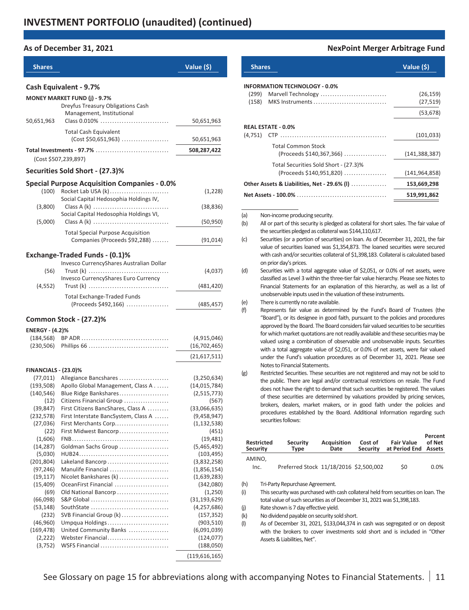| <b>Shares</b>               |                                                                     | Value (\$)                      |
|-----------------------------|---------------------------------------------------------------------|---------------------------------|
|                             | <b>Cash Equivalent - 9.7%</b>                                       |                                 |
|                             | <b>MONEY MARKET FUND (j) - 9.7%</b>                                 |                                 |
|                             | Dreyfus Treasury Obligations Cash                                   |                                 |
|                             | Management, Institutional                                           |                                 |
| 50,651,963                  | Class 0.010%                                                        | 50,651,963                      |
|                             | <b>Total Cash Equivalent</b>                                        |                                 |
|                             | $(Cost $50,651,963)$                                                | 50,651,963                      |
|                             |                                                                     | 508,287,422                     |
|                             | (Cost \$507,239,897)                                                |                                 |
|                             | Securities Sold Short - (27.3)%                                     |                                 |
|                             | <b>Special Purpose Acquisition Companies - 0.0%</b>                 |                                 |
| (100)                       | Rocket Lab USA (k)                                                  | (1,228)                         |
|                             | Social Capital Hedosophia Holdings IV,                              |                                 |
| (3,800)                     | Class A (k)                                                         | (38, 836)                       |
|                             | Social Capital Hedosophia Holdings VI,                              |                                 |
| (5,000)                     | Class A (k)                                                         | (50, 950)                       |
|                             | <b>Total Special Purpose Acquisition</b>                            |                                 |
|                             | Companies (Proceeds \$92,288)                                       | (91, 014)                       |
|                             | Exchange-Traded Funds - (0.1)%                                      |                                 |
|                             | Invesco CurrencyShares Australian Dollar                            |                                 |
| (56)                        |                                                                     | (4,037)                         |
|                             | <b>Invesco CurrencyShares Euro Currency</b>                         |                                 |
| (4, 552)                    |                                                                     | (481, 420)                      |
|                             | <b>Total Exchange-Traded Funds</b>                                  |                                 |
|                             | (Proceeds \$492,166)                                                | (485,457)                       |
|                             | Common Stock - (27.2)%                                              |                                 |
| <b>ENERGY - (4.2)%</b>      |                                                                     |                                 |
| (184, 568)                  |                                                                     | (4,915,046)                     |
| (230, 506)                  |                                                                     | (16, 702, 465)                  |
|                             |                                                                     | (21,617,511)                    |
|                             |                                                                     |                                 |
| <b>FINANCIALS - (23.0)%</b> |                                                                     |                                 |
| (193, 508)                  | (77,011) Allegiance Bancshares<br>Apollo Global Management, Class A | (3, 250, 634)<br>(14, 015, 784) |
| (140,546)                   | Blue Ridge Bankshares                                               | (2,515,773)                     |
| (12)                        | Citizens Financial Group                                            | (567)                           |
| (39, 847)                   | First Citizens BancShares, Class A                                  | (33,066,635)                    |
| (232, 578)                  | First Interstate BancSystem, Class A                                | (9,458,947)                     |
| (27, 036)                   | First Merchants Corp                                                | (1, 132, 538)                   |
| (22)                        | First Midwest Bancorp                                               | (451)                           |
| (1,606)<br>(14, 287)        | Goldman Sachs Group                                                 | (19, 481)<br>(5,465,492)        |
| (5,030)                     |                                                                     | (103, 495)                      |
| (201, 804)                  | Lakeland Bancorp                                                    | (3,832,258)                     |
| (97, 246)                   | Manulife Financial                                                  | (1,856,154)                     |
| (19, 117)                   | Nicolet Bankshares (k)                                              | (1,639,283)                     |
| (15, 409)                   | OceanFirst Financial                                                | (342,080)                       |
| (69)                        | Old National Bancorp                                                | (1,250)                         |
| (66,098)<br>(53, 148)       | S&P Global<br>SouthState                                            | (31, 193, 629)<br>(4, 257, 686) |
| (232)                       | SVB Financial Group (k)                                             | (157, 352)                      |
| (46,960)                    | Umpqua Holdings                                                     | (903, 510)                      |
| (169, 478)                  | United Community Banks                                              | (6,091,039)                     |
| (2, 222)                    | Webster Financial                                                   | (124, 077)                      |
| (3, 752)                    | WSFS Financial                                                      | (188,050)                       |
|                             |                                                                     | (119,616,165)                   |

#### As of December 31, 2021 **NextLeft Arbitrage Fund** NextLeft Arbitrage Fund

| <b>Shares</b>  |                                                                   | Value (\$)             |
|----------------|-------------------------------------------------------------------|------------------------|
|                | <b>INFORMATION TECHNOLOGY - 0.0%</b>                              |                        |
| (299)<br>(158) | Marvell Technology                                                | (26, 159)<br>(27, 519) |
|                |                                                                   | (53, 678)              |
|                | <b>REAL ESTATE - 0.0%</b>                                         |                        |
|                |                                                                   | (101, 033)             |
|                | <b>Total Common Stock</b><br>(Proceeds \$140,367,366)             | (141, 388, 387)        |
|                | Total Securities Sold Short - (27.3)%<br>(Proceeds \$140,951,820) | (141, 964, 858)        |
|                | Other Assets & Liabilities, Net - 29.6% (I)                       | 153,669,298            |
|                |                                                                   | 519,991,862            |
|                |                                                                   |                        |

(a) Non-income producing security.

- (b) All or part of this security is pledged as collateral for short sales. The fair value of the securities pledged as collateral was \$144,110,617.
- (c) Securities (or a portion of securities) on loan. As of December 31, 2021, the fair value of securities loaned was \$1,354,873. The loaned securities were secured with cash and/or securities collateral of \$1,398,183. Collateral is calculated based on prior day's prices.
- (d) Securities with a total aggregate value of \$2,051, or 0.0% of net assets, were classified as Level 3 within the three-tier fair value hierarchy. Please see Notes to Financial Statements for an explanation of this hierarchy, as well as a list of unobservable inputs used in the valuation of these instruments.
- (e) There is currently no rate available.
- (f) Represents fair value as determined by the Fund's Board of Trustees (the "Board"), or its designee in good faith, pursuant to the policies and procedures approved by the Board. The Board considers fair valued securities to be securities for which market quotations are not readily available and these securities may be valued using a combination of observable and unobservable inputs. Securities with a total aggregate value of \$2,051, or 0.0% of net assets, were fair valued under the Fund's valuation procedures as of December 31, 2021. Please see Notes to Financial Statements.
- (g) Restricted Securities. These securities are not registered and may not be sold to the public. There are legal and/or contractual restrictions on resale. The Fund does not have the right to demand that such securities be registered. The values of these securities are determined by valuations provided by pricing services, brokers, dealers, market makers, or in good faith under the policies and procedures established by the Board. Additional Information regarding such securities follows:

| <b>Restricted</b> | <b>Security</b>                        | <b>Acquisition</b> | Cost of         | <b>Fair Value</b>    | Percent |
|-------------------|----------------------------------------|--------------------|-----------------|----------------------|---------|
| <b>Security</b>   | <b>Type</b>                            | Date               | <b>Security</b> | at Period End Assets | of Net  |
| AMINO.<br>Inc.    | Preferred Stock 11/18/2016 \$2,500,002 |                    |                 | \$0                  | 0.0%    |

(h) Tri-Party Repurchase Agreement.

(i) This security was purchased with cash collateral held from securities on loan. The total value of such securities as of December 31, 2021 was \$1,398,183.

(j) Rate shown is 7 dayeffective yield.

(k) No dividend payable on security sold short.

(l) As of December 31, 2021, \$133,044,374 in cash was segregated or on deposit with the brokers to cover investments sold short and is included in "Other Assets & Liabilities, Net".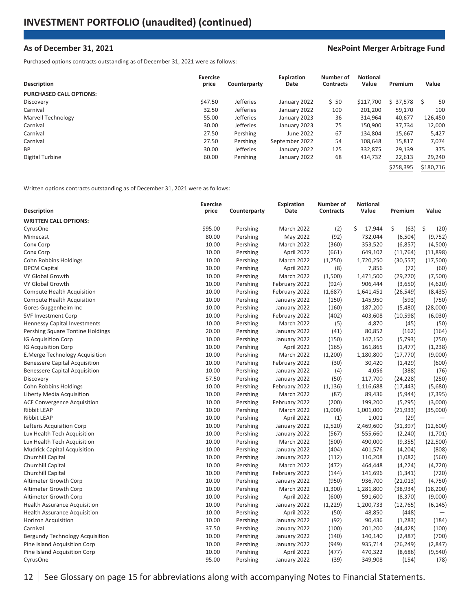### As of December 31, 2021 **As of December 31, 2021 Nexponsity Nexponsity Nexponsity Nexponsity Nexponsity Nexponsity Nexponsity Nexponsity Nexponsity Nexponsity Nexponsity Nexponsity Nexponsity Ne**

Purchased options contracts outstanding as of December 31, 2021 were as follows:

| <b>Description</b>             | <b>Exercise</b><br>price | Counterparty     | <b>Expiration</b><br>Date | Number of<br><b>Contracts</b> | <b>Notional</b><br>Value | Premium   | Value     |
|--------------------------------|--------------------------|------------------|---------------------------|-------------------------------|--------------------------|-----------|-----------|
| <b>PURCHASED CALL OPTIONS:</b> |                          |                  |                           |                               |                          |           |           |
| Discovery                      | \$47.50                  | <b>Jefferies</b> | January 2022              | \$50                          | \$117,700                | \$37,578  | 50<br>-S  |
| Carnival                       | 32.50                    | <b>Jefferies</b> | January 2022              | 100                           | 201.200                  | 59.170    | 100       |
| Marvell Technology             | 55.00                    | Jefferies        | January 2023              | 36                            | 314,964                  | 40,677    | 126,450   |
| Carnival                       | 30.00                    | <b>Jefferies</b> | January 2023              | 75                            | 150,900                  | 37,734    | 12,000    |
| Carnival                       | 27.50                    | Pershing         | June 2022                 | 67                            | 134.804                  | 15,667    | 5,427     |
| Carnival                       | 27.50                    | Pershing         | September 2022            | 54                            | 108.648                  | 15,817    | 7,074     |
| <b>BP</b>                      | 30.00                    | Jefferies        | January 2022              | 125                           | 332.875                  | 29,139    | 375       |
| Digital Turbine                | 60.00                    | Pershing         | January 2022              | 68                            | 414,732                  | 22,613    | 29,240    |
|                                |                          |                  |                           |                               |                          | \$258,395 | \$180,716 |

Written options contracts outstanding as of December 31, 2021 were as follows:

| <b>Description</b>                   | <b>Exercise</b><br>price | Counterparty | <b>Expiration</b><br>Date | Number of<br><b>Contracts</b> | <b>Notional</b><br>Value | Premium    | Value      |
|--------------------------------------|--------------------------|--------------|---------------------------|-------------------------------|--------------------------|------------|------------|
| <b>WRITTEN CALL OPTIONS:</b>         |                          |              |                           |                               |                          |            |            |
| CyrusOne                             | \$95.00                  | Pershing     | <b>March 2022</b>         | (2)                           | \$<br>17,944             | \$<br>(63) | \$<br>(20) |
| Mimecast                             | 80.00                    | Pershing     | May 2022                  | (92)                          | 732,044                  | (6,504)    | (9, 752)   |
| Conx Corp                            | 10.00                    | Pershing     | <b>March 2022</b>         | (360)                         | 353,520                  | (6, 857)   | (4,500)    |
| Conx Corp                            | 10.00                    | Pershing     | April 2022                | (661)                         | 649,102                  | (11, 764)  | (11,898)   |
| <b>Cohn Robbins Holdings</b>         | 10.00                    | Pershing     | March 2022                | (1,750)                       | 1,720,250                | (30, 557)  | (17,500)   |
| <b>DPCM Capital</b>                  | 10.00                    | Pershing     | April 2022                | (8)                           | 7,856                    | (72)       | (60)       |
| VY Global Growth                     | 10.00                    | Pershing     | <b>March 2022</b>         | (1,500)                       | 1,471,500                | (29, 270)  | (7,500)    |
| VY Global Growth                     | 10.00                    | Pershing     | February 2022             | (924)                         | 906,444                  | (3,650)    | (4,620)    |
| <b>Compute Health Acquisition</b>    | 10.00                    | Pershing     | February 2022             | (1,687)                       | 1,641,451                | (26, 549)  | (8, 435)   |
| Compute Health Acquisition           | 10.00                    | Pershing     | January 2022              | (150)                         | 145,950                  | (593)      | (750)      |
| Gores Guggenheim Inc                 | 10.00                    | Pershing     | January 2022              | (160)                         | 187,200                  | (5,480)    | (28,000)   |
| <b>SVF Investment Corp</b>           | 10.00                    | Pershing     | February 2022             | (402)                         | 403,608                  | (10, 598)  | (6,030)    |
| <b>Hennessy Capital Investments</b>  | 10.00                    | Pershing     | <b>March 2022</b>         | (5)                           | 4,870                    | (45)       | (50)       |
| Pershing Square Tontine Holdings     | 20.00                    | Pershing     | January 2022              | (41)                          | 80,852                   | (162)      | (164)      |
| IG Acquisition Corp                  | 10.00                    | Pershing     | January 2022              | (150)                         | 147,150                  | (5, 793)   | (750)      |
| <b>IG Acquisition Corp</b>           | 10.00                    | Pershing     | April 2022                | (165)                         | 161,865                  | (1, 477)   | (1,238)    |
| E.Merge Technology Acquisition       | 10.00                    | Pershing     | March 2022                | (1,200)                       | 1,180,800                | (17, 770)  | (9,000)    |
| <b>Benessere Capital Acquisition</b> | 10.00                    | Pershing     | February 2022             | (30)                          | 30,420                   | (1,429)    | (600)      |
| <b>Benessere Capital Acquisition</b> | 10.00                    | Pershing     | January 2022              | (4)                           | 4,056                    | (388)      | (76)       |
| Discovery                            | 57.50                    | Pershing     | January 2022              | (50)                          | 117,700                  | (24, 228)  | (250)      |
| <b>Cohn Robbins Holdings</b>         | 10.00                    | Pershing     | February 2022             | (1, 136)                      | 1,116,688                | (17, 443)  | (5,680)    |
| Liberty Media Acquisition            | 10.00                    | Pershing     | <b>March 2022</b>         | (87)                          | 89,436                   | (5,944)    | (7, 395)   |
| <b>ACE Convergence Acquisition</b>   | 10.00                    | Pershing     | February 2022             | (200)                         | 199,200                  | (5,295)    | (3,000)    |
| Ribbit LEAP                          | 10.00                    | Pershing     | <b>March 2022</b>         | (1,000)                       | 1,001,000                | (21, 933)  | (35,000)   |
| Ribbit LEAP                          | 10.00                    | Pershing     | April 2022                | (1)                           | 1,001                    | (29)       |            |
| Lefteris Acquisition Corp            | 10.00                    | Pershing     | January 2022              | (2,520)                       | 2,469,600                | (31, 397)  | (12,600)   |
| Lux Health Tech Acquisition          | 10.00                    | Pershing     | January 2022              | (567)                         | 555,660                  | (2, 240)   | (1,701)    |
| Lux Health Tech Acquisition          | 10.00                    | Pershing     | March 2022                | (500)                         | 490,000                  | (9, 355)   | (22, 500)  |
| <b>Mudrick Capital Acquisition</b>   | 10.00                    | Pershing     | January 2022              | (404)                         | 401,576                  | (4, 204)   | (808)      |
| Churchill Capital                    | 10.00                    | Pershing     | January 2022              | (112)                         | 110,208                  | (1,082)    | (560)      |
| Churchill Capital                    | 10.00                    | Pershing     | March 2022                | (472)                         | 464,448                  | (4, 224)   | (4, 720)   |
| Churchill Capital                    | 10.00                    | Pershing     | February 2022             | (144)                         | 141,696                  | (1, 341)   | (720)      |
| Altimeter Growth Corp                | 10.00                    | Pershing     | January 2022              | (950)                         | 936,700                  | (21, 013)  | (4,750)    |
| Altimeter Growth Corp                | 10.00                    | Pershing     | March 2022                | (1,300)                       | 1,281,800                | (38, 934)  | (18, 200)  |
| Altimeter Growth Corp                | 10.00                    | Pershing     | April 2022                | (600)                         | 591,600                  | (8,370)    | (9,000)    |
| <b>Health Assurance Acquisition</b>  | 10.00                    | Pershing     | January 2022              | (1,229)                       | 1,200,733                | (12, 765)  | (6, 145)   |
| <b>Health Assurance Acquisition</b>  | 10.00                    | Pershing     | April 2022                | (50)                          | 48,850                   | (448)      |            |
| <b>Horizon Acquisition</b>           | 10.00                    | Pershing     | January 2022              | (92)                          | 90,436                   | (1, 283)   | (184)      |
| Carnival                             | 37.50                    | Pershing     | January 2022              | (100)                         | 201,200                  | (44, 428)  | (100)      |
| Bergundy Technology Acquisition      | 10.00                    | Pershing     | January 2022              | (140)                         | 140,140                  | (2,487)    | (700)      |
| Pine Island Acquisition Corp         | 10.00                    | Pershing     | January 2022              | (949)                         | 935,714                  | (26, 249)  | (2, 847)   |
| Pine Island Acquisition Corp         | 10.00                    | Pershing     | April 2022                | (477)                         | 470,322                  | (8,686)    | (9,540)    |
| CyrusOne                             | 95.00                    | Pershing     | January 2022              | (39)                          | 349,908                  | (154)      | (78)       |
|                                      |                          |              |                           |                               |                          |            |            |

12 See Glossary on page 15 for abbreviations along with accompanying Notes to Financial Statements.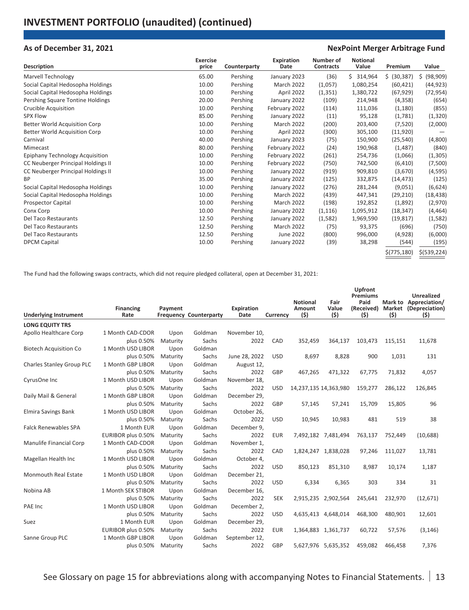# As of December 31, 2021 **As of December 31, 2021 Nexpoint Merger Arbitrage Fund**

| <b>Description</b>                     | <b>Exercise</b><br>price | Counterparty | <b>Expiration</b><br>Date | Number of<br><b>Contracts</b> | <b>Notional</b><br>Value | Premium      | Value        |
|----------------------------------------|--------------------------|--------------|---------------------------|-------------------------------|--------------------------|--------------|--------------|
| Marvell Technology                     | 65.00                    | Pershing     | January 2023              | (36)                          | \$314,964                | \$ (30, 387) | \$ (98,909)  |
| Social Capital Hedosopha Holdings      | 10.00                    | Pershing     | <b>March 2022</b>         | (1,057)                       | 1,080,254                | (60, 421)    | (44, 923)    |
| Social Capital Hedosopha Holdings      | 10.00                    | Pershing     | April 2022                | (1, 351)                      | 1,380,722                | (67, 929)    | (72, 954)    |
| Pershing Square Tontine Holdings       | 20.00                    | Pershing     | January 2022              | (109)                         | 214,948                  | (4, 358)     | (654)        |
| Crucible Acquisition                   | 10.00                    | Pershing     | February 2022             | (114)                         | 111,036                  | (1, 180)     | (855)        |
| <b>SPX Flow</b>                        | 85.00                    | Pershing     | January 2022              | (11)                          | 95,128                   | (1,781)      | (1, 320)     |
| <b>Better World Acquisition Corp</b>   | 10.00                    | Pershing     | <b>March 2022</b>         | (200)                         | 203,400                  | (7,520)      | (2,000)      |
| <b>Better World Acquisition Corp</b>   | 10.00                    | Pershing     | April 2022                | (300)                         | 305,100                  | (11,920)     |              |
| Carnival                               | 40.00                    | Pershing     | January 2023              | (75)                          | 150,900                  | (25, 540)    | (4,800)      |
| Mimecast                               | 80.00                    | Pershing     | February 2022             | (24)                          | 190,968                  | (1,487)      | (840)        |
| <b>Epiphany Technology Acquisition</b> | 10.00                    | Pershing     | February 2022             | (261)                         | 254,736                  | (1,066)      | (1,305)      |
| CC Neuberger Principal Holdings II     | 10.00                    | Pershing     | February 2022             | (750)                         | 742,500                  | (6, 410)     | (7,500)      |
| CC Neuberger Principal Holdings II     | 10.00                    | Pershing     | January 2022              | (919)                         | 909,810                  | (3,670)      | (4, 595)     |
| <b>BP</b>                              | 35.00                    | Pershing     | January 2022              | (125)                         | 332,875                  | (14, 473)    | (125)        |
| Social Capital Hedosopha Holdings      | 10.00                    | Pershing     | January 2022              | (276)                         | 281,244                  | (9,051)      | (6,624)      |
| Social Capital Hedosopha Holdings      | 10.00                    | Pershing     | <b>March 2022</b>         | (439)                         | 447,341                  | (29, 210)    | (18, 438)    |
| <b>Prospector Capital</b>              | 10.00                    | Pershing     | <b>March 2022</b>         | (198)                         | 192,852                  | (1,892)      | (2,970)      |
| Conx Corp                              | 10.00                    | Pershing     | January 2022              | (1, 116)                      | 1,095,912                | (18, 347)    | (4, 464)     |
| Del Taco Restaurants                   | 12.50                    | Pershing     | January 2022              | (1,582)                       | 1,969,590                | (19, 817)    | (1,582)      |
| <b>Del Taco Restaurants</b>            | 12.50                    | Pershing     | <b>March 2022</b>         | (75)                          | 93,375                   | (696)        | (750)        |
| <b>Del Taco Restaurants</b>            | 12.50                    | Pershing     | June 2022                 | (800)                         | 996,000                  | (4,928)      | (6,000)      |
| <b>DPCM Capital</b>                    | 10.00                    | Pershing     | January 2022              | (39)                          | 38,298                   | (544)        | (195)        |
|                                        |                          |              |                           |                               |                          | \$(775, 180) | \$(539, 224) |

The Fund had the following swaps contracts, which did not require pledged collateral, open at December 31, 2021:

| <b>Underlying Instrument</b>  | <b>Financing</b><br>Rate | Payment  | <b>Frequency Counterparty</b> | <b>Expiration</b><br>Date | Currency   | <b>Notional</b><br>Amount<br>(\$) | Fair<br>Value<br>(\$) | Upfront<br><b>Premiums</b><br>Paid<br>(Received)<br>(5) | (\$)    | <b>Unrealized</b><br>Mark to Appreciation/<br>Market (Depreciation)<br>(\$) |
|-------------------------------|--------------------------|----------|-------------------------------|---------------------------|------------|-----------------------------------|-----------------------|---------------------------------------------------------|---------|-----------------------------------------------------------------------------|
| <b>LONG EQUITY TRS</b>        |                          |          |                               |                           |            |                                   |                       |                                                         |         |                                                                             |
| Apollo Healthcare Corp        | 1 Month CAD-CDOR         | Upon     | Goldman                       | November 10,              |            |                                   |                       |                                                         |         |                                                                             |
|                               | plus 0.50%               | Maturity | Sachs                         | 2022                      | CAD        | 352,459                           | 364,137               | 103,473                                                 | 115,151 | 11,678                                                                      |
| <b>Biotech Acquisition Co</b> | 1 Month USD LIBOR        | Upon     | Goldman                       |                           |            |                                   |                       |                                                         |         |                                                                             |
|                               | plus 0.50%               | Maturity | Sachs                         | June 28, 2022             | <b>USD</b> | 8,697                             | 8,828                 | 900                                                     | 1,031   | 131                                                                         |
| Charles Stanley Group PLC     | 1 Month GBP LIBOR        | Upon     | Goldman                       | August 12,                |            |                                   |                       |                                                         |         |                                                                             |
|                               | plus 0.50%               | Maturity | Sachs                         | 2022                      | GBP        | 467,265                           | 471,322               | 67,775                                                  | 71,832  | 4,057                                                                       |
| CyrusOne Inc                  | 1 Month USD LIBOR        | Upon     | Goldman                       | November 18,              |            |                                   |                       |                                                         |         |                                                                             |
|                               | plus 0.50%               | Maturity | Sachs                         | 2022                      | <b>USD</b> | 14,237,135 14,363,980             |                       | 159,277                                                 | 286,122 | 126,845                                                                     |
| Daily Mail & General          | 1 Month GBP LIBOR        | Upon     | Goldman                       | December 29,              |            |                                   |                       |                                                         |         |                                                                             |
|                               | plus 0.50%               | Maturity | Sachs                         | 2022                      | GBP        | 57,145                            | 57,241                | 15,709                                                  | 15,805  | 96                                                                          |
| Elmira Savings Bank           | 1 Month USD LIBOR        | Upon     | Goldman                       | October 26,               |            |                                   |                       |                                                         |         |                                                                             |
|                               | plus 0.50%               | Maturity | Sachs                         | 2022                      | <b>USD</b> | 10,945                            | 10,983                | 481                                                     | 519     | 38                                                                          |
| <b>Falck Renewables SPA</b>   | 1 Month EUR              | Upon     | Goldman                       | December 9,               |            |                                   |                       |                                                         |         |                                                                             |
|                               | EURIBOR plus 0.50%       | Maturity | Sachs                         | 2022                      | <b>EUR</b> |                                   | 7,492,182 7,481,494   | 763,137                                                 | 752,449 | (10, 688)                                                                   |
| Manulife Financial Corp       | 1 Month CAD-CDOR         | Upon     | Goldman                       | November 1,               |            |                                   |                       |                                                         |         |                                                                             |
|                               | plus 0.50%               | Maturity | Sachs                         | 2022                      | CAD        |                                   | 1,824,247 1,838,028   | 97,246                                                  | 111,027 | 13,781                                                                      |
| Magellan Health Inc           | 1 Month USD LIBOR        | Upon     | Goldman                       | October 4,                |            |                                   |                       |                                                         |         |                                                                             |
|                               | plus 0.50%               | Maturity | Sachs                         | 2022                      | <b>USD</b> | 850,123                           | 851,310               | 8,987                                                   | 10,174  | 1,187                                                                       |
| <b>Monmouth Real Estate</b>   | 1 Month USD LIBOR        | Upon     | Goldman                       | December 21,              |            |                                   |                       |                                                         |         |                                                                             |
|                               | plus 0.50%               | Maturity | Sachs                         | 2022                      | <b>USD</b> | 6,334                             | 6,365                 | 303                                                     | 334     | 31                                                                          |
| Nobina AB                     | 1 Month SEK STIBOR       | Upon     | Goldman                       | December 16,              |            |                                   |                       |                                                         |         |                                                                             |
|                               | plus 0.50%               | Maturity | Sachs                         | 2022                      | <b>SEK</b> |                                   | 2,915,235 2,902,564   | 245,641                                                 | 232,970 | (12, 671)                                                                   |
| PAE Inc                       | 1 Month USD LIBOR        | Upon     | Goldman                       | December 2,               |            |                                   |                       |                                                         |         |                                                                             |
|                               | plus 0.50%               | Maturity | Sachs                         | 2022                      | <b>USD</b> |                                   | 4,635,413 4,648,014   | 468,300                                                 | 480.901 | 12,601                                                                      |
| Suez                          | 1 Month EUR              | Upon     | Goldman                       | December 29,              |            |                                   |                       |                                                         |         |                                                                             |
|                               | EURIBOR plus 0.50%       | Maturity | Sachs                         | 2022                      | <b>EUR</b> |                                   | 1,364,883 1,361,737   | 60,722                                                  | 57,576  | (3, 146)                                                                    |
| Sanne Group PLC               | 1 Month GBP LIBOR        | Upon     | Goldman                       | September 12,             |            |                                   |                       |                                                         |         |                                                                             |
|                               | plus 0.50%               | Maturity | Sachs                         | 2022                      | GBP        |                                   | 5,627,976 5,635,352   | 459,082                                                 | 466,458 | 7,376                                                                       |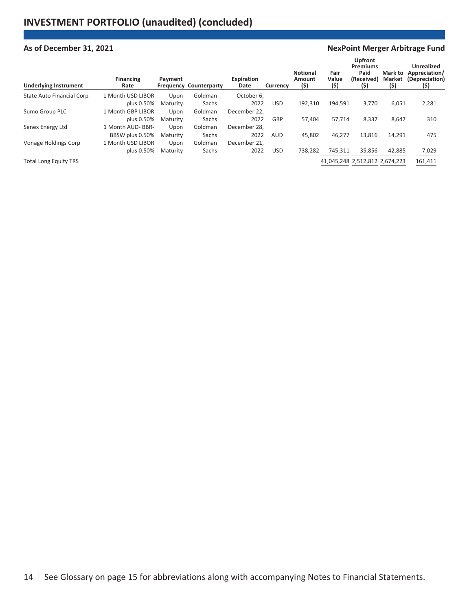# As of December 31, 2021 **As of December 31, 2021 Nexpoint Merger Arbitrage Fund**

| Underlying Instrument        | <b>Financing</b><br>Rate | Payment  | <b>Frequency Counterparty</b> | <b>Expiration</b><br>Date | Currency   | <b>Notional</b><br>Amount<br>(\$) | Fair<br>Value<br>(\$) | <b>Upfront</b><br><b>Premiums</b><br>Paid<br>(Received)<br>(\$) | Mark to<br>Market<br>(\$) | Unrealized<br>Appreciation/<br>(Depreciation)<br>(\$) |
|------------------------------|--------------------------|----------|-------------------------------|---------------------------|------------|-----------------------------------|-----------------------|-----------------------------------------------------------------|---------------------------|-------------------------------------------------------|
| State Auto Financial Corp    | 1 Month USD LIBOR        | Upon     | Goldman                       | October 6.                |            |                                   |                       |                                                                 |                           |                                                       |
|                              | plus 0.50%               | Maturity | Sachs                         | 2022                      | <b>USD</b> | 192.310                           | 194.591               | 3,770                                                           | 6,051                     | 2,281                                                 |
| Sumo Group PLC               | L Month GBP LIBOR        | Upon     | Goldman                       | December 22.              |            |                                   |                       |                                                                 |                           |                                                       |
|                              | plus 0.50%               | Maturity | Sachs                         | 2022                      | GBP        | 57.404                            | 57,714                | 8,337                                                           | 8,647                     | 310                                                   |
| Senex Energy Ltd             | 1 Month AUD- BBR-        | Upon     | Goldman                       | December 28.              |            |                                   |                       |                                                                 |                           |                                                       |
|                              | BBSW plus 0.50%          | Maturity | Sachs                         | 2022                      | <b>AUD</b> | 45.802                            | 46.277                | 13,816                                                          | 14.291                    | 475                                                   |
| <b>Vonage Holdings Corp</b>  | L Month USD LIBOR        | Upon     | Goldman                       | December 21.              |            |                                   |                       |                                                                 |                           |                                                       |
|                              | plus 0.50%               | Maturity | Sachs                         | 2022                      | <b>USD</b> | 738,282                           | 745,311               | 35,856                                                          | 42,885                    | 7,029                                                 |
| <b>Total Long Equity TRS</b> |                          |          |                               |                           |            |                                   |                       | 41,045,248 2,512,812 2,674,223                                  |                           | 161,411                                               |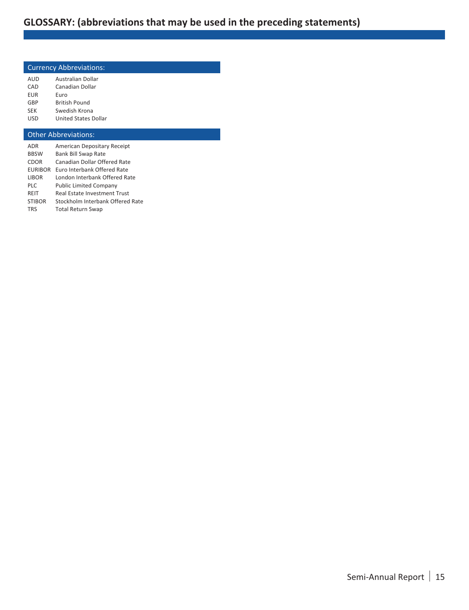<span id="page-16-0"></span>

| AUD        | <b>Australian Dollar</b>    |
|------------|-----------------------------|
| CAD        | Canadian Dollar             |
| <b>EUR</b> | Euro                        |
| GBP        | <b>British Pound</b>        |
| <b>SEK</b> | Swedish Krona               |
| USD        | <b>United States Dollar</b> |

# Other Abbreviations:

| <b>ADR</b>     | American Depositary Receipt        |
|----------------|------------------------------------|
| <b>BBSW</b>    | <b>Bank Bill Swap Rate</b>         |
| <b>CDOR</b>    | Canadian Dollar Offered Rate       |
| <b>EURIBOR</b> | <b>Furo Interbank Offered Rate</b> |
| <b>LIBOR</b>   | London Interbank Offered Rate      |
| <b>PLC</b>     | <b>Public Limited Company</b>      |
| REIT           | Real Estate Investment Trust       |
| <b>STIBOR</b>  | Stockholm Interbank Offered Rate   |
| <b>TRS</b>     | <b>Total Return Swap</b>           |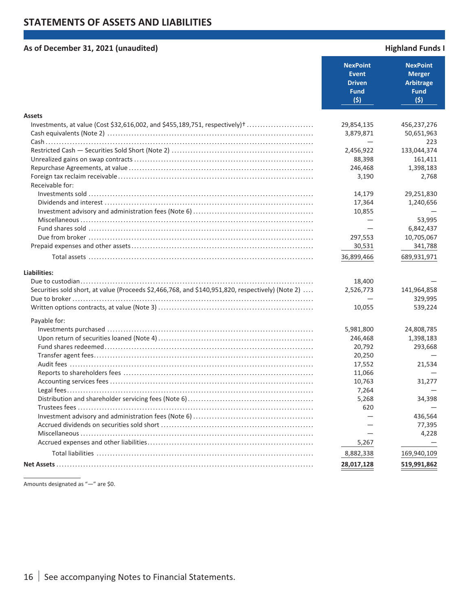# <span id="page-17-0"></span>**STATEMENTS OF ASSETS AND LIABILITIES**

# As of December 31, 2021 (unaudited) **As a struck of December 31, 2021** (unaudited)

|                                                                                                  | <b>NexPoint</b><br><b>Event</b><br><b>Driven</b><br><b>Fund</b><br>(5) | <b>NexPoint</b><br><b>Merger</b><br><b>Arbitrage</b><br><b>Fund</b><br>(5) |
|--------------------------------------------------------------------------------------------------|------------------------------------------------------------------------|----------------------------------------------------------------------------|
| <b>Assets</b>                                                                                    |                                                                        |                                                                            |
| Investments, at value (Cost \$32,616,002, and \$455,189,751, respectively) <sup>+</sup>          | 29,854,135                                                             | 456,237,276                                                                |
|                                                                                                  | 3,879,871                                                              | 50,651,963                                                                 |
|                                                                                                  |                                                                        | 223                                                                        |
|                                                                                                  | 2,456,922                                                              | 133,044,374                                                                |
|                                                                                                  | 88,398                                                                 | 161,411                                                                    |
|                                                                                                  | 246,468                                                                | 1,398,183                                                                  |
|                                                                                                  | 3,190                                                                  | 2,768                                                                      |
| Receivable for:                                                                                  |                                                                        |                                                                            |
|                                                                                                  | 14,179                                                                 | 29,251,830                                                                 |
|                                                                                                  | 17,364                                                                 | 1,240,656                                                                  |
|                                                                                                  | 10,855                                                                 |                                                                            |
|                                                                                                  |                                                                        | 53,995                                                                     |
|                                                                                                  |                                                                        | 6,842,437                                                                  |
|                                                                                                  | 297,553                                                                | 10,705,067                                                                 |
|                                                                                                  | 30,531                                                                 | 341,788                                                                    |
|                                                                                                  | 36,899,466                                                             | 689,931,971                                                                |
| Liabilities:                                                                                     |                                                                        |                                                                            |
|                                                                                                  | 18,400                                                                 |                                                                            |
| Securities sold short, at value (Proceeds \$2,466,768, and \$140,951,820, respectively) (Note 2) | 2,526,773                                                              | 141,964,858                                                                |
|                                                                                                  |                                                                        | 329,995                                                                    |
|                                                                                                  | 10,055                                                                 | 539,224                                                                    |
| Payable for:                                                                                     |                                                                        |                                                                            |
|                                                                                                  | 5,981,800                                                              | 24,808,785                                                                 |
|                                                                                                  | 246,468                                                                | 1,398,183                                                                  |
|                                                                                                  | 20,792                                                                 | 293,668                                                                    |
|                                                                                                  | 20,250                                                                 |                                                                            |
|                                                                                                  | 17,552                                                                 | 21.534                                                                     |
|                                                                                                  | 11,066                                                                 |                                                                            |
|                                                                                                  | 10,763                                                                 | 31.277                                                                     |
|                                                                                                  | 7,264                                                                  |                                                                            |
|                                                                                                  | 5,268                                                                  | 34,398                                                                     |
|                                                                                                  | 620                                                                    |                                                                            |
|                                                                                                  |                                                                        | 436,564                                                                    |
|                                                                                                  |                                                                        | 77,395                                                                     |
|                                                                                                  |                                                                        | 4,228                                                                      |
|                                                                                                  | 5,267                                                                  |                                                                            |
|                                                                                                  | 8,882,338                                                              | 169,940,109                                                                |
|                                                                                                  | 28,017,128                                                             | 519,991,862                                                                |

Amounts designated as "—" are \$0.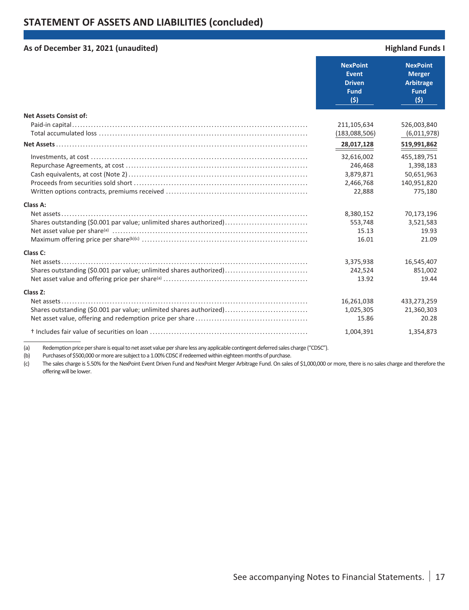# **STATEMENT OF ASSETS AND LIABILITIES (concluded)**

### As of December 31, 2021 (unaudited) **As a struck of December 31, 2021** (unaudited)

|                                                                     | <b>NexPoint</b><br><b>Event</b><br><b>Driven</b><br><b>Fund</b><br>(5) | <b>NexPoint</b><br><b>Merger</b><br><b>Arbitrage</b><br><b>Fund</b><br>(5) |
|---------------------------------------------------------------------|------------------------------------------------------------------------|----------------------------------------------------------------------------|
| <b>Net Assets Consist of:</b>                                       |                                                                        |                                                                            |
|                                                                     | 211,105,634                                                            | 526,003,840                                                                |
|                                                                     | (183,088,506)                                                          | (6,011,978)                                                                |
|                                                                     | 28,017,128                                                             | 519,991,862                                                                |
|                                                                     | 32,616,002                                                             | 455,189,751                                                                |
|                                                                     | 246,468                                                                | 1,398,183                                                                  |
|                                                                     | 3,879,871                                                              | 50,651,963                                                                 |
|                                                                     | 2,466,768                                                              | 140,951,820                                                                |
|                                                                     | 22,888                                                                 | 775,180                                                                    |
| Class A:                                                            |                                                                        |                                                                            |
|                                                                     | 8,380,152                                                              | 70,173,196                                                                 |
| Shares outstanding (\$0.001 par value; unlimited shares authorized) | 553,748                                                                | 3,521,583                                                                  |
|                                                                     | 15.13                                                                  | 19.93                                                                      |
|                                                                     | 16.01                                                                  | 21.09                                                                      |
| Class C:                                                            |                                                                        |                                                                            |
|                                                                     | 3,375,938                                                              | 16,545,407                                                                 |
| Shares outstanding (\$0.001 par value; unlimited shares authorized) | 242,524                                                                | 851,002                                                                    |
|                                                                     | 13.92                                                                  | 19.44                                                                      |
| Class Z:                                                            |                                                                        |                                                                            |
|                                                                     | 16,261,038                                                             | 433,273,259                                                                |
| Shares outstanding (\$0.001 par value; unlimited shares authorized) | 1,025,305                                                              | 21,360,303                                                                 |
|                                                                     | 15.86                                                                  | 20.28                                                                      |
|                                                                     | 1,004,391                                                              | 1,354,873                                                                  |

(a) Redemption price per share is equal to net asset value per share less any applicable contingent deferred sales charge ("CDSC").

(b) Purchases of \$500,000 or more are subject to a 1.00% CDSC if redeemed within eighteen months of purchase.

(c) The sales charge is 5.50% for the NexPoint Event Driven Fund and NexPoint Merger Arbitrage Fund. On sales of \$1,000,000 or more, there is no sales charge and therefore the offering will be lower.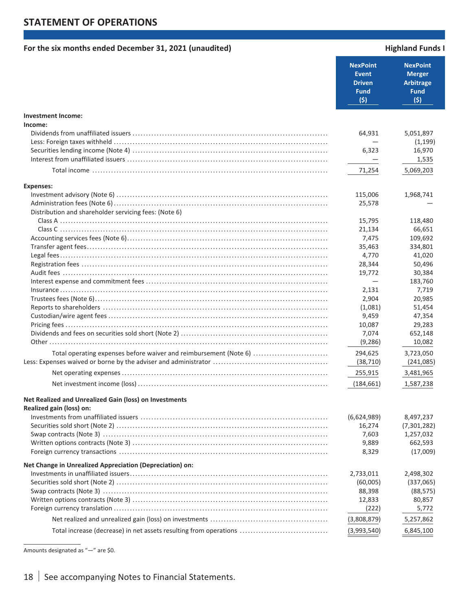# <span id="page-19-0"></span>For the six months ended December 31, 2021 (unaudited) **For the six months ended December 31, 2021** (unaudited)

|                                                                                    | <b>NexPoint</b><br><b>Event</b><br><b>Driven</b><br><b>Fund</b><br>(5) | <b>NexPoint</b><br><b>Merger</b><br><b>Arbitrage</b><br><b>Fund</b><br>(5) |
|------------------------------------------------------------------------------------|------------------------------------------------------------------------|----------------------------------------------------------------------------|
| Investment Income:                                                                 |                                                                        |                                                                            |
| Income:                                                                            |                                                                        |                                                                            |
|                                                                                    | 64,931                                                                 | 5,051,897                                                                  |
|                                                                                    |                                                                        | (1, 199)                                                                   |
|                                                                                    | 6,323                                                                  | 16,970                                                                     |
|                                                                                    |                                                                        | 1,535                                                                      |
|                                                                                    |                                                                        |                                                                            |
|                                                                                    | 71,254                                                                 | 5,069,203                                                                  |
| <b>Expenses:</b>                                                                   |                                                                        |                                                                            |
|                                                                                    | 115,006                                                                | 1,968,741                                                                  |
|                                                                                    | 25,578                                                                 |                                                                            |
| Distribution and shareholder servicing fees: (Note 6)                              |                                                                        |                                                                            |
|                                                                                    | 15,795                                                                 | 118,480                                                                    |
|                                                                                    | 21,134                                                                 | 66,651                                                                     |
|                                                                                    | 7,475                                                                  | 109,692                                                                    |
|                                                                                    | 35,463                                                                 | 334,801                                                                    |
|                                                                                    | 4,770                                                                  | 41,020                                                                     |
|                                                                                    | 28,344                                                                 | 50,496                                                                     |
|                                                                                    | 19,772                                                                 | 30,384                                                                     |
|                                                                                    |                                                                        | 183,760                                                                    |
|                                                                                    | 2,131                                                                  | 7,719                                                                      |
|                                                                                    | 2,904                                                                  | 20,985                                                                     |
|                                                                                    | (1,081)                                                                | 51,454                                                                     |
|                                                                                    | 9,459                                                                  | 47,354                                                                     |
|                                                                                    | 10,087                                                                 | 29,283                                                                     |
|                                                                                    | 7,074                                                                  | 652,148                                                                    |
|                                                                                    | (9, 286)                                                               | 10,082                                                                     |
| Total operating expenses before waiver and reimbursement (Note 6)                  | 294,625                                                                | 3,723,050                                                                  |
|                                                                                    | (38, 710)                                                              | (241,085)                                                                  |
|                                                                                    |                                                                        |                                                                            |
|                                                                                    | 255,915                                                                | 3,481,965                                                                  |
|                                                                                    | (184, 661)                                                             | 1,587,238                                                                  |
| Net Realized and Unrealized Gain (loss) on Investments<br>Realized gain (loss) on: |                                                                        |                                                                            |
|                                                                                    | (6,624,989)                                                            | 8,497,237                                                                  |
|                                                                                    | 16,274                                                                 | (7,301,282)                                                                |
|                                                                                    | 7,603                                                                  | 1,257,032                                                                  |
|                                                                                    | 9,889                                                                  | 662,593                                                                    |
|                                                                                    | 8,329                                                                  | (17,009)                                                                   |
| Net Change in Unrealized Appreciation (Depreciation) on:                           |                                                                        |                                                                            |
|                                                                                    | 2,733,011                                                              | 2,498,302                                                                  |
|                                                                                    | (60,005)                                                               | (337,065)                                                                  |
|                                                                                    | 88,398                                                                 | (88, 575)                                                                  |
|                                                                                    | 12,833                                                                 | 80,857                                                                     |
|                                                                                    | (222)                                                                  | 5,772                                                                      |
|                                                                                    | (3,808,879)                                                            | 5,257,862                                                                  |
| Total increase (decrease) in net assets resulting from operations                  | (3,993,540)                                                            | 6,845,100                                                                  |
|                                                                                    |                                                                        |                                                                            |

Amounts designated as "—" are \$0.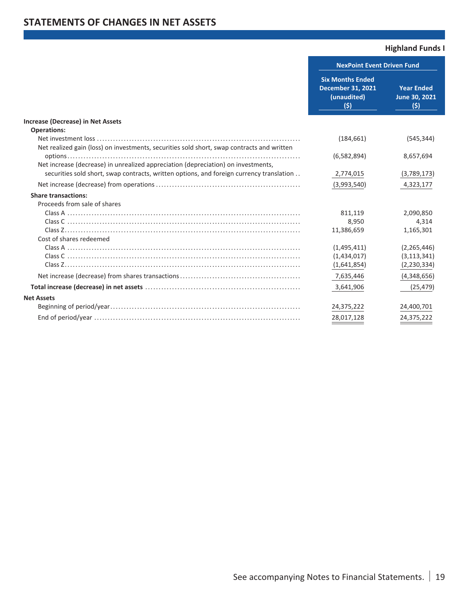# <span id="page-20-0"></span>**STATEMENTS OF CHANGES IN NET ASSETS**

# **Highland Funds I**

|                                                                                            | <b>NexPoint Event Driven Fund</b>                                         |                                           |  |
|--------------------------------------------------------------------------------------------|---------------------------------------------------------------------------|-------------------------------------------|--|
|                                                                                            | <b>Six Months Ended</b><br><b>December 31, 2021</b><br>(unaudited)<br>(5) | <b>Year Ended</b><br>June 30, 2021<br>(5) |  |
| Increase (Decrease) in Net Assets                                                          |                                                                           |                                           |  |
| <b>Operations:</b>                                                                         |                                                                           |                                           |  |
| Net realized gain (loss) on investments, securities sold short, swap contracts and written | (184, 661)                                                                | (545, 344)                                |  |
|                                                                                            | (6,582,894)                                                               | 8,657,694                                 |  |
| Net increase (decrease) in unrealized appreciation (depreciation) on investments,          |                                                                           |                                           |  |
| securities sold short, swap contracts, written options, and foreign currency translation   | 2,774,015                                                                 | (3,789,173)                               |  |
|                                                                                            | (3,993,540)                                                               | 4,323,177                                 |  |
| <b>Share transactions:</b>                                                                 |                                                                           |                                           |  |
| Proceeds from sale of shares                                                               |                                                                           |                                           |  |
|                                                                                            | 811,119                                                                   | 2,090,850                                 |  |
|                                                                                            | 8,950                                                                     | 4,314                                     |  |
|                                                                                            | 11,386,659                                                                | 1,165,301                                 |  |
| Cost of shares redeemed                                                                    |                                                                           |                                           |  |
|                                                                                            | (1,495,411)                                                               | (2, 265, 446)                             |  |
|                                                                                            | (1,434,017)                                                               | (3, 113, 341)                             |  |
|                                                                                            | (1,641,854)                                                               | (2, 230, 334)                             |  |
|                                                                                            | 7,635,446                                                                 | (4,348,656)                               |  |
|                                                                                            | 3,641,906                                                                 | (25, 479)                                 |  |
| <b>Net Assets</b>                                                                          |                                                                           |                                           |  |
|                                                                                            | 24,375,222                                                                | 24,400,701                                |  |
|                                                                                            | 28,017,128                                                                | 24,375,222                                |  |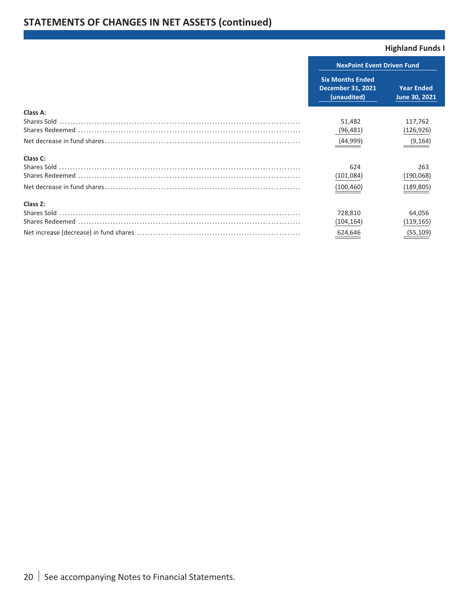# **STATEMENTS OF CHANGES IN NET ASSETS (continued)**

# **Highland Funds I**

|          | <b>NexPoint Event Driven Fund</b>                                  |                                    |  |
|----------|--------------------------------------------------------------------|------------------------------------|--|
|          | <b>Six Months Ended</b><br><b>December 31, 2021</b><br>(unaudited) | <b>Year Ended</b><br>June 30, 2021 |  |
| Class A: |                                                                    |                                    |  |
|          | 51,482                                                             | 117,762                            |  |
|          | (96, 481)                                                          | (126, 926)                         |  |
|          | (44,999)                                                           | (9, 164)                           |  |
| Class C: |                                                                    |                                    |  |
|          | 624                                                                | 263                                |  |
|          | (101,084)                                                          | (190,068)                          |  |
|          | (100, 460)                                                         | (189, 805)                         |  |
| Class Z: |                                                                    |                                    |  |
|          | 728,810                                                            | 64.056                             |  |
|          | (104, 164)                                                         | (119, 165)                         |  |
|          | 624,646                                                            | (55, 109)                          |  |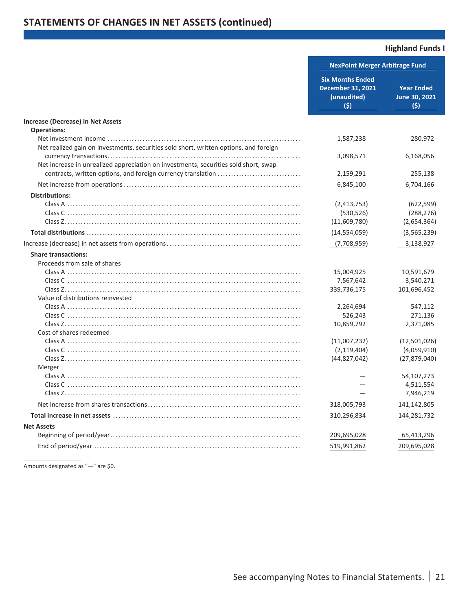# **STATEMENTS OF CHANGES IN NET ASSETS (continued)**

**Highland Funds I**

|                                                                                       | <b>NexPoint Merger Arbitrage Fund</b>                                     |                                           |  |
|---------------------------------------------------------------------------------------|---------------------------------------------------------------------------|-------------------------------------------|--|
|                                                                                       | <b>Six Months Ended</b><br><b>December 31, 2021</b><br>(unaudited)<br>(5) | <b>Year Ended</b><br>June 30, 2021<br>(5) |  |
| <b>Increase (Decrease) in Net Assets</b>                                              |                                                                           |                                           |  |
| <b>Operations:</b>                                                                    |                                                                           |                                           |  |
|                                                                                       | 1,587,238                                                                 | 280,972                                   |  |
| Net realized gain on investments, securities sold short, written options, and foreign |                                                                           |                                           |  |
|                                                                                       | 3,098,571                                                                 | 6,168,056                                 |  |
| Net increase in unrealized appreciation on investments, securities sold short, swap   |                                                                           |                                           |  |
| contracts, written options, and foreign currency translation                          | 2,159,291                                                                 | 255,138                                   |  |
|                                                                                       | 6,845,100                                                                 | 6,704,166                                 |  |
| <b>Distributions:</b>                                                                 |                                                                           |                                           |  |
|                                                                                       | (2,413,753)                                                               | (622, 599)                                |  |
|                                                                                       | (530, 526)                                                                | (288, 276)                                |  |
|                                                                                       | (11,609,780)                                                              | (2,654,364)                               |  |
|                                                                                       | (14, 554, 059)                                                            | (3,565,239)                               |  |
|                                                                                       | (7,708,959)                                                               | 3,138,927                                 |  |
| <b>Share transactions:</b>                                                            |                                                                           |                                           |  |
| Proceeds from sale of shares                                                          |                                                                           |                                           |  |
|                                                                                       | 15,004,925                                                                | 10,591,679                                |  |
|                                                                                       | 7,567,642                                                                 | 3,540,271                                 |  |
|                                                                                       | 339,736,175                                                               | 101,696,452                               |  |
| Value of distributions reinvested                                                     |                                                                           |                                           |  |
|                                                                                       | 2,264,694                                                                 | 547,112                                   |  |
|                                                                                       | 526,243<br>10,859,792                                                     | 271,136<br>2,371,085                      |  |
| Cost of shares redeemed                                                               |                                                                           |                                           |  |
|                                                                                       | (11,007,232)                                                              | (12,501,026)                              |  |
|                                                                                       | (2, 119, 404)                                                             | (4,059,910)                               |  |
|                                                                                       | (44, 827, 042)                                                            | (27, 879, 040)                            |  |
| Merger                                                                                |                                                                           |                                           |  |
|                                                                                       |                                                                           | 54,107,273                                |  |
|                                                                                       |                                                                           | 4,511,554                                 |  |
|                                                                                       |                                                                           | 7,946,219                                 |  |
|                                                                                       | 318,005,793                                                               | 141,142,805                               |  |
|                                                                                       | 310,296,834                                                               | 144,281,732                               |  |
| <b>Net Assets</b>                                                                     |                                                                           |                                           |  |
|                                                                                       | 209,695,028                                                               | 65,413,296                                |  |
|                                                                                       | 519,991,862                                                               | 209,695,028                               |  |

Amounts designated as "—" are \$0.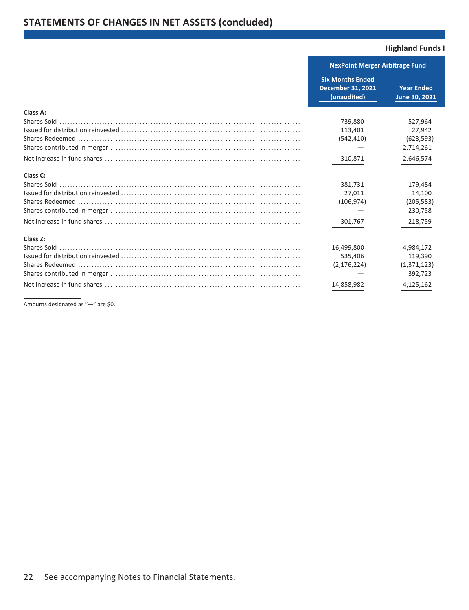# **STATEMENTS OF CHANGES IN NET ASSETS (concluded)**

# **Highland Funds I**

|          | <b>NexPoint Merger Arbitrage Fund</b>                              |                                    |  |
|----------|--------------------------------------------------------------------|------------------------------------|--|
|          | <b>Six Months Ended</b><br><b>December 31, 2021</b><br>(unaudited) | <b>Year Ended</b><br>June 30, 2021 |  |
| Class A: |                                                                    |                                    |  |
|          | 739,880                                                            | 527,964                            |  |
|          | 113,401                                                            | 27,942                             |  |
|          | (542, 410)                                                         | (623, 593)                         |  |
|          |                                                                    | 2,714,261                          |  |
|          | 310,871                                                            | 2,646,574                          |  |
| Class C: |                                                                    |                                    |  |
|          | 381,731                                                            | 179,484                            |  |
|          | 27,011                                                             | 14,100                             |  |
|          | (106, 974)                                                         | (205, 583)                         |  |
|          |                                                                    | 230,758                            |  |
|          | 301,767                                                            | 218,759                            |  |
| Class Z: |                                                                    |                                    |  |
|          | 16,499,800                                                         | 4,984,172                          |  |
|          | 535,406                                                            | 119,390                            |  |
|          | (2, 176, 224)                                                      | (1,371,123)                        |  |
|          |                                                                    | 392,723                            |  |
|          | 14,858,982                                                         | 4,125,162                          |  |

Amounts designated as "—" are \$0.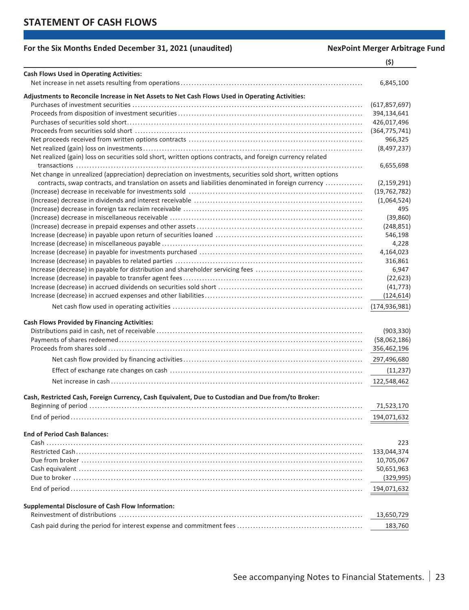# <span id="page-24-0"></span>**STATEMENT OF CASH FLOWS**

# For the Six Months Ended December 31, 2021 (unaudited) NexPoint Merger Arbitrage Fund

|                                                                                                             | (5)                         |
|-------------------------------------------------------------------------------------------------------------|-----------------------------|
| <b>Cash Flows Used in Operating Activities:</b>                                                             |                             |
|                                                                                                             | 6,845,100                   |
| Adjustments to Reconcile Increase in Net Assets to Net Cash Flows Used in Operating Activities:             |                             |
|                                                                                                             | (617, 857, 697)             |
|                                                                                                             | 394,134,641                 |
|                                                                                                             | 426,017,496                 |
|                                                                                                             | (364, 775, 741)             |
|                                                                                                             | 966,325                     |
|                                                                                                             | (8,497,237)                 |
| Net realized (gain) loss on securities sold short, written options contracts, and foreign currency related  |                             |
|                                                                                                             | 6,655,698                   |
| Net change in unrealized (appreciation) depreciation on investments, securities sold short, written options |                             |
| contracts, swap contracts, and translation on assets and liabilities denominated in foreign currency        | (2, 159, 291)               |
|                                                                                                             | (19, 762, 782)              |
|                                                                                                             | (1,064,524)                 |
|                                                                                                             | 495                         |
|                                                                                                             | (39, 860)                   |
|                                                                                                             | (248, 851)                  |
|                                                                                                             | 546,198                     |
|                                                                                                             | 4,228                       |
|                                                                                                             | 4,164,023                   |
|                                                                                                             | 316,861                     |
|                                                                                                             | 6,947                       |
|                                                                                                             | (22, 623)                   |
|                                                                                                             | (41, 773)                   |
|                                                                                                             | (124, 614)                  |
|                                                                                                             | (174, 936, 981)             |
|                                                                                                             |                             |
| <b>Cash Flows Provided by Financing Activities:</b>                                                         |                             |
|                                                                                                             | (903, 330)                  |
|                                                                                                             | (58,062,186)<br>356,462,196 |
|                                                                                                             |                             |
|                                                                                                             | 297,496,680                 |
|                                                                                                             | (11, 237)                   |
|                                                                                                             | 122,548,462                 |
| Cash, Restricted Cash, Foreign Currency, Cash Equivalent, Due to Custodian and Due from/to Broker:          |                             |
|                                                                                                             | 71,523,170                  |
|                                                                                                             | 194,071,632                 |
|                                                                                                             |                             |
| <b>End of Period Cash Balances:</b>                                                                         |                             |
|                                                                                                             | 223                         |
|                                                                                                             | 133,044,374                 |
|                                                                                                             | 10,705,067                  |
|                                                                                                             | 50,651,963                  |
|                                                                                                             | (329, 995)                  |
|                                                                                                             | 194,071,632                 |
| <b>Supplemental Disclosure of Cash Flow Information:</b>                                                    |                             |
|                                                                                                             | 13,650,729                  |
|                                                                                                             |                             |
|                                                                                                             | 183,760                     |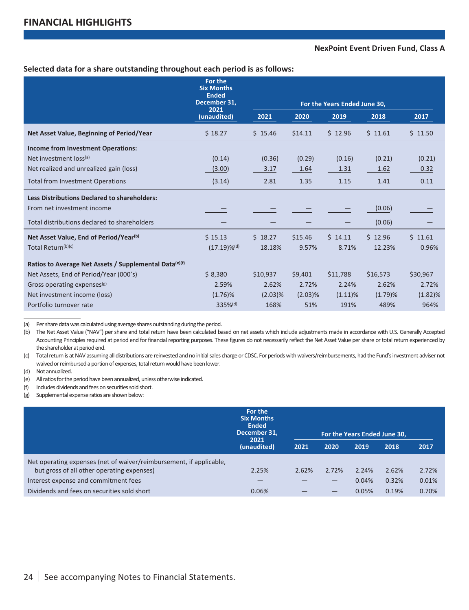<span id="page-25-0"></span>**Selected data for a share outstanding throughout each period is as follows:**

|                                                                    | For the<br><b>Six Months</b>         |                              |            |            |          |            |  |
|--------------------------------------------------------------------|--------------------------------------|------------------------------|------------|------------|----------|------------|--|
|                                                                    | <b>Ended</b><br>December 31,<br>2021 | For the Years Ended June 30, |            |            |          |            |  |
|                                                                    | (unaudited)                          | 2021                         | 2020       | 2019       | 2018     | 2017       |  |
| Net Asset Value, Beginning of Period/Year                          | \$18.27                              | $5$ 15.46                    | \$14.11    | $5$ 12.96  | 511.61   | $5$ 11.50  |  |
| <b>Income from Investment Operations:</b>                          |                                      |                              |            |            |          |            |  |
| Net investment loss <sup>(a)</sup>                                 | (0.14)                               | (0.36)                       | (0.29)     | (0.16)     | (0.21)   | (0.21)     |  |
| Net realized and unrealized gain (loss)                            | (3.00)                               | 3.17                         | 1.64       | 1.31       | 1.62     | 0.32       |  |
| <b>Total from Investment Operations</b>                            | (3.14)                               | 2.81                         | 1.35       | 1.15       | 1.41     | 0.11       |  |
| <b>Less Distributions Declared to shareholders:</b>                |                                      |                              |            |            |          |            |  |
| From net investment income                                         |                                      |                              |            |            | (0.06)   |            |  |
| Total distributions declared to shareholders                       |                                      |                              |            |            | (0.06)   |            |  |
| Net Asset Value, End of Period/Year(b)                             | \$15.13                              | \$18.27                      | \$15.46    | \$14.11    | \$12.96  | 5 11.61    |  |
| Total Return(b)(c)                                                 | $(17.19) \%$ <sup>(d)</sup>          | 18.18%                       | 9.57%      | 8.71%      | 12.23%   | 0.96%      |  |
| Ratios to Average Net Assets / Supplemental Data <sup>(e)(f)</sup> |                                      |                              |            |            |          |            |  |
| Net Assets, End of Period/Year (000's)                             | \$8,380                              | \$10,937                     | \$9,401    | \$11,788   | \$16,573 | \$30,967   |  |
| Gross operating expenses(g)                                        | 2.59%                                | 2.62%                        | 2.72%      | 2.24%      | 2.62%    | 2.72%      |  |
| Net investment income (loss)                                       | $(1.76)\%$                           | $(2.03)\%$                   | $(2.03)\%$ | $(1.11)\%$ | (1.79)%  | $(1.82)\%$ |  |
| Portfolio turnover rate                                            | 335%(d)                              | 168%                         | 51%        | 191%       | 489%     | 964%       |  |

(a) Per share data was calculated using average shares outstanding during the period.

(b) The Net Asset Value ("NAV") per share and total return have been calculated based on net assets which include adjustments made in accordance with U.S. Generally Accepted Accounting Principles required at period end for financial reporting purposes. These figures do not necessarily reflect the Net Asset Value per share or total return experienced by the shareholder at period end.

(c) Total return is at NAV assuming all distributions are reinvested and no initial sales charge or CDSC. For periods with waivers/reimbursements, had the Fund's investment adviser not waived or reimbursed a portion of expenses, total return would have been lower.

(d) Not annualized.

(e) All ratios for the period have been annualized, unless otherwise indicated.

(f) Includes dividends and fees on securities sold short.

(g) Supplemental expense ratios are shown below:

|                                                                                                                   | For the<br><b>Six Months</b><br><b>Ended</b><br>December 31,<br>2021 |       | For the Years Ended June 30, |       |       |       |
|-------------------------------------------------------------------------------------------------------------------|----------------------------------------------------------------------|-------|------------------------------|-------|-------|-------|
|                                                                                                                   | (unaudited)                                                          | 2021  | 2020                         | 2019  | 2018  | 2017  |
| Net operating expenses (net of waiver/reimbursement, if applicable,<br>but gross of all other operating expenses) | 2.25%                                                                | 2.62% | 2.72%                        | 2.24% | 2.62% | 2.72% |
| Interest expense and commitment fees                                                                              |                                                                      |       | $\overline{\phantom{m}}$     | 0.04% | 0.32% | 0.01% |
| Dividends and fees on securities sold short                                                                       | 0.06%                                                                |       | —                            | 0.05% | 0.19% | 0.70% |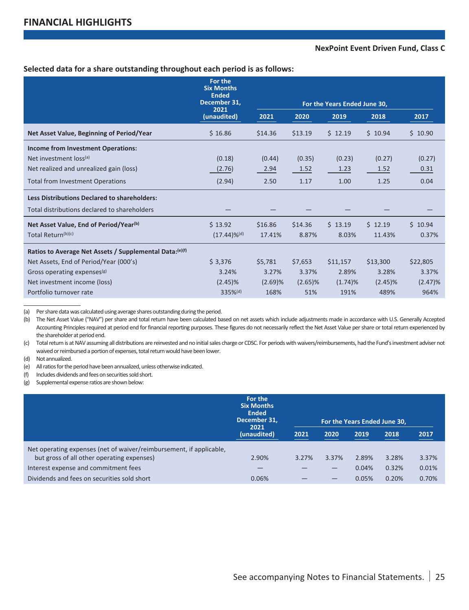**Selected data for a share outstanding throughout each period is as follows:**

|                                                          | For the<br><b>Six Months</b><br><b>Ended</b><br>December 31,<br>2021 | For the Years Ended June 30, |            |           |            |            |
|----------------------------------------------------------|----------------------------------------------------------------------|------------------------------|------------|-----------|------------|------------|
|                                                          | (unaudited)                                                          | 2021                         | 2020       | 2019      | 2018       | 2017       |
| Net Asset Value, Beginning of Period/Year                | \$16.86                                                              | \$14.36                      | \$13.19    | \$12.19   | \$10.94    | \$10.90    |
| <b>Income from Investment Operations:</b>                |                                                                      |                              |            |           |            |            |
| Net investment loss <sup>(a)</sup>                       | (0.18)                                                               | (0.44)                       | (0.35)     | (0.23)    | (0.27)     | (0.27)     |
| Net realized and unrealized gain (loss)                  | (2.76)                                                               | 2.94                         | 1.52       | 1.23      | 1.52       | 0.31       |
| <b>Total from Investment Operations</b>                  | (2.94)                                                               | 2.50                         | 1.17       | 1.00      | 1.25       | 0.04       |
| <b>Less Distributions Declared to shareholders:</b>      |                                                                      |                              |            |           |            |            |
| Total distributions declared to shareholders             |                                                                      |                              |            |           |            |            |
| Net Asset Value, End of Period/Year(b)                   | \$13.92                                                              | \$16.86                      | \$14.36    | $5$ 13.19 | \$12.19    | \$10.94    |
| Total Return(b)(c)                                       | $(17.44)\%$ <sup>(d)</sup>                                           | 17.41%                       | 8.87%      | 8.03%     | 11.43%     | 0.37%      |
| Ratios to Average Net Assets / Supplemental Data: (e)(f) |                                                                      |                              |            |           |            |            |
| Net Assets, End of Period/Year (000's)                   | \$3,376                                                              | \$5,781                      | \$7,653    | \$11,157  | \$13,300   | \$22,805   |
| Gross operating expenses(g)                              | 3.24%                                                                | 3.27%                        | 3.37%      | 2.89%     | 3.28%      | 3.37%      |
| Net investment income (loss)                             | $(2.45)\%$                                                           | $(2.69)\%$                   | $(2.65)\%$ | (1.74)%   | $(2.45)\%$ | $(2.47)\%$ |
| Portfolio turnover rate                                  | 335%(d)                                                              | 168%                         | 51%        | 191%      | 489%       | 964%       |

(a) Per share data was calculated using average shares outstanding during the period.

(b) The Net Asset Value ("NAV") per share and total return have been calculated based on net assets which include adjustments made in accordance with U.S. Generally Accepted Accounting Principles required at period end for financial reporting purposes. These figures do not necessarily reflect the Net Asset Value per share or total return experienced by the shareholder at period end.

(c) Total return is at NAV assuming all distributions are reinvested and no initial sales charge or CDSC. For periods with waivers/reimbursements, had the Fund's investment adviser not waived or reimbursed a portion of expenses, total return would have been lower.

(d) Not annualized.

(e) All ratios for the period have been annualized, unless otherwise indicated.

(f) Includes dividends and fees on securities sold short.

(g) Supplemental expense ratios are shown below:

|                                                                                                                   | For the<br><b>Six Months</b><br><b>Ended</b><br>December 31,<br>2021 |       | For the Years Ended June 30, |       |       |       |
|-------------------------------------------------------------------------------------------------------------------|----------------------------------------------------------------------|-------|------------------------------|-------|-------|-------|
|                                                                                                                   | (unaudited)                                                          | 2021  | 2020                         | 2019  | 2018  | 2017  |
| Net operating expenses (net of waiver/reimbursement, if applicable,<br>but gross of all other operating expenses) | 2.90%                                                                | 3.27% | 3.37%                        | 2.89% | 3.28% | 3.37% |
| Interest expense and commitment fees                                                                              |                                                                      |       | —                            | 0.04% | 0.32% | 0.01% |
| Dividends and fees on securities sold short                                                                       | 0.06%                                                                |       |                              | 0.05% | 0.20% | 0.70% |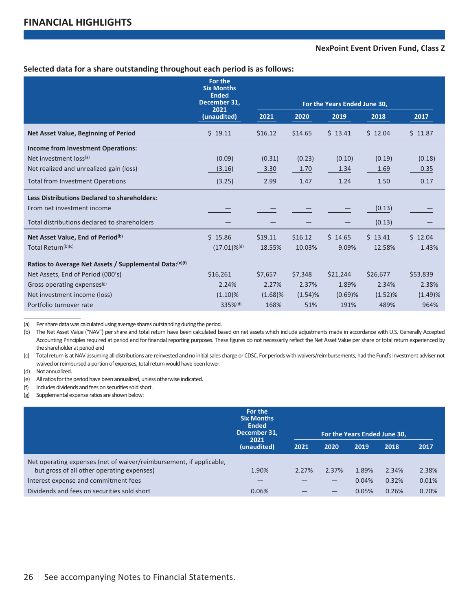**Selected data for a share outstanding throughout each period is as follows:**

|                                                         | For the                                                   |            |            |                              |            |          |  |  |
|---------------------------------------------------------|-----------------------------------------------------------|------------|------------|------------------------------|------------|----------|--|--|
|                                                         | <b>Six Months</b><br><b>Ended</b><br>December 31,<br>2021 |            |            | For the Years Ended June 30, |            |          |  |  |
|                                                         | (unaudited)                                               | 2021       | 2020       | 2019                         | 2018       | 2017     |  |  |
| <b>Net Asset Value, Beginning of Period</b>             | \$19.11                                                   | \$16.12    | \$14.65    | \$13.41                      | \$12.04    | \$11.87  |  |  |
| <b>Income from Investment Operations:</b>               |                                                           |            |            |                              |            |          |  |  |
| Net investment loss <sup>(a)</sup>                      | (0.09)                                                    | (0.31)     | (0.23)     | (0.10)                       | (0.19)     | (0.18)   |  |  |
| Net realized and unrealized gain (loss)                 | (3.16)                                                    | 3.30       | 1.70       | 1.34                         | 1.69       | 0.35     |  |  |
| <b>Total from Investment Operations</b>                 | (3.25)                                                    | 2.99       | 1.47       | 1.24                         | 1.50       | 0.17     |  |  |
| <b>Less Distributions Declared to shareholders:</b>     |                                                           |            |            |                              |            |          |  |  |
| From net investment income                              |                                                           |            |            |                              | (0.13)     |          |  |  |
| Total distributions declared to shareholders            |                                                           |            |            |                              | (0.13)     |          |  |  |
| Net Asset Value, End of Period(b)                       | \$15.86                                                   | \$19.11    | \$16.12    | \$14.65                      | \$13.41    | \$12.04  |  |  |
| Total Return(b)(c)                                      | $(17.01)\%$ <sup>(d)</sup>                                | 18.55%     | 10.03%     | 9.09%                        | 12.58%     | 1.43%    |  |  |
| Ratios to Average Net Assets / Supplemental Data:(e)(f) |                                                           |            |            |                              |            |          |  |  |
| Net Assets, End of Period (000's)                       | \$16,261                                                  | \$7,657    | \$7,348    | \$21,244                     | \$26,677   | \$53,839 |  |  |
| Gross operating expenses(g)                             | 2.24%                                                     | 2.27%      | 2.37%      | 1.89%                        | 2.34%      | 2.38%    |  |  |
| Net investment income (loss)                            | $(1.10)\%$                                                | $(1.68)\%$ | $(1.54)\%$ | $(0.69)$ %                   | $(1.52)\%$ | (1.49)%  |  |  |
| Portfolio turnover rate                                 | 335%(d)                                                   | 168%       | 51%        | 191%                         | 489%       | 964%     |  |  |

(a) Per share data was calculated using average shares outstanding during the period.

(b) The Net Asset Value ("NAV") per share and total return have been calculated based on net assets which include adjustments made in accordance with U.S. Generally Accepted Accounting Principles required at period end for financial reporting purposes. These figures do not necessarily reflect the Net Asset Value per share or total return experienced by the shareholder at period end

(c) Total return is at NAV assuming all distributions are reinvested and no initial sales charge or CDSC. For periods with waivers/reimbursements, had the Fund's investment adviser not waived or reimbursed a portion of expenses, total return would have been lower.

(d) Not annualized.

(e) All ratios for the period have been annualized, unless otherwise indicated.

(f) Includes dividends and fees on securities sold short.

(g) Supplemental expense ratios are shown below:

|                                                                                                                   | For the<br><b>Six Months</b><br><b>Ended</b><br>December 31,<br>2021 |       |                               | For the Years Ended June 30, |                |                |
|-------------------------------------------------------------------------------------------------------------------|----------------------------------------------------------------------|-------|-------------------------------|------------------------------|----------------|----------------|
|                                                                                                                   | (unaudited)                                                          | 2021  | 2020                          | 2019                         | 2018           | 2017           |
| Net operating expenses (net of waiver/reimbursement, if applicable,<br>but gross of all other operating expenses) | 1.90%                                                                | 2.27% | 2.37%                         | 1.89%                        | 2.34%          | 2.38%          |
| Interest expense and commitment fees<br>Dividends and fees on securities sold short                               | 0.06%                                                                |       | $\overline{\phantom{m}}$<br>— | 0.04%<br>0.05%               | 0.32%<br>0.26% | 0.01%<br>0.70% |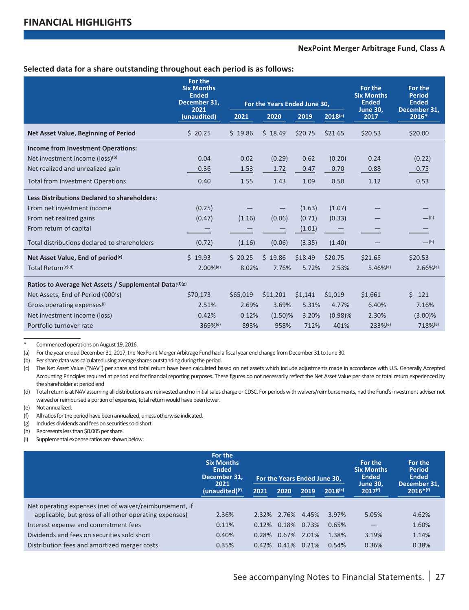#### **NexPoint Merger Arbitrage Fund, Class A**

#### **Selected data for a share outstanding throughout each period is as follows:**

|                                                         | For the<br><b>Six Months</b><br><b>Ended</b><br>December 31,<br>2021 | For the Years Ended June 30, |            |         |              | For the<br><b>Six Months</b><br><b>Ended</b><br><b>June 30,</b> | For the<br><b>Period</b><br><b>Ended</b><br>December 31, |
|---------------------------------------------------------|----------------------------------------------------------------------|------------------------------|------------|---------|--------------|-----------------------------------------------------------------|----------------------------------------------------------|
|                                                         | (unaudited)                                                          | 2021                         | 2020       | 2019    | $2018^{(a)}$ | 2017                                                            | 2016*                                                    |
| <b>Net Asset Value, Beginning of Period</b>             | 520.25                                                               | \$19.86                      | \$18.49    | \$20.75 | \$21.65      | \$20.53                                                         | \$20.00                                                  |
| <b>Income from Investment Operations:</b>               |                                                                      |                              |            |         |              |                                                                 |                                                          |
| Net investment income (loss)(b)                         | 0.04                                                                 | 0.02                         | (0.29)     | 0.62    | (0.20)       | 0.24                                                            | (0.22)                                                   |
| Net realized and unrealized gain                        | 0.36                                                                 | 1.53                         | 1.72       | 0.47    | 0.70         | 0.88                                                            | 0.75                                                     |
| <b>Total from Investment Operations</b>                 | 0.40                                                                 | 1.55                         | 1.43       | 1.09    | 0.50         | 1.12                                                            | 0.53                                                     |
| Less Distributions Declared to shareholders:            |                                                                      |                              |            |         |              |                                                                 |                                                          |
| From net investment income                              | (0.25)                                                               |                              |            | (1.63)  | (1.07)       |                                                                 |                                                          |
| From net realized gains                                 | (0.47)                                                               | (1.16)                       | (0.06)     | (0.71)  | (0.33)       |                                                                 | $=$ (h)                                                  |
| From return of capital                                  |                                                                      |                              |            | (1.01)  |              |                                                                 |                                                          |
| Total distributions declared to shareholders            | (0.72)                                                               | (1.16)                       | (0.06)     | (3.35)  | (1.40)       |                                                                 | (h)                                                      |
| Net Asset Value, End of period <sup>(c)</sup>           | \$19.93                                                              | \$20.25                      | \$19.86    | \$18.49 | \$20.75      | \$21.65                                                         | \$20.53                                                  |
| Total Return(c)(d)                                      | $2.00%$ <sup>(e)</sup>                                               | 8.02%                        | 7.76%      | 5.72%   | 2.53%        | $5.46%$ <sup>(e)</sup>                                          | $2.66%$ <sup>(e)</sup>                                   |
| Ratios to Average Net Assets / Supplemental Data:(f)(g) |                                                                      |                              |            |         |              |                                                                 |                                                          |
| Net Assets, End of Period (000's)                       | \$70,173                                                             | \$65,019                     | \$11,201   | \$1,141 | \$1,019      | \$1,661                                                         | Ś.<br>121                                                |
| Gross operating expenses <sup>(i)</sup>                 | 2.51%                                                                | 2.69%                        | 3.69%      | 5.31%   | 4.77%        | 6.40%                                                           | 7.16%                                                    |
| Net investment income (loss)                            | 0.42%                                                                | 0.12%                        | $(1.50)\%$ | 3.20%   | $(0.98)$ %   | 2.30%                                                           | $(3.00)\%$                                               |
| Portfolio turnover rate                                 | 369%(e)                                                              | 893%                         | 958%       | 712%    | 401%         | 233%(e)                                                         | 718%(e)                                                  |

Commenced operations on August 19, 2016.

(a) For the year ended December 31, 2017, the NexPoint Merger Arbitrage Fund had a fiscal year end change from December 31 to June 30.

(b) Per share data was calculated using average shares outstanding during the period.

(c) The Net Asset Value ("NAV") per share and total return have been calculated based on net assets which include adjustments made in accordance with U.S. Generally Accepted Accounting Principles required at period end for financial reporting purposes. These figures do not necessarily reflect the Net Asset Value per share or total return experienced by the shareholder at period end

(d) Total return is at NAV assuming all distributions are reinvested and no initial sales charge or CDSC. For periods with waivers/reimbursements, had the Fund's investment adviser not waived or reimbursed a portion of expenses, total return would have been lower.

(e) Not annualized.

(f) All ratios for the period have been annualized, unless otherwise indicated.

- (g) Includes dividends and fees on securities sold short.
- (h) Represents less than \$0.005 per share.
- (i) Supplemental expense ratios are shown below:

|                                                         | For the<br><b>Six Months</b><br><b>Ended</b><br>December 31,<br>2021 | For the Years Ended June 30, |             |       |              | For the<br><b>Six Months</b><br><b>Ended</b><br><b>June 30,</b> | For the<br><b>Period</b><br><b>Ended</b><br>December 31, |
|---------------------------------------------------------|----------------------------------------------------------------------|------------------------------|-------------|-------|--------------|-----------------------------------------------------------------|----------------------------------------------------------|
|                                                         | (unaudited) <sup>(f)</sup>                                           | 2021                         | 2020        | 2019  | $2018^{(a)}$ | 2017 <sup>(f)</sup>                                             | $2016*(f)$                                               |
| Net operating expenses (net of waiver/reimbursement, if |                                                                      |                              |             |       |              |                                                                 |                                                          |
| applicable, but gross of all other operating expenses)  | 2.36%                                                                | $2.32\%$                     | 2.76% 4.45% |       | 3.97%        | 5.05%                                                           | 4.62%                                                    |
| Interest expense and commitment fees                    | 0.11%                                                                | 0.12%                        | 0.18%       | 0.73% | 0.65%        |                                                                 | 1.60%                                                    |
| Dividends and fees on securities sold short             | 0.40%                                                                | 0.28%                        | 0.67% 2.01% |       | 1.38%        | 3.19%                                                           | 1.14%                                                    |
| Distribution fees and amortized merger costs            | 0.35%                                                                | $0.42\%$                     | 0.41%       | 0.21% | 0.54%        | 0.36%                                                           | 0.38%                                                    |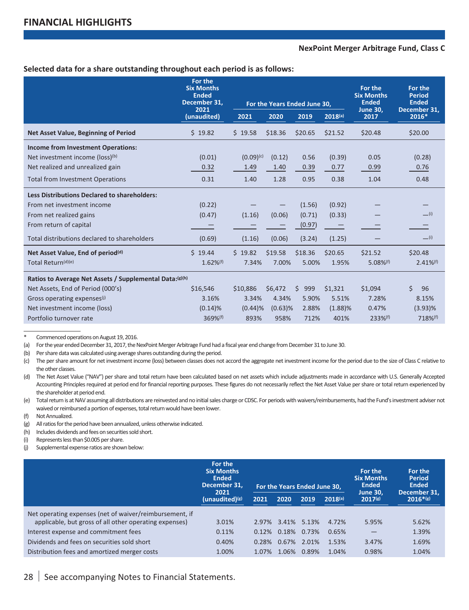#### **NexPoint Merger Arbitrage Fund, Class C**

#### **Selected data for a share outstanding throughout each period is as follows:**

|                                                          | For the<br><b>Six Months</b><br><b>Ended</b><br>December 31,<br>2021 | For the Years Ended June 30, |            |           |            | For the<br><b>Six Months</b><br><b>Ended</b><br><b>June 30,</b> | For the<br><b>Period</b><br><b>Ended</b><br>December 31, |
|----------------------------------------------------------|----------------------------------------------------------------------|------------------------------|------------|-----------|------------|-----------------------------------------------------------------|----------------------------------------------------------|
|                                                          | (unaudited)                                                          | 2021                         | 2020       | 2019      | 2018(a)    | 2017                                                            | 2016*                                                    |
| <b>Net Asset Value, Beginning of Period</b>              | \$19.82                                                              | \$19.58                      | \$18.36    | \$20.65   | \$21.52    | \$20.48                                                         | \$20.00                                                  |
| <b>Income from Investment Operations:</b>                |                                                                      |                              |            |           |            |                                                                 |                                                          |
| Net investment income (loss)(b)                          | (0.01)                                                               | $(0.09)^{(c)}$               | (0.12)     | 0.56      | (0.39)     | 0.05                                                            | (0.28)                                                   |
| Net realized and unrealized gain                         | 0.32                                                                 | 1.49                         | 1.40       | 0.39      | 0.77       | 0.99                                                            | 0.76                                                     |
| <b>Total from Investment Operations</b>                  | 0.31                                                                 | 1.40                         | 1.28       | 0.95      | 0.38       | 1.04                                                            | 0.48                                                     |
| <b>Less Distributions Declared to shareholders:</b>      |                                                                      |                              |            |           |            |                                                                 |                                                          |
| From net investment income                               | (0.22)                                                               |                              |            | (1.56)    | (0.92)     |                                                                 |                                                          |
| From net realized gains                                  | (0.47)                                                               | (1.16)                       | (0.06)     | (0.71)    | (0.33)     |                                                                 | (i)                                                      |
| From return of capital                                   |                                                                      |                              |            | (0.97)    | —          |                                                                 |                                                          |
| Total distributions declared to shareholders             | (0.69)                                                               | (1.16)                       | (0.06)     | (3.24)    | (1.25)     |                                                                 | (i)                                                      |
| Net Asset Value, End of period <sup>(d)</sup>            | Ś.<br>19.44                                                          | \$19.82                      | \$19.58    | \$18.36   | \$20.65    | \$21.52                                                         | \$20.48                                                  |
| Total Return(d)(e)                                       | $1.62\%$ <sup>(f)</sup>                                              | 7.34%                        | 7.00%      | 5.00%     | 1.95%      | $5.08\%$ <sup>(f)</sup>                                         | $2.41\%$ <sup>(f)</sup>                                  |
| Ratios to Average Net Assets / Supplemental Data: (g)(h) |                                                                      |                              |            |           |            |                                                                 |                                                          |
| Net Assets, End of Period (000's)                        | \$16,546                                                             | \$10,886                     | \$6,472    | Ś.<br>999 | \$1,321    | \$1,094                                                         | Ś<br>96                                                  |
| Gross operating expenses(i)                              | 3.16%                                                                | 3.34%                        | 4.34%      | 5.90%     | 5.51%      | 7.28%                                                           | 8.15%                                                    |
| Net investment income (loss)                             | (0.14)%                                                              | $(0.44)$ %                   | $(0.63)$ % | 2.88%     | $(1.88)\%$ | 0.47%                                                           | $(3.93)\%$                                               |
| Portfolio turnover rate                                  | 369%(f)                                                              | 893%                         | 958%       | 712%      | 401%       | 233%(f)                                                         | 718% <sup>(f)</sup>                                      |

Commenced operations on August 19, 2016.

(a) For the year ended December 31, 2017, the NexPoint Merger Arbitrage Fund had a fiscal year end change from December 31 to June 30.

(b) Per share data was calculated using average shares outstanding during the period.

(c) The per share amount for net investment income (loss) between classes does not accord the aggregate net investment income for the period due to the size of Class C relative to the other classes.

(d) The Net Asset Value ("NAV") per share and total return have been calculated based on net assets which include adjustments made in accordance with U.S. Generally Accepted Accounting Principles required at period end for financial reporting purposes. These figures do not necessarily reflect the Net Asset Value per share or total return experienced by the shareholder at period end.

(e) Total return is at NAV assuming all distributions are reinvested and no initial sales charge or CDSC. For periods with waivers/reimbursements, had the Fund's investment adviser not waived or reimbursed a portion of expenses, total return would have been lower.

(f) Not Annualized.

(g) All ratios for the period have been annualized, unless otherwise indicated.

(h) Includes dividends and fees on securities sold short.

(i) Represents less than \$0.005 per share.

(j) Supplemental expense ratios are shown below:

|                                                         | For the<br><b>Six Months</b><br><b>Ended</b><br>December 31.<br>2021<br>(unaudited) <sup>(g)</sup> | For the Years Ended June 30,<br>$2018^{(a)}$<br>2021<br>2020<br>2019 |             | For the<br><b>Six Months</b><br><b>Ended</b><br><b>June 30,</b><br>$2017$ (g) | For the<br><b>Period</b><br><b>Ended</b><br>December 31,<br>$2016*(s)$ |       |       |
|---------------------------------------------------------|----------------------------------------------------------------------------------------------------|----------------------------------------------------------------------|-------------|-------------------------------------------------------------------------------|------------------------------------------------------------------------|-------|-------|
| Net operating expenses (net of waiver/reimbursement, if |                                                                                                    |                                                                      |             |                                                                               |                                                                        |       |       |
| applicable, but gross of all other operating expenses)  | 3.01%                                                                                              | 2.97%                                                                | 3.41% 5.13% |                                                                               | 4.72%                                                                  | 5.95% | 5.62% |
| Interest expense and commitment fees                    | 0.11%                                                                                              | 0.12%                                                                | 0.18%       | 0.73%                                                                         | 0.65%                                                                  |       | 1.39% |
| Dividends and fees on securities sold short             | 0.40%                                                                                              | 0.28%                                                                | $0.67\%$    | 2.01%                                                                         | 1.53%                                                                  | 3.47% | 1.69% |
| Distribution fees and amortized merger costs            | 1.00%                                                                                              | 1.07%                                                                | 1.06%       | 0.89%                                                                         | 1.04%                                                                  | 0.98% | 1.04% |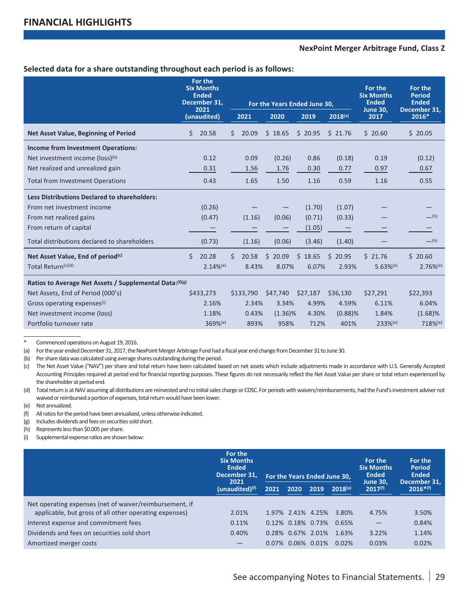#### **NexPoint Merger Arbitrage Fund, Class Z**

#### **Selected data for a share outstanding throughout each period is as follows:**

|                                                          | For the<br><b>Six Months</b><br><b>Ended</b><br>December 31.<br>2021 |             | For the Years Ended June 30, |          |              | For the<br><b>Six Months</b><br><b>Ended</b><br><b>June 30,</b> | For the<br><b>Period</b><br><b>Ended</b><br>December 31. |
|----------------------------------------------------------|----------------------------------------------------------------------|-------------|------------------------------|----------|--------------|-----------------------------------------------------------------|----------------------------------------------------------|
|                                                          | (unaudited)                                                          | 2021        | 2020                         | 2019     | $2018^{(a)}$ | 2017                                                            | 2016*                                                    |
| <b>Net Asset Value, Beginning of Period</b>              | \$<br>20.58                                                          | Ś.<br>20.09 | \$18.65                      | \$20.95  | \$21.76      | \$20.60                                                         | \$20.05                                                  |
| <b>Income from Investment Operations:</b>                |                                                                      |             |                              |          |              |                                                                 |                                                          |
| Net investment income (loss)(b)                          | 0.12                                                                 | 0.09        | (0.26)                       | 0.86     | (0.18)       | 0.19                                                            | (0.12)                                                   |
| Net realized and unrealized gain                         | 0.31                                                                 | 1.56        | 1.76                         | 0.30     | 0.77         | 0.97                                                            | 0.67                                                     |
| <b>Total from Investment Operations</b>                  | 0.43                                                                 | 1.65        | 1.50                         | 1.16     | 0.59         | 1.16                                                            | 0.55                                                     |
| <b>Less Distributions Declared to shareholders:</b>      |                                                                      |             |                              |          |              |                                                                 |                                                          |
| From net investment income                               | (0.26)                                                               |             |                              | (1.70)   | (1.07)       |                                                                 |                                                          |
| From net realized gains                                  | (0.47)                                                               | (1.16)      | (0.06)                       | (0.71)   | (0.33)       |                                                                 | (h)                                                      |
| From return of capital                                   |                                                                      |             |                              | (1.05)   |              |                                                                 |                                                          |
| Total distributions declared to shareholders             | (0.73)                                                               | (1.16)      | (0.06)                       | (3.46)   | (1.40)       |                                                                 | $-$ (h)                                                  |
| Net Asset Value, End of period(c)                        | Ś.<br>20.28                                                          | Ś.<br>20.58 | \$20.09                      | \$18.65  | Ŝ.<br>20.95  | \$21.76                                                         | \$20.60                                                  |
| Total Return(c)(d)                                       | $2.14%$ <sup>(e)</sup>                                               | 8.43%       | 8.07%                        | 6.07%    | 2.93%        | $5.63%$ <sup>(e)</sup>                                          | $2.76%$ <sup>(e)</sup>                                   |
| Ratios to Average Net Assets / Supplemental Data: (f)(g) |                                                                      |             |                              |          |              |                                                                 |                                                          |
| Net Assets, End of Period (000's)                        | \$433,273                                                            | \$133,790   | \$47,740                     | \$27,187 | \$36,130     | \$27,291                                                        | \$22,393                                                 |
| Gross operating expenses <sup>(i)</sup>                  | 2.16%                                                                | 2.34%       | 3.34%                        | 4.99%    | 4.59%        | 6.11%                                                           | 6.04%                                                    |
| Net investment income (loss)                             | 1.18%                                                                | 0.43%       | $(1.36)\%$                   | 4.30%    | $(0.88)$ %   | 1.84%                                                           | $(1.68)\%$                                               |
| Portfolio turnover rate                                  | 369%(e)                                                              | 893%        | 958%                         | 712%     | 401%         | 233%(e)                                                         | 718%(e)                                                  |

Commenced operations on August 19, 2016.

(a) For the year ended December 31, 2017, the NexPoint Merger Arbitrage Fund had a fiscal year end change from December 31 to June 30.

(b) Per share data was calculated using average shares outstanding during the period.

(c) The Net Asset Value ("NAV") per share and total return have been calculated based on net assets which include adjustments made in accordance with U.S. Generally Accepted Accounting Principles required at period end for financial reporting purposes. These figures do not necessarily reflect the Net Asset Value per share or total return experienced by the shareholder at period end.

(d) Total return is at NAV assuming all distributions are reinvested and no initial sales charge or CDSC. For periods with waivers/reimbursements, had the Fund's investment adviser not waived or reimbursed a portion of expenses, total return would have been lower.

- (e) Not annualized.
- (f) All ratios for the period have been annualized, unless otherwise indicated.
- (g) Includes dividends and fees on securities sold short.
- (h) Represents less than \$0.005 per share.
- (i) Supplemental expense ratios are shown below:

|                                                         | For the<br><b>Six Months</b><br><b>Ended</b><br>December 31,<br>2021 |      |      | For the Years Ended June 30, |              | For the<br><b>Six Months</b><br><b>Ended</b><br><b>June 30,</b> | For the<br><b>Period</b><br><b>Ended</b><br>December 31, |  |
|---------------------------------------------------------|----------------------------------------------------------------------|------|------|------------------------------|--------------|-----------------------------------------------------------------|----------------------------------------------------------|--|
|                                                         | (unaudited) <sup>(f)</sup>                                           | 2021 | 2020 | 2019                         | $2018^{(a)}$ | 2017 <sup>(f)</sup>                                             | $2016*(f)$                                               |  |
| Net operating expenses (net of waiver/reimbursement, if |                                                                      |      |      |                              |              |                                                                 |                                                          |  |
| applicable, but gross of all other operating expenses)  | 2.01%                                                                |      |      | 1.97% 2.41% 4.25%            | 3.80%        | 4.75%                                                           | 3.50%                                                    |  |
| Interest expense and commitment fees                    | 0.11%                                                                |      |      | $0.12\%$ 0.18% 0.73%         | 0.65%        |                                                                 | 0.84%                                                    |  |
| Dividends and fees on securities sold short             | 0.40%                                                                |      |      | 0.28% 0.67% 2.01%            | 1.63%        | 3.22%                                                           | 1.14%                                                    |  |
| Amortized merger costs                                  |                                                                      |      |      | $0.07\%$ 0.06% 0.01%         | $0.02\%$     | 0.03%                                                           | 0.02%                                                    |  |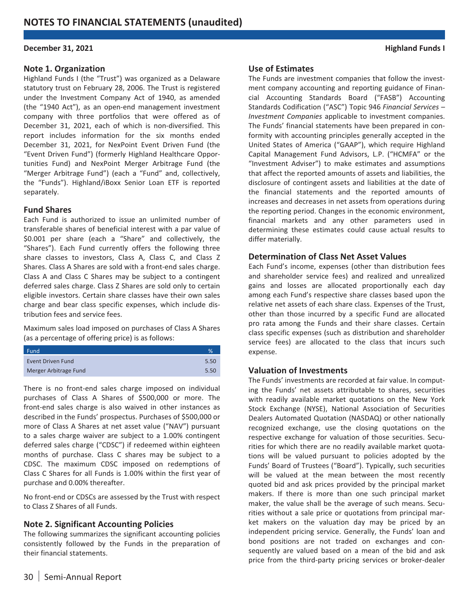#### <span id="page-31-0"></span>**Note 1. Organization**

Highland Funds I (the "Trust") was organized as a Delaware statutory trust on February 28, 2006. The Trust is registered under the Investment Company Act of 1940, as amended (the "1940 Act"), as an open-end management investment company with three portfolios that were offered as of December 31, 2021, each of which is non-diversified. This report includes information for the six months ended December 31, 2021, for NexPoint Event Driven Fund (the "Event Driven Fund") (formerly Highland Healthcare Opportunities Fund) and NexPoint Merger Arbitrage Fund (the "Merger Arbitrage Fund") (each a "Fund" and, collectively, the "Funds"). Highland/iBoxx Senior Loan ETF is reported separately.

#### **Fund Shares**

Each Fund is authorized to issue an unlimited number of transferable shares of beneficial interest with a par value of \$0.001 per share (each a "Share" and collectively, the "Shares"). Each Fund currently offers the following three share classes to investors, Class A, Class C, and Class Z Shares. Class A Shares are sold with a front-end sales charge. Class A and Class C Shares may be subject to a contingent deferred sales charge. Class Z Shares are sold only to certain eligible investors. Certain share classes have their own sales charge and bear class specific expenses, which include distribution fees and service fees.

Maximum sales load imposed on purchases of Class A Shares (as a percentage of offering price) is as follows:

| Fund                  | $\%$ |
|-----------------------|------|
| Event Driven Fund     | 5.50 |
| Merger Arbitrage Fund | 5.50 |

There is no front-end sales charge imposed on individual purchases of Class A Shares of \$500,000 or more. The front-end sales charge is also waived in other instances as described in the Funds' prospectus. Purchases of \$500,000 or more of Class A Shares at net asset value ("NAV") pursuant to a sales charge waiver are subject to a 1.00% contingent deferred sales charge ("CDSC") if redeemed within eighteen months of purchase. Class C shares may be subject to a CDSC. The maximum CDSC imposed on redemptions of Class C Shares for all Funds is 1.00% within the first year of purchase and 0.00% thereafter.

No front-end or CDSCs are assessed by the Trust with respect to Class Z Shares of all Funds.

### **Note 2. Significant Accounting Policies**

The following summarizes the significant accounting policies consistently followed by the Funds in the preparation of their financial statements.

#### **Use of Estimates**

The Funds are investment companies that follow the investment company accounting and reporting guidance of Financial Accounting Standards Board ("FASB") Accounting Standards Codification ("ASC") Topic 946 *Financial Services – Investment Companies* applicable to investment companies. The Funds' financial statements have been prepared in conformity with accounting principles generally accepted in the United States of America ("GAAP"), which require Highland Capital Management Fund Advisors, L.P. ("HCMFA" or the "Investment Adviser") to make estimates and assumptions that affect the reported amounts of assets and liabilities, the disclosure of contingent assets and liabilities at the date of the financial statements and the reported amounts of increases and decreases in net assets from operations during the reporting period. Changes in the economic environment, financial markets and any other parameters used in determining these estimates could cause actual results to differ materially.

### **Determination of Class Net Asset Values**

Each Fund's income, expenses (other than distribution fees and shareholder service fees) and realized and unrealized gains and losses are allocated proportionally each day among each Fund's respective share classes based upon the relative net assets of each share class. Expenses of the Trust, other than those incurred by a specific Fund are allocated pro rata among the Funds and their share classes. Certain class specific expenses (such as distribution and shareholder service fees) are allocated to the class that incurs such expense.

### **Valuation of Investments**

The Funds' investments are recorded at fair value. In computing the Funds' net assets attributable to shares, securities with readily available market quotations on the New York Stock Exchange (NYSE), National Association of Securities Dealers Automated Quotation (NASDAQ) or other nationally recognized exchange, use the closing quotations on the respective exchange for valuation of those securities. Securities for which there are no readily available market quotations will be valued pursuant to policies adopted by the Funds' Board of Trustees ("Board"). Typically, such securities will be valued at the mean between the most recently quoted bid and ask prices provided by the principal market makers. If there is more than one such principal market maker, the value shall be the average of such means. Securities without a sale price or quotations from principal market makers on the valuation day may be priced by an independent pricing service. Generally, the Funds' loan and bond positions are not traded on exchanges and consequently are valued based on a mean of the bid and ask price from the third-party pricing services or broker-dealer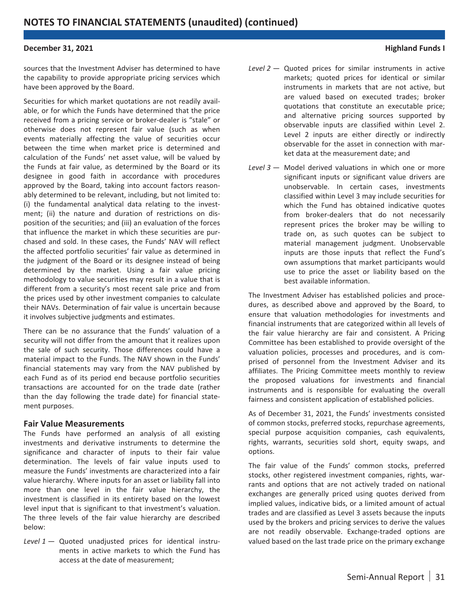sources that the Investment Adviser has determined to have the capability to provide appropriate pricing services which have been approved by the Board.

Securities for which market quotations are not readily available, or for which the Funds have determined that the price received from a pricing service or broker-dealer is "stale" or otherwise does not represent fair value (such as when events materially affecting the value of securities occur between the time when market price is determined and calculation of the Funds' net asset value, will be valued by the Funds at fair value, as determined by the Board or its designee in good faith in accordance with procedures approved by the Board, taking into account factors reasonably determined to be relevant, including, but not limited to: (i) the fundamental analytical data relating to the investment; (ii) the nature and duration of restrictions on disposition of the securities; and (iii) an evaluation of the forces that influence the market in which these securities are purchased and sold. In these cases, the Funds' NAV will reflect the affected portfolio securities' fair value as determined in the judgment of the Board or its designee instead of being determined by the market. Using a fair value pricing methodology to value securities may result in a value that is different from a security's most recent sale price and from the prices used by other investment companies to calculate their NAVs. Determination of fair value is uncertain because it involves subjective judgments and estimates.

There can be no assurance that the Funds' valuation of a security will not differ from the amount that it realizes upon the sale of such security. Those differences could have a material impact to the Funds. The NAV shown in the Funds' financial statements may vary from the NAV published by each Fund as of its period end because portfolio securities transactions are accounted for on the trade date (rather than the day following the trade date) for financial statement purposes.

#### **Fair Value Measurements**

The Funds have performed an analysis of all existing investments and derivative instruments to determine the significance and character of inputs to their fair value determination. The levels of fair value inputs used to measure the Funds' investments are characterized into a fair value hierarchy. Where inputs for an asset or liability fall into more than one level in the fair value hierarchy, the investment is classified in its entirety based on the lowest level input that is significant to that investment's valuation. The three levels of the fair value hierarchy are described below:

*Level 1* — Quoted unadjusted prices for identical instruments in active markets to which the Fund has access at the date of measurement;

- *Level 2 —* Quoted prices for similar instruments in active markets; quoted prices for identical or similar instruments in markets that are not active, but are valued based on executed trades; broker quotations that constitute an executable price; and alternative pricing sources supported by observable inputs are classified within Level 2. Level 2 inputs are either directly or indirectly observable for the asset in connection with market data at the measurement date; and
- *Level 3* Model derived valuations in which one or more significant inputs or significant value drivers are unobservable. In certain cases, investments classified within Level 3 may include securities for which the Fund has obtained indicative quotes from broker-dealers that do not necessarily represent prices the broker may be willing to trade on, as such quotes can be subject to material management judgment. Unobservable inputs are those inputs that reflect the Fund's own assumptions that market participants would use to price the asset or liability based on the best available information.

The Investment Adviser has established policies and procedures, as described above and approved by the Board, to ensure that valuation methodologies for investments and financial instruments that are categorized within all levels of the fair value hierarchy are fair and consistent. A Pricing Committee has been established to provide oversight of the valuation policies, processes and procedures, and is comprised of personnel from the Investment Adviser and its affiliates. The Pricing Committee meets monthly to review the proposed valuations for investments and financial instruments and is responsible for evaluating the overall fairness and consistent application of established policies.

As of December 31, 2021, the Funds' investments consisted of common stocks, preferred stocks, repurchase agreements, special purpose acquisition companies, cash equivalents, rights, warrants, securities sold short, equity swaps, and options.

The fair value of the Funds' common stocks, preferred stocks, other registered investment companies, rights, warrants and options that are not actively traded on national exchanges are generally priced using quotes derived from implied values, indicative bids, or a limited amount of actual trades and are classified as Level 3 assets because the inputs used by the brokers and pricing services to derive the values are not readily observable. Exchange-traded options are valued based on the last trade price on the primary exchange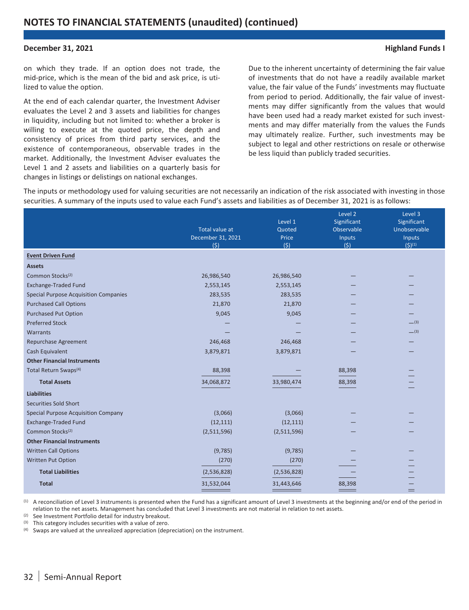on which they trade. If an option does not trade, the mid-price, which is the mean of the bid and ask price, is utilized to value the option.

At the end of each calendar quarter, the Investment Adviser evaluates the Level 2 and 3 assets and liabilities for changes in liquidity, including but not limited to: whether a broker is willing to execute at the quoted price, the depth and consistency of prices from third party services, and the existence of contemporaneous, observable trades in the market. Additionally, the Investment Adviser evaluates the Level 1 and 2 assets and liabilities on a quarterly basis for changes in listings or delistings on national exchanges.

Due to the inherent uncertainty of determining the fair value of investments that do not have a readily available market value, the fair value of the Funds' investments may fluctuate from period to period. Additionally, the fair value of investments may differ significantly from the values that would have been used had a ready market existed for such investments and may differ materially from the values the Funds may ultimately realize. Further, such investments may be subject to legal and other restrictions on resale or otherwise be less liquid than publicly traded securities.

The inputs or methodology used for valuing securities are not necessarily an indication of the risk associated with investing in those securities. A summary of the inputs used to value each Fund's assets and liabilities as of December 31, 2021 is as follows:

|                                              |                       |                   | Level 2                   | Level 3                     |
|----------------------------------------------|-----------------------|-------------------|---------------------------|-----------------------------|
|                                              | <b>Total value at</b> | Level 1<br>Quoted | Significant<br>Observable | Significant<br>Unobservable |
|                                              | December 31, 2021     | Price             | Inputs                    | Inputs                      |
|                                              | (5)                   | (5)               | (5)                       | $(5)^{(1)}$                 |
| <b>Event Driven Fund</b>                     |                       |                   |                           |                             |
| <b>Assets</b>                                |                       |                   |                           |                             |
| Common Stocks <sup>(2)</sup>                 | 26,986,540            | 26,986,540        |                           |                             |
| <b>Exchange-Traded Fund</b>                  | 2,553,145             | 2,553,145         |                           |                             |
| <b>Special Purpose Acquisition Companies</b> | 283,535               | 283,535           |                           |                             |
| <b>Purchased Call Options</b>                | 21,870                | 21,870            |                           |                             |
| <b>Purchased Put Option</b>                  | 9,045                 | 9,045             |                           |                             |
| <b>Preferred Stock</b>                       |                       |                   |                           | $-$ (3)                     |
| Warrants                                     |                       |                   |                           | $-$ (3)                     |
| Repurchase Agreement                         | 246,468               | 246,468           |                           |                             |
| Cash Equivalent                              | 3,879,871             | 3,879,871         |                           |                             |
| <b>Other Financial Instruments</b>           |                       |                   |                           |                             |
| Total Return Swaps <sup>(4)</sup>            | 88,398                |                   | 88,398                    |                             |
| <b>Total Assets</b>                          | 34,068,872            | 33,980,474        | 88,398                    |                             |
| <b>Liabilities</b>                           |                       |                   |                           |                             |
| Securities Sold Short                        |                       |                   |                           |                             |
| <b>Special Purpose Acquisition Company</b>   | (3,066)               | (3,066)           |                           |                             |
| <b>Exchange-Traded Fund</b>                  | (12, 111)             | (12, 111)         |                           |                             |
| Common Stocks <sup>(2)</sup>                 | (2,511,596)           | (2,511,596)       |                           |                             |
| <b>Other Financial Instruments</b>           |                       |                   |                           |                             |
| <b>Written Call Options</b>                  | (9,785)               | (9,785)           |                           |                             |
| <b>Written Put Option</b>                    | (270)                 | (270)             |                           |                             |
| <b>Total Liabilities</b>                     | (2,536,828)           | (2,536,828)       |                           |                             |
| <b>Total</b>                                 | 31,532,044            | 31,443,646        | 88,398                    |                             |
|                                              |                       |                   |                           | $=$                         |

(1) A reconciliation of Level 3 instruments is presented when the Fund has a significant amount of Level 3 investments at the beginning and/or end of the period in relation to the net assets. Management has concluded that Level 3 investments are not material in relation to net assets.

(2) See Investment Portfolio detail for industry breakout.

(3) This category includes securities with a value of zero.

(4) Swaps are valued at the unrealized appreciation (depreciation) on the instrument.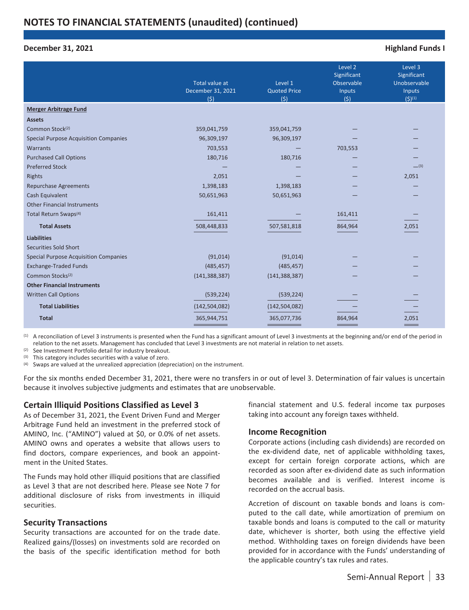# **NOTES TO FINANCIAL STATEMENTS (unaudited) (continued)**

#### **December 31, 2021 Highland Funds I**

|                                              |                          |                            | Level 2<br>Significant | Level 3<br>Significant |
|----------------------------------------------|--------------------------|----------------------------|------------------------|------------------------|
|                                              | <b>Total value at</b>    | Level 1                    | Observable             | Unobservable           |
|                                              | December 31, 2021<br>(5) | <b>Quoted Price</b><br>(5) | <b>Inputs</b><br>(5)   | Inputs<br>$(5)^{(1)}$  |
| <b>Merger Arbitrage Fund</b>                 |                          |                            |                        |                        |
| <b>Assets</b>                                |                          |                            |                        |                        |
| Common Stock <sup>(2)</sup>                  | 359,041,759              | 359,041,759                |                        |                        |
| <b>Special Purpose Acquisition Companies</b> | 96,309,197               | 96,309,197                 |                        |                        |
| Warrants                                     | 703,553                  |                            | 703,553                |                        |
| <b>Purchased Call Options</b>                | 180,716                  | 180,716                    |                        |                        |
| <b>Preferred Stock</b>                       |                          |                            |                        | $-^{(3)}$              |
| <b>Rights</b>                                | 2,051                    |                            |                        | 2,051                  |
| <b>Repurchase Agreements</b>                 | 1,398,183                | 1,398,183                  |                        |                        |
| Cash Equivalent                              | 50,651,963               | 50,651,963                 |                        |                        |
| <b>Other Financial Instruments</b>           |                          |                            |                        |                        |
| Total Return Swaps <sup>(4)</sup>            | 161,411                  |                            | 161,411                |                        |
| <b>Total Assets</b>                          | 508,448,833              | 507,581,818                | 864,964                | 2,051                  |
| <b>Liabilities</b>                           |                          |                            |                        |                        |
| <b>Securities Sold Short</b>                 |                          |                            |                        |                        |
| <b>Special Purpose Acquisition Companies</b> | (91, 014)                | (91, 014)                  |                        |                        |
| <b>Exchange-Traded Funds</b>                 | (485, 457)               | (485, 457)                 |                        |                        |
| Common Stocks <sup>(2)</sup>                 | (141, 388, 387)          | (141, 388, 387)            |                        |                        |
| <b>Other Financial Instruments</b>           |                          |                            |                        |                        |
| <b>Written Call Options</b>                  | (539, 224)               | (539, 224)                 |                        |                        |
| <b>Total Liabilities</b>                     | (142, 504, 082)          | (142, 504, 082)            |                        |                        |
| <b>Total</b>                                 | 365,944,751              | 365,077,736                | 864,964                | 2,051                  |

(1) A reconciliation of Level 3 instruments is presented when the Fund has a significant amount of Level 3 investments at the beginning and/or end of the period in relation to the net assets. Management has concluded that Level 3 investments are not material in relation to net assets.

(2) See Investment Portfolio detail for industry breakout.

(3) This category includes securities with a value of zero.

(4) Swaps are valued at the unrealized appreciation (depreciation) on the instrument.

For the six months ended December 31, 2021, there were no transfers in or out of level 3. Determination of fair values is uncertain because it involves subjective judgments and estimates that are unobservable.

### **Certain Illiquid Positions Classified as Level 3**

As of December 31, 2021, the Event Driven Fund and Merger Arbitrage Fund held an investment in the preferred stock of AMINO, Inc. ("AMINO") valued at \$0, or 0.0% of net assets. AMINO owns and operates a website that allows users to find doctors, compare experiences, and book an appointment in the United States.

The Funds may hold other illiquid positions that are classified as Level 3 that are not described here. Please see Note 7 for additional disclosure of risks from investments in illiquid securities.

#### **Security Transactions**

Security transactions are accounted for on the trade date. Realized gains/(losses) on investments sold are recorded on the basis of the specific identification method for both

financial statement and U.S. federal income tax purposes taking into account any foreign taxes withheld.

#### **Income Recognition**

Corporate actions (including cash dividends) are recorded on the ex-dividend date, net of applicable withholding taxes, except for certain foreign corporate actions, which are recorded as soon after ex-dividend date as such information becomes available and is verified. Interest income is recorded on the accrual basis.

Accretion of discount on taxable bonds and loans is computed to the call date, while amortization of premium on taxable bonds and loans is computed to the call or maturity date, whichever is shorter, both using the effective yield method. Withholding taxes on foreign dividends have been provided for in accordance with the Funds' understanding of the applicable country's tax rules and rates.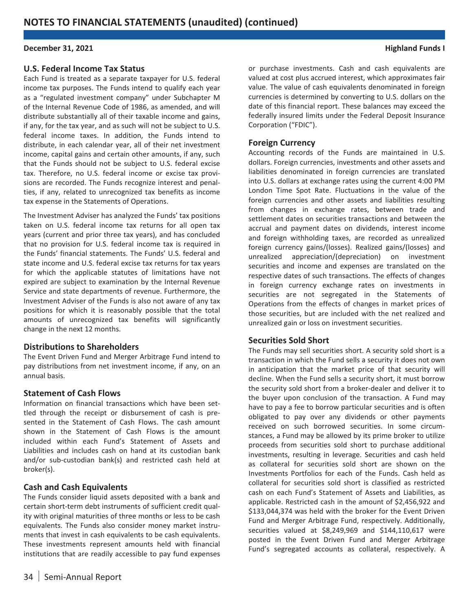#### **U.S. Federal Income Tax Status**

Each Fund is treated as a separate taxpayer for U.S. federal income tax purposes. The Funds intend to qualify each year as a "regulated investment company" under Subchapter M of the Internal Revenue Code of 1986, as amended, and will distribute substantially all of their taxable income and gains, if any, for the tax year, and as such will not be subject to U.S. federal income taxes. In addition, the Funds intend to distribute, in each calendar year, all of their net investment income, capital gains and certain other amounts, if any, such that the Funds should not be subject to U.S. federal excise tax. Therefore, no U.S. federal income or excise tax provisions are recorded. The Funds recognize interest and penalties, if any, related to unrecognized tax benefits as income tax expense in the Statements of Operations.

The Investment Adviser has analyzed the Funds' tax positions taken on U.S. federal income tax returns for all open tax years (current and prior three tax years), and has concluded that no provision for U.S. federal income tax is required in the Funds' financial statements. The Funds' U.S. federal and state income and U.S. federal excise tax returns for tax years for which the applicable statutes of limitations have not expired are subject to examination by the Internal Revenue Service and state departments of revenue. Furthermore, the Investment Adviser of the Funds is also not aware of any tax positions for which it is reasonably possible that the total amounts of unrecognized tax benefits will significantly change in the next 12 months.

#### **Distributions to Shareholders**

The Event Driven Fund and Merger Arbitrage Fund intend to pay distributions from net investment income, if any, on an annual basis.

### **Statement of Cash Flows**

Information on financial transactions which have been settled through the receipt or disbursement of cash is presented in the Statement of Cash Flows. The cash amount shown in the Statement of Cash Flows is the amount included within each Fund's Statement of Assets and Liabilities and includes cash on hand at its custodian bank and/or sub-custodian bank(s) and restricted cash held at broker(s).

### **Cash and Cash Equivalents**

The Funds consider liquid assets deposited with a bank and certain short-term debt instruments of sufficient credit quality with original maturities of three months or less to be cash equivalents. The Funds also consider money market instruments that invest in cash equivalents to be cash equivalents. These investments represent amounts held with financial institutions that are readily accessible to pay fund expenses

34 Semi-Annual Report

or purchase investments. Cash and cash equivalents are valued at cost plus accrued interest, which approximates fair value. The value of cash equivalents denominated in foreign currencies is determined by converting to U.S. dollars on the date of this financial report. These balances may exceed the federally insured limits under the Federal Deposit Insurance Corporation ("FDIC").

#### **Foreign Currency**

Accounting records of the Funds are maintained in U.S. dollars. Foreign currencies, investments and other assets and liabilities denominated in foreign currencies are translated into U.S. dollars at exchange rates using the current 4:00 PM London Time Spot Rate. Fluctuations in the value of the foreign currencies and other assets and liabilities resulting from changes in exchange rates, between trade and settlement dates on securities transactions and between the accrual and payment dates on dividends, interest income and foreign withholding taxes, are recorded as unrealized foreign currency gains/(losses). Realized gains/(losses) and unrealized appreciation/(depreciation) on investment securities and income and expenses are translated on the respective dates of such transactions. The effects of changes in foreign currency exchange rates on investments in securities are not segregated in the Statements of Operations from the effects of changes in market prices of those securities, but are included with the net realized and unrealized gain or loss on investment securities.

### **Securities Sold Short**

The Funds may sell securities short. A security sold short is a transaction in which the Fund sells a security it does not own in anticipation that the market price of that security will decline. When the Fund sells a security short, it must borrow the security sold short from a broker-dealer and deliver it to the buyer upon conclusion of the transaction. A Fund may have to pay a fee to borrow particular securities and is often obligated to pay over any dividends or other payments received on such borrowed securities. In some circumstances, a Fund may be allowed by its prime broker to utilize proceeds from securities sold short to purchase additional investments, resulting in leverage. Securities and cash held as collateral for securities sold short are shown on the Investments Portfolios for each of the Funds. Cash held as collateral for securities sold short is classified as restricted cash on each Fund's Statement of Assets and Liabilities, as applicable. Restricted cash in the amount of \$2,456,922 and \$133,044,374 was held with the broker for the Event Driven Fund and Merger Arbitrage Fund, respectively. Additionally, securities valued at \$8,249,969 and \$144,110,617 were posted in the Event Driven Fund and Merger Arbitrage Fund's segregated accounts as collateral, respectively. A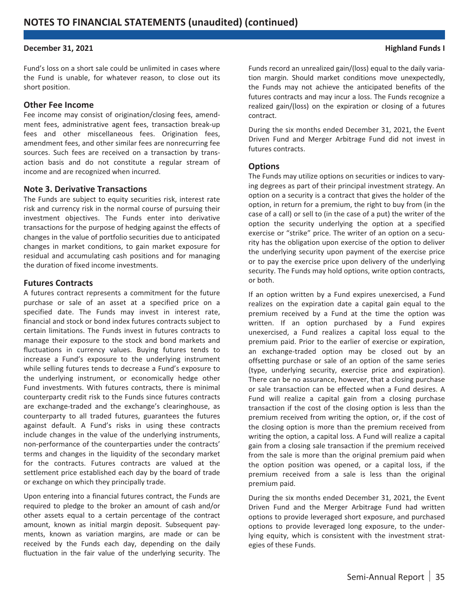Fund's loss on a short sale could be unlimited in cases where the Fund is unable, for whatever reason, to close out its short position.

#### **Other Fee Income**

Fee income may consist of origination/closing fees, amendment fees, administrative agent fees, transaction break-up fees and other miscellaneous fees. Origination fees, amendment fees, and other similar fees are nonrecurring fee sources. Such fees are received on a transaction by transaction basis and do not constitute a regular stream of income and are recognized when incurred.

#### **Note 3. Derivative Transactions**

The Funds are subject to equity securities risk, interest rate risk and currency risk in the normal course of pursuing their investment objectives. The Funds enter into derivative transactions for the purpose of hedging against the effects of changes in the value of portfolio securities due to anticipated changes in market conditions, to gain market exposure for residual and accumulating cash positions and for managing the duration of fixed income investments.

#### **Futures Contracts**

A futures contract represents a commitment for the future purchase or sale of an asset at a specified price on a specified date. The Funds may invest in interest rate, financial and stock or bond index futures contracts subject to certain limitations. The Funds invest in futures contracts to manage their exposure to the stock and bond markets and fluctuations in currency values. Buying futures tends to increase a Fund's exposure to the underlying instrument while selling futures tends to decrease a Fund's exposure to the underlying instrument, or economically hedge other Fund investments. With futures contracts, there is minimal counterparty credit risk to the Funds since futures contracts are exchange-traded and the exchange's clearinghouse, as counterparty to all traded futures, guarantees the futures against default. A Fund's risks in using these contracts include changes in the value of the underlying instruments, non-performance of the counterparties under the contracts' terms and changes in the liquidity of the secondary market for the contracts. Futures contracts are valued at the settlement price established each day by the board of trade or exchange on which they principally trade.

Upon entering into a financial futures contract, the Funds are required to pledge to the broker an amount of cash and/or other assets equal to a certain percentage of the contract amount, known as initial margin deposit. Subsequent payments, known as variation margins, are made or can be received by the Funds each day, depending on the daily fluctuation in the fair value of the underlying security. The Funds record an unrealized gain/(loss) equal to the daily variation margin. Should market conditions move unexpectedly, the Funds may not achieve the anticipated benefits of the futures contracts and may incur a loss. The Funds recognize a realized gain/(loss) on the expiration or closing of a futures contract.

During the six months ended December 31, 2021, the Event Driven Fund and Merger Arbitrage Fund did not invest in futures contracts.

#### **Options**

The Funds may utilize options on securities or indices to varying degrees as part of their principal investment strategy. An option on a security is a contract that gives the holder of the option, in return for a premium, the right to buy from (in the case of a call) or sell to (in the case of a put) the writer of the option the security underlying the option at a specified exercise or "strike" price. The writer of an option on a security has the obligation upon exercise of the option to deliver the underlying security upon payment of the exercise price or to pay the exercise price upon delivery of the underlying security. The Funds may hold options, write option contracts, or both.

If an option written by a Fund expires unexercised, a Fund realizes on the expiration date a capital gain equal to the premium received by a Fund at the time the option was written. If an option purchased by a Fund expires unexercised, a Fund realizes a capital loss equal to the premium paid. Prior to the earlier of exercise or expiration, an exchange-traded option may be closed out by an offsetting purchase or sale of an option of the same series (type, underlying security, exercise price and expiration). There can be no assurance, however, that a closing purchase or sale transaction can be effected when a Fund desires. A Fund will realize a capital gain from a closing purchase transaction if the cost of the closing option is less than the premium received from writing the option, or, if the cost of the closing option is more than the premium received from writing the option, a capital loss. A Fund will realize a capital gain from a closing sale transaction if the premium received from the sale is more than the original premium paid when the option position was opened, or a capital loss, if the premium received from a sale is less than the original premium paid.

During the six months ended December 31, 2021, the Event Driven Fund and the Merger Arbitrage Fund had written options to provide leveraged short exposure, and purchased options to provide leveraged long exposure, to the underlying equity, which is consistent with the investment strategies of these Funds.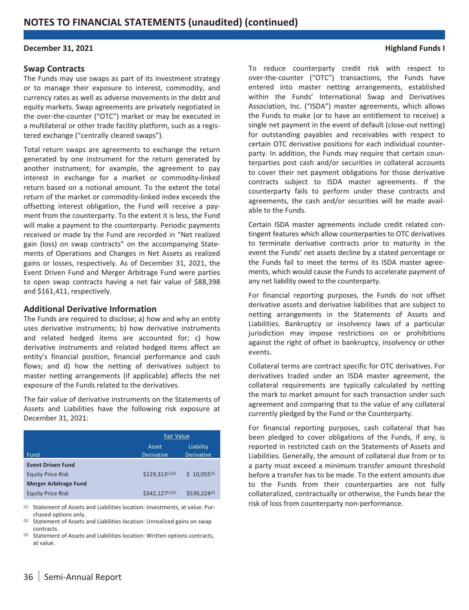#### **Swap Contracts**

The Funds may use swaps as part of its investment strategy or to manage their exposure to interest, commodity, and currency rates as well as adverse movements in the debt and equity markets. Swap agreements are privately negotiated in the over-the-counter ("OTC") market or may be executed in a multilateral or other trade facility platform, such as a registered exchange ("centrally cleared swaps").

Total return swaps are agreements to exchange the return generated by one instrument for the return generated by another instrument; for example, the agreement to pay interest in exchange for a market or commodity-linked return based on a notional amount. To the extent the total return of the market or commodity-linked index exceeds the offsetting interest obligation, the Fund will receive a payment from the counterparty. To the extent it is less, the Fund will make a payment to the counterparty. Periodic payments received or made by the Fund are recorded in "Net realized gain (loss) on swap contracts" on the accompanying Statements of Operations and Changes in Net Assets as realized gains or losses, respectively. As of December 31, 2021, the Event Driven Fund and Merger Arbitrage Fund were parties to open swap contracts having a net fair value of \$88,398 and \$161,411, respectively.

#### **Additional Derivative Information**

The Funds are required to disclose; a) how and why an entity uses derivative instruments; b) how derivative instruments and related hedged items are accounted for; c) how derivative instruments and related hedged items affect an entity's financial position, financial performance and cash flows; and d) how the netting of derivatives subject to master netting arrangements (if applicable) affects the net exposure of the Funds related to the derivatives.

The fair value of derivative instruments on the Statements of Assets and Liabilities have the following risk exposure at December 31, 2021:

|                              | <b>Fair Value</b>          |                                |  |  |
|------------------------------|----------------------------|--------------------------------|--|--|
| Fund                         | Asset<br><b>Derivative</b> | Liability<br><b>Derivative</b> |  |  |
| <b>Event Driven Fund</b>     |                            |                                |  |  |
| <b>Equity Price Risk</b>     | \$119.313(1)(2)            | $$10.055^{(3)}$$               |  |  |
| <b>Merger Arbitrage Fund</b> |                            |                                |  |  |
| <b>Equity Price Risk</b>     | \$342,127(1)(2)            | \$539,224(3)                   |  |  |

(1) Statement of Assets and Liabilities location: Investments, at value. Purchased options only.

(2) Statement of Assets and Liabilities location: Unrealized gains on swap contracts.

(3) Statement of Assets and Liabilities location: Written options contracts, at value.

To reduce counterparty credit risk with respect to over-the-counter ("OTC") transactions, the Funds have entered into master netting arrangements, established within the Funds' International Swap and Derivatives Association, Inc. ("ISDA") master agreements, which allows the Funds to make (or to have an entitlement to receive) a single net payment in the event of default (close-out netting) for outstanding payables and receivables with respect to certain OTC derivative positions for each individual counterparty. In addition, the Funds may require that certain counterparties post cash and/or securities in collateral accounts to cover their net payment obligations for those derivative contracts subject to ISDA master agreements. If the counterparty fails to perform under these contracts and agreements, the cash and/or securities will be made available to the Funds.

Certain ISDA master agreements include credit related contingent features which allow counterparties to OTC derivatives to terminate derivative contracts prior to maturity in the event the Funds' net assets decline by a stated percentage or the Funds fail to meet the terms of its ISDA master agreements, which would cause the Funds to accelerate payment of any net liability owed to the counterparty.

For financial reporting purposes, the Funds do not offset derivative assets and derivative liabilities that are subject to netting arrangements in the Statements of Assets and Liabilities. Bankruptcy or insolvency laws of a particular jurisdiction may impose restrictions on or prohibitions against the right of offset in bankruptcy, insolvency or other events.

Collateral terms are contract specific for OTC derivatives. For derivatives traded under an ISDA master agreement, the collateral requirements are typically calculated by netting the mark to market amount for each transaction under such agreement and comparing that to the value of any collateral currently pledged by the Fund or the Counterparty.

For financial reporting purposes, cash collateral that has been pledged to cover obligations of the Funds, if any, is reported in restricted cash on the Statements of Assets and Liabilities. Generally, the amount of collateral due from or to a party must exceed a minimum transfer amount threshold before a transfer has to be made. To the extent amounts due to the Funds from their counterparties are not fully collateralized, contractually or otherwise, the Funds bear the risk of loss from counterparty non-performance.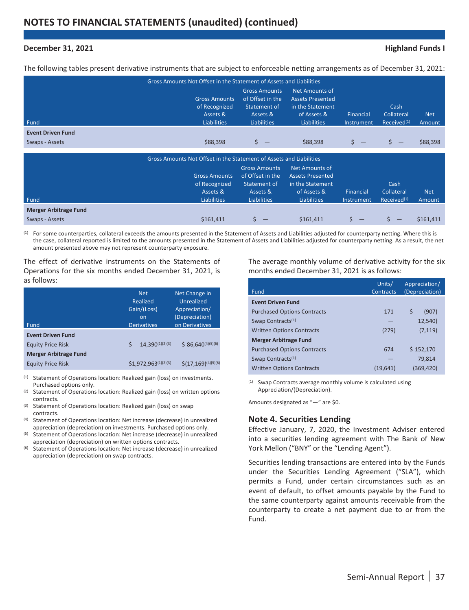# **NOTES TO FINANCIAL STATEMENTS (unaudited) (continued)**

#### **December 31, 2021 Highland Funds I**

The following tables present derivative instruments that are subject to enforceable netting arrangements as of December 31, 2021:

|                              | Gross Amounts Not Offset in the Statement of Assets and Liabilities     |                                                                                     |                                                                                                    |                                   |                                               |                      |
|------------------------------|-------------------------------------------------------------------------|-------------------------------------------------------------------------------------|----------------------------------------------------------------------------------------------------|-----------------------------------|-----------------------------------------------|----------------------|
| Fund                         | <b>Gross Amounts</b><br>of Recognized<br>Assets &<br><b>Liabilities</b> | <b>Gross Amounts</b><br>of Offset in the<br>Statement of<br>Assets &<br>Liabilities | Net Amounts of<br><b>Assets Presented</b><br>in the Statement<br>of Assets &<br><b>Liabilities</b> | Financial<br>Instrument           | Cash<br>Collateral<br>Received <sup>(1)</sup> | <b>Net</b><br>Amount |
| <b>Event Driven Fund</b>     |                                                                         |                                                                                     |                                                                                                    |                                   |                                               |                      |
| Swaps - Assets               | \$88,398                                                                | Ś.                                                                                  | \$88,398                                                                                           | $\mathsf{S}$<br>$\qquad \qquad -$ | $\qquad \qquad -$                             | \$88,398             |
|                              | Gross Amounts Not Offset in the Statement of Assets and Liabilities     |                                                                                     |                                                                                                    |                                   |                                               |                      |
|                              |                                                                         | <b>Gross Amounts</b>                                                                | Net Amounts of                                                                                     |                                   |                                               |                      |
|                              | <b>Gross Amounts</b><br>of Recognized                                   | of Offset in the<br>Statement of                                                    | <b>Assets Presented</b><br>in the Statement                                                        |                                   | Cash                                          |                      |
|                              | Assets &                                                                | Assets &                                                                            | of Assets &                                                                                        | Financial                         | Collateral                                    | <b>Net</b>           |
| Fund                         | <b>Liabilities</b>                                                      | <b>Liabilities</b>                                                                  | <b>Liabilities</b>                                                                                 | Instrument                        | Received <sup>(1)</sup>                       | Amount               |
| <b>Merger Arbitrage Fund</b> |                                                                         |                                                                                     |                                                                                                    |                                   |                                               |                      |
| Swaps - Assets               | \$161,411                                                               | $\qquad \qquad -$                                                                   | \$161,411                                                                                          | \$<br>$\qquad \qquad -$           | $\overline{\phantom{m}}$                      | \$161,411            |

(1) For some counterparties, collateral exceeds the amounts presented in the Statement of Assets and Liabilities adjusted for counterparty netting. Where this is the case, collateral reported is limited to the amounts presented in the Statement of Assets and Liabilities adjusted for counterparty netting. As a result, the net amount presented above may not represent counterparty exposure.

The effect of derivative instruments on the Statements of Operations for the six months ended December 31, 2021, is as follows:

|                              | <b>Net</b><br>Realized<br>Gain/(Loss)<br>on | Net Change in<br>Unrealized<br>Appreciation/<br>(Depreciation) |
|------------------------------|---------------------------------------------|----------------------------------------------------------------|
| Fund                         | <b>Derivatives</b>                          | on Derivatives                                                 |
| <b>Event Driven Fund</b>     |                                             |                                                                |
| <b>Equity Price Risk</b>     | 14.390(1)(2)(3)<br>Ś                        | $$86.640^{(4)(5)(6)}$                                          |
| <b>Merger Arbitrage Fund</b> |                                             |                                                                |
| <b>Equity Price Risk</b>     | \$1,972,963(1)(2)(3)                        | $S(17, 169)^{(4)(5)(6)}$                                       |

(1) Statement of Operations location: Realized gain (loss) on investments. Purchased options only.

- (2) Statement of Operations location: Realized gain (loss) on written options contracts.
- (3) Statement of Operations location: Realized gain (loss) on swap contracts.
- (4) Statement of Operations location: Net increase (decrease) in unrealized appreciation (depreciation) on investments. Purchased options only.
- (5) Statement of Operations location: Net increase (decrease) in unrealized appreciation (depreciation) on written options contracts.
- (6) Statement of Operations location: Net increase (decrease) in unrealized appreciation (depreciation) on swap contracts.

The average monthly volume of derivative activity for the six months ended December 31, 2021 is as follows:

|                                    | Units/    | Appreciation/  |
|------------------------------------|-----------|----------------|
| Fund                               | Contracts | (Depreciation) |
| <b>Event Driven Fund</b>           |           |                |
| <b>Purchased Options Contracts</b> | 171       | \$<br>(907)    |
| Swap Contracts <sup>(1)</sup>      |           | 12,540)        |
| <b>Written Options Contracts</b>   | (279)     | (7, 119)       |
| <b>Merger Arbitrage Fund</b>       |           |                |
| <b>Purchased Options Contracts</b> | 674       | \$152.170      |
| Swap Contracts <sup>(1)</sup>      |           | 79,814         |
| <b>Written Options Contracts</b>   | (19, 641) | (369, 420)     |

(1) Swap Contracts average monthly volume is calculated using Appreciation/(Depreciation).

Amounts designated as "—" are \$0.

#### **Note 4. Securities Lending**

Effective January, 7, 2020, the Investment Adviser entered into a securities lending agreement with The Bank of New York Mellon ("BNY" or the "Lending Agent").

Securities lending transactions are entered into by the Funds under the Securities Lending Agreement ("SLA"), which permits a Fund, under certain circumstances such as an event of default, to offset amounts payable by the Fund to the same counterparty against amounts receivable from the counterparty to create a net payment due to or from the Fund.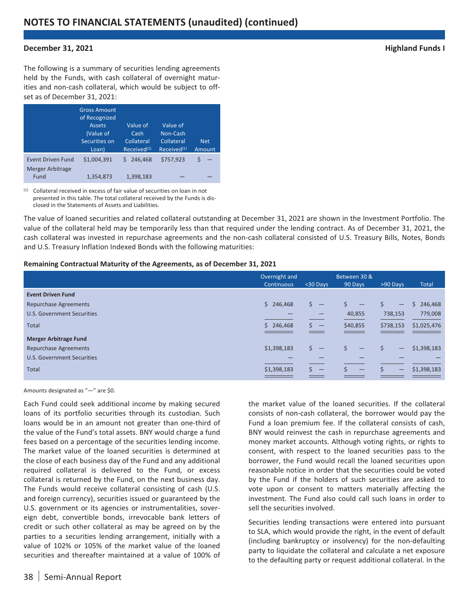The following is a summary of securities lending agreements held by the Funds, with cash collateral of overnight maturities and non-cash collateral, which would be subject to offset as of December 31, 2021:

|                                 | <b>Gross Amount</b><br>of Recognized<br><b>Assets</b><br>(Value of<br>Securities on<br>Loan) | Value of<br>Cash<br>Collateral<br>Received <sup>(1)</sup> | Value of<br>Non-Cash<br>Collateral<br>Received <sup>(1)</sup> | <b>Net</b><br>Amount |
|---------------------------------|----------------------------------------------------------------------------------------------|-----------------------------------------------------------|---------------------------------------------------------------|----------------------|
| <b>Event Driven Fund</b>        | \$1.004.391                                                                                  | 246.468<br>Ś.                                             | \$757.923                                                     |                      |
| <b>Merger Arbitrage</b><br>Fund | 1,354,873                                                                                    | 1,398,183                                                 |                                                               |                      |

(1) Collateral received in excess of fair value of securities on loan in not presented in this table. The total collateral received by the Funds is disclosed in the Statements of Assets and Liabilities.

The value of loaned securities and related collateral outstanding at December 31, 2021 are shown in the Investment Portfolio. The value of the collateral held may be temporarily less than that required under the lending contract. As of December 31, 2021, the cash collateral was invested in repurchase agreements and the non-cash collateral consisted of U.S. Treasury Bills, Notes, Bonds and U.S. Treasury Inflation Indexed Bonds with the following maturities:

#### **Remaining Contractual Maturity of the Agreements, as of December 31, 2021**

|                                   | Overnight and<br><b>Continuous</b> | $30$ Davs                           | Between 30 &<br>90 Days         | >90 Days                       | <b>Total</b> |
|-----------------------------------|------------------------------------|-------------------------------------|---------------------------------|--------------------------------|--------------|
| <b>Event Driven Fund</b>          |                                    |                                     |                                 |                                |              |
| Repurchase Agreements             | \$246,468                          | Ś.<br>$\overline{\phantom{0}}$      | $\qquad \qquad - \qquad \qquad$ | Ś.<br>—                        | 246,468      |
| <b>U.S. Government Securities</b> |                                    |                                     | 40,855                          | 738,153                        | 779,008      |
| <b>Total</b>                      | \$246,468                          | $\zeta =$                           | \$40,855                        | \$738,153                      | \$1,025,476  |
| <b>Merger Arbitrage Fund</b>      |                                    |                                     |                                 |                                |              |
| <b>Repurchase Agreements</b>      | \$1,398,183                        | Ś.                                  | $\qquad \qquad -$               | Ś.<br>$\overline{\phantom{0}}$ | \$1,398,183  |
| <b>U.S. Government Securities</b> |                                    |                                     |                                 |                                |              |
| <b>Total</b>                      | \$1,398,183                        | $\zeta$<br>$\overline{\phantom{m}}$ | $\qquad \qquad - \qquad \qquad$ | -                              | \$1,398,183  |

Amounts designated as "—" are \$0.

Each Fund could seek additional income by making secured loans of its portfolio securities through its custodian. Such loans would be in an amount not greater than one-third of the value of the Fund's total assets. BNY would charge a fund fees based on a percentage of the securities lending income. The market value of the loaned securities is determined at the close of each business day of the Fund and any additional required collateral is delivered to the Fund, or excess collateral is returned by the Fund, on the next business day. The Funds would receive collateral consisting of cash (U.S. and foreign currency), securities issued or guaranteed by the U.S. government or its agencies or instrumentalities, sovereign debt, convertible bonds, irrevocable bank letters of credit or such other collateral as may be agreed on by the parties to a securities lending arrangement, initially with a value of 102% or 105% of the market value of the loaned securities and thereafter maintained at a value of 100% of the market value of the loaned securities. If the collateral consists of non-cash collateral, the borrower would pay the Fund a loan premium fee. If the collateral consists of cash, BNY would reinvest the cash in repurchase agreements and money market accounts. Although voting rights, or rights to consent, with respect to the loaned securities pass to the borrower, the Fund would recall the loaned securities upon reasonable notice in order that the securities could be voted by the Fund if the holders of such securities are asked to vote upon or consent to matters materially affecting the investment. The Fund also could call such loans in order to sell the securities involved.

Securities lending transactions were entered into pursuant to SLA, which would provide the right, in the event of default (including bankruptcy or insolvency) for the non-defaulting party to liquidate the collateral and calculate a net exposure to the defaulting party or request additional collateral. In the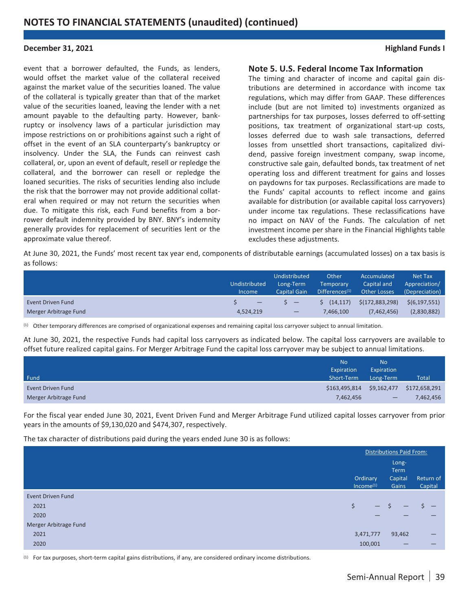event that a borrower defaulted, the Funds, as lenders, would offset the market value of the collateral received against the market value of the securities loaned. The value of the collateral is typically greater than that of the market value of the securities loaned, leaving the lender with a net amount payable to the defaulting party. However, bankruptcy or insolvency laws of a particular jurisdiction may impose restrictions on or prohibitions against such a right of offset in the event of an SLA counterparty's bankruptcy or insolvency. Under the SLA, the Funds can reinvest cash collateral, or, upon an event of default, resell or repledge the collateral, and the borrower can resell or repledge the loaned securities. The risks of securities lending also include the risk that the borrower may not provide additional collateral when required or may not return the securities when due. To mitigate this risk, each Fund benefits from a borrower default indemnity provided by BNY. BNY's indemnity generally provides for replacement of securities lent or the approximate value thereof.

#### **Note 5. U.S. Federal Income Tax Information**

The timing and character of income and capital gain distributions are determined in accordance with income tax regulations, which may differ from GAAP. These differences include (but are not limited to) investments organized as partnerships for tax purposes, losses deferred to off-setting positions, tax treatment of organizational start-up costs, losses deferred due to wash sale transactions, deferred losses from unsettled short transactions, capitalized dividend, passive foreign investment company, swap income, constructive sale gain, defaulted bonds, tax treatment of net operating loss and different treatment for gains and losses on paydowns for tax purposes. Reclassifications are made to the Funds' capital accounts to reflect income and gains available for distribution (or available capital loss carryovers) under income tax regulations. These reclassifications have no impact on NAV of the Funds. The calculation of net investment income per share in the Financial Highlights table excludes these adjustments.

At June 30, 2021, the Funds' most recent tax year end, components of distributable earnings (accumulated losses) on a tax basis is as follows:

|                       | <b>Undistributed</b><br>Income | <b>Undistributed</b><br>Long-Term<br><b>Capital Gain</b> | Other<br>Temporarv<br>Differences <sup>(1)</sup> | Accumulated<br>Capital and<br><b>Other Losses</b> | Net Tax<br>Appreciation/<br>(Depreciation) |
|-----------------------|--------------------------------|----------------------------------------------------------|--------------------------------------------------|---------------------------------------------------|--------------------------------------------|
| Event Driven Fund     | $\overline{\phantom{m}}$       | $S =$                                                    | (14, 117)                                        | \$(172, 883, 298)                                 | \$(6, 197, 551)                            |
| Merger Arbitrage Fund | 4,524,219                      | $\overline{\phantom{m}}$                                 | 7,466,100                                        | (7.462.456)                                       | (2,830,882)                                |

(1) Other temporary differences are comprised of organizational expenses and remaining capital loss carryover subject to annual limitation.

At June 30, 2021, the respective Funds had capital loss carryovers as indicated below. The capital loss carryovers are available to offset future realized capital gains. For Merger Arbitrage Fund the capital loss carryover may be subject to annual limitations.

|                          | <b>No</b>     | <b>No</b>                |               |
|--------------------------|---------------|--------------------------|---------------|
|                          | Expiration    | Expiration               |               |
| Fund                     | Short-Term    | Long-Term                | <b>Total</b>  |
| <b>Event Driven Fund</b> | \$163,495,814 | \$9,162,477              | \$172,658,291 |
| Merger Arbitrage Fund    | 7,462,456     | $\overline{\phantom{a}}$ | 7,462,456     |

For the fiscal year ended June 30, 2021, Event Driven Fund and Merger Arbitrage Fund utilized capital losses carryover from prior years in the amounts of \$9,130,020 and \$474,307, respectively.

The tax character of distributions paid during the years ended June 30 is as follows:

|                          | <b>Distributions Paid From:</b>   |                                          |                      |  |
|--------------------------|-----------------------------------|------------------------------------------|----------------------|--|
|                          | Ordinary<br>Income <sup>(1)</sup> | Long-<br><b>Term</b><br>Capital<br>Gains | Return of<br>Capital |  |
| <b>Event Driven Fund</b> |                                   |                                          |                      |  |
| 2021                     | \$<br>$\sim$                      | $\qquad \qquad -$                        |                      |  |
| 2020                     |                                   |                                          |                      |  |
| Merger Arbitrage Fund    |                                   |                                          |                      |  |
| 2021                     | 3,471,777                         | 93,462                                   | _                    |  |
| 2020                     | 100,001                           | _                                        |                      |  |

 $(1)$  For tax purposes, short-term capital gains distributions, if any, are considered ordinary income distributions.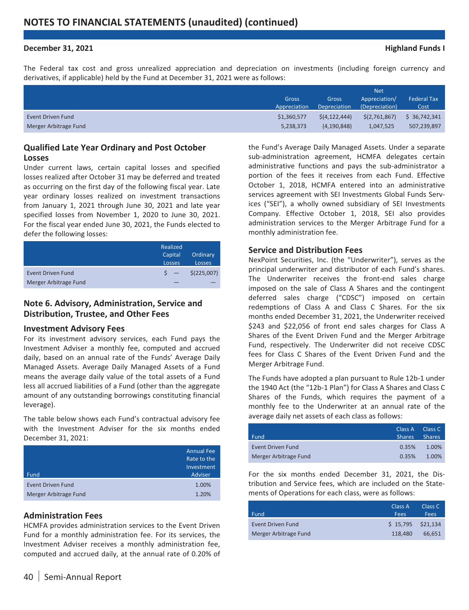The Federal tax cost and gross unrealized appreciation and depreciation on investments (including foreign currency and derivatives, if applicable) held by the Fund at December 31, 2021 were as follows:

|                       |              |               | <b>Net</b>     |                    |
|-----------------------|--------------|---------------|----------------|--------------------|
|                       | <b>Gross</b> | <b>Gross</b>  | Appreciation/  | <b>Federal Tax</b> |
|                       | Appreciation | Depreciation  | (Depreciation) | Cost               |
| Event Driven Fund     | \$1.360.577  | \$(4,122,444) | \$(2,761,867)  | \$36.742.341       |
| Merger Arbitrage Fund | 5,238,373    | (4.190.848)   | 1.047.525      | 507,239,897        |

### **Qualified Late Year Ordinary and Post October Losses**

Under current laws, certain capital losses and specified losses realized after October 31 may be deferred and treated as occurring on the first day of the following fiscal year. Late year ordinary losses realized on investment transactions from January 1, 2021 through June 30, 2021 and late year specified losses from November 1, 2020 to June 30, 2021. For the fiscal year ended June 30, 2021, the Funds elected to defer the following losses:

|                       | Realized<br>Capital<br><b>Losses</b> | Ordinary<br>Losses |
|-----------------------|--------------------------------------|--------------------|
| Event Driven Fund     | $S =$                                | \$(225,007)        |
| Merger Arbitrage Fund |                                      |                    |

### **Note 6. Advisory, Administration, Service and Distribution, Trustee, and Other Fees**

#### **Investment Advisory Fees**

For its investment advisory services, each Fund pays the Investment Adviser a monthly fee, computed and accrued daily, based on an annual rate of the Funds' Average Daily Managed Assets. Average Daily Managed Assets of a Fund means the average daily value of the total assets of a Fund less all accrued liabilities of a Fund (other than the aggregate amount of any outstanding borrowings constituting financial leverage).

The table below shows each Fund's contractual advisory fee with the Investment Adviser for the six months ended December 31, 2021:

|                       | <b>Annual Fee</b> |
|-----------------------|-------------------|
|                       | Rate to the       |
|                       | Investment        |
| Fund                  | Adviser           |
| Event Driven Fund     | 1.00%             |
| Merger Arbitrage Fund | 1.20%             |

### **Administration Fees**

HCMFA provides administration services to the Event Driven Fund for a monthly administration fee. For its services, the Investment Adviser receives a monthly administration fee, computed and accrued daily, at the annual rate of 0.20% of the Fund's Average Daily Managed Assets. Under a separate sub-administration agreement, HCMFA delegates certain administrative functions and pays the sub-administrator a portion of the fees it receives from each Fund. Effective October 1, 2018, HCMFA entered into an administrative services agreement with SEI Investments Global Funds Services ("SEI"), a wholly owned subsidiary of SEI Investments Company. Effective October 1, 2018, SEI also provides administration services to the Merger Arbitrage Fund for a monthly administration fee.

#### **Service and Distribution Fees**

NexPoint Securities, Inc. (the "Underwriter"), serves as the principal underwriter and distributor of each Fund's shares. The Underwriter receives the front-end sales charge imposed on the sale of Class A Shares and the contingent deferred sales charge ("CDSC") imposed on certain redemptions of Class A and Class C Shares. For the six months ended December 31, 2021, the Underwriter received \$243 and \$22,056 of front end sales charges for Class A Shares of the Event Driven Fund and the Merger Arbitrage Fund, respectively. The Underwriter did not receive CDSC fees for Class C Shares of the Event Driven Fund and the Merger Arbitrage Fund.

The Funds have adopted a plan pursuant to Rule 12b-1 under the 1940 Act (the "12b-1 Plan") for Class A Shares and Class C Shares of the Funds, which requires the payment of a monthly fee to the Underwriter at an annual rate of the average daily net assets of each class as follows:

| Fund                  | Class A Class C<br><b>Shares</b> | <b>Shares</b> |
|-----------------------|----------------------------------|---------------|
| Event Driven Fund     | $0.35\%$                         | 1.00%         |
| Merger Arbitrage Fund | $0.35\%$                         | 1.00%         |

For the six months ended December 31, 2021, the Distribution and Service fees, which are included on the Statements of Operations for each class, were as follows:

| Fund                  | Class A<br>Fees     | Class C<br>Fees |
|-----------------------|---------------------|-----------------|
| Event Driven Fund     | $$15.795$ $$21.134$ |                 |
| Merger Arbitrage Fund | 118,480             | 66.651          |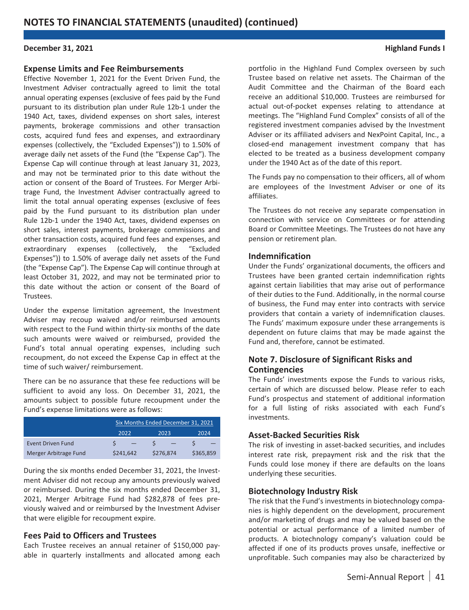#### **Expense Limits and Fee Reimbursements**

Effective November 1, 2021 for the Event Driven Fund, the Investment Adviser contractually agreed to limit the total annual operating expenses (exclusive of fees paid by the Fund pursuant to its distribution plan under Rule 12b-1 under the 1940 Act, taxes, dividend expenses on short sales, interest payments, brokerage commissions and other transaction costs, acquired fund fees and expenses, and extraordinary expenses (collectively, the "Excluded Expenses")) to 1.50% of average daily net assets of the Fund (the "Expense Cap"). The Expense Cap will continue through at least January 31, 2023, and may not be terminated prior to this date without the action or consent of the Board of Trustees. For Merger Arbitrage Fund, the Investment Adviser contractually agreed to limit the total annual operating expenses (exclusive of fees paid by the Fund pursuant to its distribution plan under Rule 12b-1 under the 1940 Act, taxes, dividend expenses on short sales, interest payments, brokerage commissions and other transaction costs, acquired fund fees and expenses, and extraordinary expenses (collectively, the "Excluded Expenses")) to 1.50% of average daily net assets of the Fund (the "Expense Cap"). The Expense Cap will continue through at least October 31, 2022, and may not be terminated prior to this date without the action or consent of the Board of **Trustees** 

Under the expense limitation agreement, the Investment Adviser may recoup waived and/or reimbursed amounts with respect to the Fund within thirty-six months of the date such amounts were waived or reimbursed, provided the Fund's total annual operating expenses, including such recoupment, do not exceed the Expense Cap in effect at the time of such waiver/ reimbursement.

There can be no assurance that these fee reductions will be sufficient to avoid any loss. On December 31, 2021, the amounts subject to possible future recoupment under the Fund's expense limitations were as follows:

|                          | Six Months Ended December 31, 2021 |             |           |  |  |
|--------------------------|------------------------------------|-------------|-----------|--|--|
|                          | 2022                               | 2023        | 2024      |  |  |
| <b>Event Driven Fund</b> |                                    | $\varsigma$ |           |  |  |
| Merger Arbitrage Fund    | \$241.642                          | \$276,874   | \$365,859 |  |  |

During the six months ended December 31, 2021, the Investment Adviser did not recoup any amounts previously waived or reimbursed. During the six months ended December 31, 2021, Merger Arbitrage Fund had \$282,878 of fees previously waived and or reimbursed by the Investment Adviser that were eligible for recoupment expire.

#### **Fees Paid to Officers and Trustees**

Each Trustee receives an annual retainer of \$150,000 payable in quarterly installments and allocated among each portfolio in the Highland Fund Complex overseen by such Trustee based on relative net assets. The Chairman of the Audit Committee and the Chairman of the Board each receive an additional \$10,000. Trustees are reimbursed for actual out-of-pocket expenses relating to attendance at meetings. The "Highland Fund Complex" consists of all of the registered investment companies advised by the Investment Adviser or its affiliated advisers and NexPoint Capital, Inc., a closed-end management investment company that has elected to be treated as a business development company under the 1940 Act as of the date of this report.

The Funds pay no compensation to their officers, all of whom are employees of the Investment Adviser or one of its affiliates.

The Trustees do not receive any separate compensation in connection with service on Committees or for attending Board or Committee Meetings. The Trustees do not have any pension or retirement plan.

#### **Indemnification**

Under the Funds' organizational documents, the officers and Trustees have been granted certain indemnification rights against certain liabilities that may arise out of performance of their duties to the Fund. Additionally, in the normal course of business, the Fund may enter into contracts with service providers that contain a variety of indemnification clauses. The Funds' maximum exposure under these arrangements is dependent on future claims that may be made against the Fund and, therefore, cannot be estimated.

### **Note 7. Disclosure of Significant Risks and Contingencies**

The Funds' investments expose the Funds to various risks, certain of which are discussed below. Please refer to each Fund's prospectus and statement of additional information for a full listing of risks associated with each Fund's investments.

#### **Asset-Backed Securities Risk**

The risk of investing in asset-backed securities, and includes interest rate risk, prepayment risk and the risk that the Funds could lose money if there are defaults on the loans underlying these securities.

#### **Biotechnology Industry Risk**

The risk that the Fund's investments in biotechnology companies is highly dependent on the development, procurement and/or marketing of drugs and may be valued based on the potential or actual performance of a limited number of products. A biotechnology company's valuation could be affected if one of its products proves unsafe, ineffective or unprofitable. Such companies may also be characterized by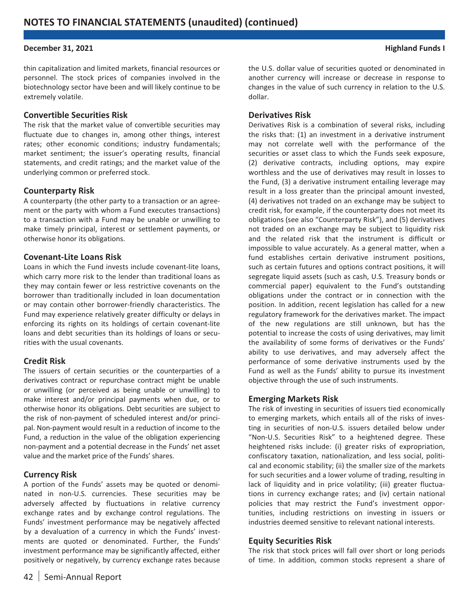thin capitalization and limited markets, financial resources or personnel. The stock prices of companies involved in the biotechnology sector have been and will likely continue to be extremely volatile.

#### **Convertible Securities Risk**

The risk that the market value of convertible securities may fluctuate due to changes in, among other things, interest rates; other economic conditions; industry fundamentals; market sentiment; the issuer's operating results, financial statements, and credit ratings; and the market value of the underlying common or preferred stock.

#### **Counterparty Risk**

A counterparty (the other party to a transaction or an agreement or the party with whom a Fund executes transactions) to a transaction with a Fund may be unable or unwilling to make timely principal, interest or settlement payments, or otherwise honor its obligations.

#### **Covenant-Lite Loans Risk**

Loans in which the Fund invests include covenant-lite loans, which carry more risk to the lender than traditional loans as they may contain fewer or less restrictive covenants on the borrower than traditionally included in loan documentation or may contain other borrower-friendly characteristics. The Fund may experience relatively greater difficulty or delays in enforcing its rights on its holdings of certain covenant-lite loans and debt securities than its holdings of loans or securities with the usual covenants.

### **Credit Risk**

The issuers of certain securities or the counterparties of a derivatives contract or repurchase contract might be unable or unwilling (or perceived as being unable or unwilling) to make interest and/or principal payments when due, or to otherwise honor its obligations. Debt securities are subject to the risk of non-payment of scheduled interest and/or principal. Non-payment would result in a reduction of income to the Fund, a reduction in the value of the obligation experiencing non-payment and a potential decrease in the Funds' net asset value and the market price of the Funds' shares.

### **Currency Risk**

A portion of the Funds' assets may be quoted or denominated in non-U.S. currencies. These securities may be adversely affected by fluctuations in relative currency exchange rates and by exchange control regulations. The Funds' investment performance may be negatively affected by a devaluation of a currency in which the Funds' investments are quoted or denominated. Further, the Funds' investment performance may be significantly affected, either positively or negatively, by currency exchange rates because

the U.S. dollar value of securities quoted or denominated in another currency will increase or decrease in response to changes in the value of such currency in relation to the U.S. dollar.

#### **Derivatives Risk**

Derivatives Risk is a combination of several risks, including the risks that: (1) an investment in a derivative instrument may not correlate well with the performance of the securities or asset class to which the Funds seek exposure, (2) derivative contracts, including options, may expire worthless and the use of derivatives may result in losses to the Fund, (3) a derivative instrument entailing leverage may result in a loss greater than the principal amount invested, (4) derivatives not traded on an exchange may be subject to credit risk, for example, if the counterparty does not meet its obligations (see also "Counterparty Risk"), and (5) derivatives not traded on an exchange may be subject to liquidity risk and the related risk that the instrument is difficult or impossible to value accurately. As a general matter, when a fund establishes certain derivative instrument positions, such as certain futures and options contract positions, it will segregate liquid assets (such as cash, U.S. Treasury bonds or commercial paper) equivalent to the Fund's outstanding obligations under the contract or in connection with the position. In addition, recent legislation has called for a new regulatory framework for the derivatives market. The impact of the new regulations are still unknown, but has the potential to increase the costs of using derivatives, may limit the availability of some forms of derivatives or the Funds' ability to use derivatives, and may adversely affect the performance of some derivative instruments used by the Fund as well as the Funds' ability to pursue its investment objective through the use of such instruments.

### **Emerging Markets Risk**

The risk of investing in securities of issuers tied economically to emerging markets, which entails all of the risks of investing in securities of non-U.S. issuers detailed below under "Non-U.S. Securities Risk" to a heightened degree. These heightened risks include: (i) greater risks of expropriation, confiscatory taxation, nationalization, and less social, political and economic stability; (ii) the smaller size of the markets for such securities and a lower volume of trading, resulting in lack of liquidity and in price volatility; (iii) greater fluctuations in currency exchange rates; and (iv) certain national policies that may restrict the Fund's investment opportunities, including restrictions on investing in issuers or industries deemed sensitive to relevant national interests.

### **Equity Securities Risk**

The risk that stock prices will fall over short or long periods of time. In addition, common stocks represent a share of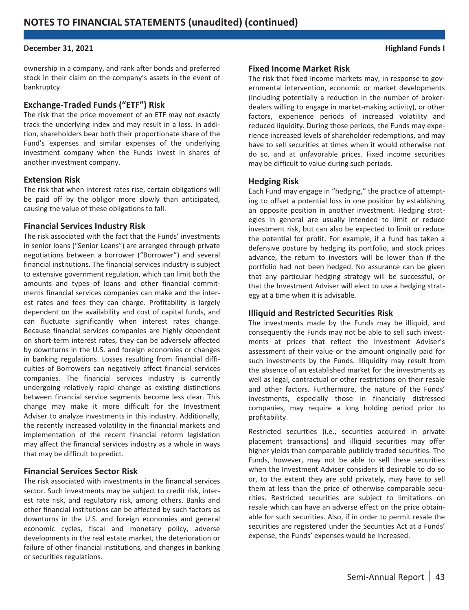ownership in a company, and rank after bonds and preferred stock in their claim on the company's assets in the event of bankruptcy.

#### **Exchange-Traded Funds ("ETF") Risk**

The risk that the price movement of an ETF may not exactly track the underlying index and may result in a loss. In addition, shareholders bear both their proportionate share of the Fund's expenses and similar expenses of the underlying investment company when the Funds invest in shares of another investment company.

#### **Extension Risk**

The risk that when interest rates rise, certain obligations will be paid off by the obligor more slowly than anticipated, causing the value of these obligations to fall.

#### **Financial Services Industry Risk**

The risk associated with the fact that the Funds' investments in senior loans ("Senior Loans") are arranged through private negotiations between a borrower ("Borrower") and several financial institutions. The financial services industry is subject to extensive government regulation, which can limit both the amounts and types of loans and other financial commitments financial services companies can make and the interest rates and fees they can charge. Profitability is largely dependent on the availability and cost of capital funds, and can fluctuate significantly when interest rates change. Because financial services companies are highly dependent on short-term interest rates, they can be adversely affected by downturns in the U.S. and foreign economies or changes in banking regulations. Losses resulting from financial difficulties of Borrowers can negatively affect financial services companies. The financial services industry is currently undergoing relatively rapid change as existing distinctions between financial service segments become less clear. This change may make it more difficult for the Investment Adviser to analyze investments in this industry. Additionally, the recently increased volatility in the financial markets and implementation of the recent financial reform legislation may affect the financial services industry as a whole in ways that may be difficult to predict.

### **Financial Services Sector Risk**

The risk associated with investments in the financial services sector. Such investments may be subject to credit risk, interest rate risk, and regulatory risk, among others. Banks and other financial institutions can be affected by such factors as downturns in the U.S. and foreign economies and general economic cycles, fiscal and monetary policy, adverse developments in the real estate market, the deterioration or failure of other financial institutions, and changes in banking or securities regulations.

#### **Fixed Income Market Risk**

The risk that fixed income markets may, in response to governmental intervention, economic or market developments (including potentially a reduction in the number of brokerdealers willing to engage in market-making activity), or other factors, experience periods of increased volatility and reduced liquidity. During those periods, the Funds may experience increased levels of shareholder redemptions, and may have to sell securities at times when it would otherwise not do so, and at unfavorable prices. Fixed income securities may be difficult to value during such periods.

#### **Hedging Risk**

Each Fund may engage in "hedging," the practice of attempting to offset a potential loss in one position by establishing an opposite position in another investment. Hedging strategies in general are usually intended to limit or reduce investment risk, but can also be expected to limit or reduce the potential for profit. For example, if a fund has taken a defensive posture by hedging its portfolio, and stock prices advance, the return to investors will be lower than if the portfolio had not been hedged. No assurance can be given that any particular hedging strategy will be successful, or that the Investment Adviser will elect to use a hedging strategy at a time when it is advisable.

#### **Illiquid and Restricted Securities Risk**

The investments made by the Funds may be illiquid, and consequently the Funds may not be able to sell such investments at prices that reflect the Investment Adviser's assessment of their value or the amount originally paid for such investments by the Funds. Illiquidity may result from the absence of an established market for the investments as well as legal, contractual or other restrictions on their resale and other factors. Furthermore, the nature of the Funds' investments, especially those in financially distressed companies, may require a long holding period prior to profitability.

Restricted securities (i.e., securities acquired in private placement transactions) and illiquid securities may offer higher yields than comparable publicly traded securities. The Funds, however, may not be able to sell these securities when the Investment Adviser considers it desirable to do so or, to the extent they are sold privately, may have to sell them at less than the price of otherwise comparable securities. Restricted securities are subject to limitations on resale which can have an adverse effect on the price obtainable for such securities. Also, if in order to permit resale the securities are registered under the Securities Act at a Funds' expense, the Funds' expenses would be increased.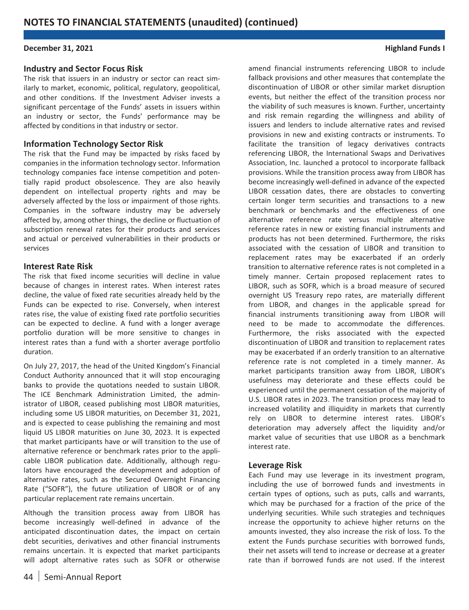#### **Industry and Sector Focus Risk**

The risk that issuers in an industry or sector can react similarly to market, economic, political, regulatory, geopolitical, and other conditions. If the Investment Adviser invests a significant percentage of the Funds' assets in issuers within an industry or sector, the Funds' performance may be affected by conditions in that industry or sector.

### **Information Technology Sector Risk**

The risk that the Fund may be impacted by risks faced by companies in the information technology sector. Information technology companies face intense competition and potentially rapid product obsolescence. They are also heavily dependent on intellectual property rights and may be adversely affected by the loss or impairment of those rights. Companies in the software industry may be adversely affected by, among other things, the decline or fluctuation of subscription renewal rates for their products and services and actual or perceived vulnerabilities in their products or services

#### **Interest Rate Risk**

The risk that fixed income securities will decline in value because of changes in interest rates. When interest rates decline, the value of fixed rate securities already held by the Funds can be expected to rise. Conversely, when interest rates rise, the value of existing fixed rate portfolio securities can be expected to decline. A fund with a longer average portfolio duration will be more sensitive to changes in interest rates than a fund with a shorter average portfolio duration.

On July 27, 2017, the head of the United Kingdom's Financial Conduct Authority announced that it will stop encouraging banks to provide the quotations needed to sustain LIBOR. The ICE Benchmark Administration Limited, the administrator of LIBOR, ceased publishing most LIBOR maturities, including some US LIBOR maturities, on December 31, 2021, and is expected to cease publishing the remaining and most liquid US LIBOR maturities on June 30, 2023. It is expected that market participants have or will transition to the use of alternative reference or benchmark rates prior to the applicable LIBOR publication date. Additionally, although regulators have encouraged the development and adoption of alternative rates, such as the Secured Overnight Financing Rate ("SOFR"), the future utilization of LIBOR or of any particular replacement rate remains uncertain.

Although the transition process away from LIBOR has become increasingly well-defined in advance of the anticipated discontinuation dates, the impact on certain debt securities, derivatives and other financial instruments remains uncertain. It is expected that market participants will adopt alternative rates such as SOFR or otherwise

amend financial instruments referencing LIBOR to include fallback provisions and other measures that contemplate the discontinuation of LIBOR or other similar market disruption events, but neither the effect of the transition process nor the viability of such measures is known. Further, uncertainty and risk remain regarding the willingness and ability of issuers and lenders to include alternative rates and revised provisions in new and existing contracts or instruments. To facilitate the transition of legacy derivatives contracts referencing LIBOR, the International Swaps and Derivatives Association, Inc. launched a protocol to incorporate fallback provisions. While the transition process away from LIBOR has become increasingly well-defined in advance of the expected LIBOR cessation dates, there are obstacles to converting certain longer term securities and transactions to a new benchmark or benchmarks and the effectiveness of one alternative reference rate versus multiple alternative reference rates in new or existing financial instruments and products has not been determined. Furthermore, the risks associated with the cessation of LIBOR and transition to replacement rates may be exacerbated if an orderly transition to alternative reference rates is not completed in a timely manner. Certain proposed replacement rates to LIBOR, such as SOFR, which is a broad measure of secured overnight US Treasury repo rates, are materially different from LIBOR, and changes in the applicable spread for financial instruments transitioning away from LIBOR will need to be made to accommodate the differences. Furthermore, the risks associated with the expected discontinuation of LIBOR and transition to replacement rates may be exacerbated if an orderly transition to an alternative reference rate is not completed in a timely manner. As market participants transition away from LIBOR, LIBOR's usefulness may deteriorate and these effects could be experienced until the permanent cessation of the majority of U.S. LIBOR rates in 2023. The transition process may lead to increased volatility and illiquidity in markets that currently rely on LIBOR to determine interest rates. LIBOR's deterioration may adversely affect the liquidity and/or market value of securities that use LIBOR as a benchmark interest rate.

### **Leverage Risk**

Each Fund may use leverage in its investment program, including the use of borrowed funds and investments in certain types of options, such as puts, calls and warrants, which may be purchased for a fraction of the price of the underlying securities. While such strategies and techniques increase the opportunity to achieve higher returns on the amounts invested, they also increase the risk of loss. To the extent the Funds purchase securities with borrowed funds, their net assets will tend to increase or decrease at a greater rate than if borrowed funds are not used. If the interest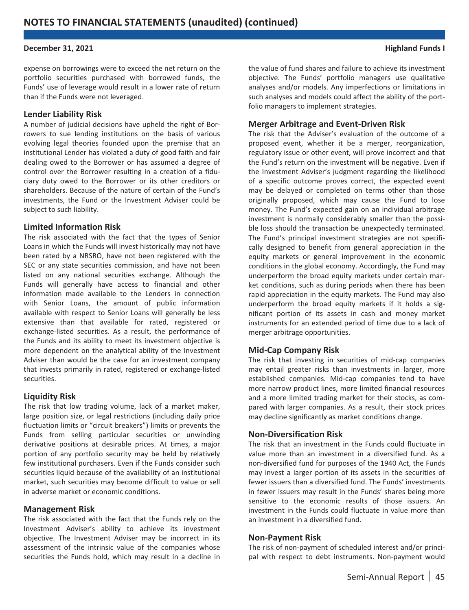expense on borrowings were to exceed the net return on the portfolio securities purchased with borrowed funds, the Funds' use of leverage would result in a lower rate of return than if the Funds were not leveraged.

#### **Lender Liability Risk**

A number of judicial decisions have upheld the right of Borrowers to sue lending institutions on the basis of various evolving legal theories founded upon the premise that an institutional Lender has violated a duty of good faith and fair dealing owed to the Borrower or has assumed a degree of control over the Borrower resulting in a creation of a fiduciary duty owed to the Borrower or its other creditors or shareholders. Because of the nature of certain of the Fund's investments, the Fund or the Investment Adviser could be subject to such liability.

#### **Limited Information Risk**

The risk associated with the fact that the types of Senior Loans in which the Funds will invest historically may not have been rated by a NRSRO, have not been registered with the SEC or any state securities commission, and have not been listed on any national securities exchange. Although the Funds will generally have access to financial and other information made available to the Lenders in connection with Senior Loans, the amount of public information available with respect to Senior Loans will generally be less extensive than that available for rated, registered or exchange-listed securities. As a result, the performance of the Funds and its ability to meet its investment objective is more dependent on the analytical ability of the Investment Adviser than would be the case for an investment company that invests primarily in rated, registered or exchange-listed securities.

#### **Liquidity Risk**

The risk that low trading volume, lack of a market maker, large position size, or legal restrictions (including daily price fluctuation limits or "circuit breakers") limits or prevents the Funds from selling particular securities or unwinding derivative positions at desirable prices. At times, a major portion of any portfolio security may be held by relatively few institutional purchasers. Even if the Funds consider such securities liquid because of the availability of an institutional market, such securities may become difficult to value or sell in adverse market or economic conditions.

#### **Management Risk**

The risk associated with the fact that the Funds rely on the Investment Adviser's ability to achieve its investment objective. The Investment Adviser may be incorrect in its assessment of the intrinsic value of the companies whose securities the Funds hold, which may result in a decline in

the value of fund shares and failure to achieve its investment objective. The Funds' portfolio managers use qualitative analyses and/or models. Any imperfections or limitations in such analyses and models could affect the ability of the portfolio managers to implement strategies.

#### **Merger Arbitrage and Event-Driven Risk**

The risk that the Adviser's evaluation of the outcome of a proposed event, whether it be a merger, reorganization, regulatory issue or other event, will prove incorrect and that the Fund's return on the investment will be negative. Even if the Investment Adviser's judgment regarding the likelihood of a specific outcome proves correct, the expected event may be delayed or completed on terms other than those originally proposed, which may cause the Fund to lose money. The Fund's expected gain on an individual arbitrage investment is normally considerably smaller than the possible loss should the transaction be unexpectedly terminated. The Fund's principal investment strategies are not specifically designed to benefit from general appreciation in the equity markets or general improvement in the economic conditions in the global economy. Accordingly, the Fund may underperform the broad equity markets under certain market conditions, such as during periods when there has been rapid appreciation in the equity markets. The Fund may also underperform the broad equity markets if it holds a significant portion of its assets in cash and money market instruments for an extended period of time due to a lack of merger arbitrage opportunities.

### **Mid-Cap Company Risk**

The risk that investing in securities of mid-cap companies may entail greater risks than investments in larger, more established companies. Mid-cap companies tend to have more narrow product lines, more limited financial resources and a more limited trading market for their stocks, as compared with larger companies. As a result, their stock prices may decline significantly as market conditions change.

### **Non-Diversification Risk**

The risk that an investment in the Funds could fluctuate in value more than an investment in a diversified fund. As a non-diversified fund for purposes of the 1940 Act, the Funds may invest a larger portion of its assets in the securities of fewer issuers than a diversified fund. The Funds' investments in fewer issuers may result in the Funds' shares being more sensitive to the economic results of those issuers. An investment in the Funds could fluctuate in value more than an investment in a diversified fund.

#### **Non-Payment Risk**

The risk of non-payment of scheduled interest and/or principal with respect to debt instruments. Non-payment would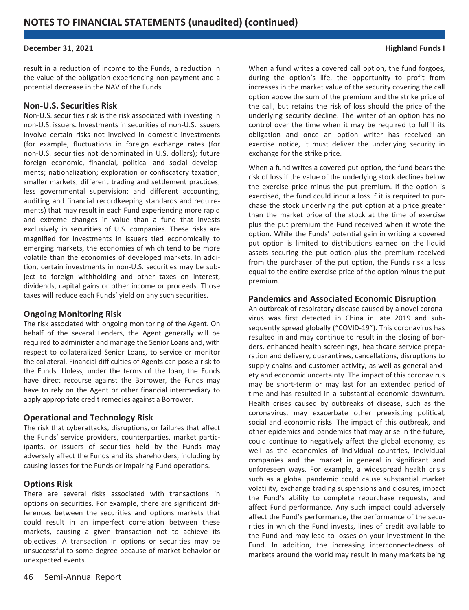result in a reduction of income to the Funds, a reduction in the value of the obligation experiencing non-payment and a potential decrease in the NAV of the Funds.

#### **Non-U.S. Securities Risk**

Non-U.S. securities risk is the risk associated with investing in non-U.S. issuers. Investments in securities of non-U.S. issuers involve certain risks not involved in domestic investments (for example, fluctuations in foreign exchange rates (for non-U.S. securities not denominated in U.S. dollars); future foreign economic, financial, political and social developments; nationalization; exploration or confiscatory taxation; smaller markets; different trading and settlement practices; less governmental supervision; and different accounting, auditing and financial recordkeeping standards and requirements) that may result in each Fund experiencing more rapid and extreme changes in value than a fund that invests exclusively in securities of U.S. companies. These risks are magnified for investments in issuers tied economically to emerging markets, the economies of which tend to be more volatile than the economies of developed markets. In addition, certain investments in non-U.S. securities may be subject to foreign withholding and other taxes on interest, dividends, capital gains or other income or proceeds. Those taxes will reduce each Funds' yield on any such securities.

### **Ongoing Monitoring Risk**

The risk associated with ongoing monitoring of the Agent. On behalf of the several Lenders, the Agent generally will be required to administer and manage the Senior Loans and, with respect to collateralized Senior Loans, to service or monitor the collateral. Financial difficulties of Agents can pose a risk to the Funds. Unless, under the terms of the loan, the Funds have direct recourse against the Borrower, the Funds may have to rely on the Agent or other financial intermediary to apply appropriate credit remedies against a Borrower.

### **Operational and Technology Risk**

The risk that cyberattacks, disruptions, or failures that affect the Funds' service providers, counterparties, market participants, or issuers of securities held by the Funds may adversely affect the Funds and its shareholders, including by causing losses for the Funds or impairing Fund operations.

#### **Options Risk**

There are several risks associated with transactions in options on securities. For example, there are significant differences between the securities and options markets that could result in an imperfect correlation between these markets, causing a given transaction not to achieve its objectives. A transaction in options or securities may be unsuccessful to some degree because of market behavior or unexpected events.

When a fund writes a covered call option, the fund forgoes, during the option's life, the opportunity to profit from increases in the market value of the security covering the call option above the sum of the premium and the strike price of the call, but retains the risk of loss should the price of the underlying security decline. The writer of an option has no control over the time when it may be required to fulfill its obligation and once an option writer has received an exercise notice, it must deliver the underlying security in exchange for the strike price.

When a fund writes a covered put option, the fund bears the risk of loss if the value of the underlying stock declines below the exercise price minus the put premium. If the option is exercised, the fund could incur a loss if it is required to purchase the stock underlying the put option at a price greater than the market price of the stock at the time of exercise plus the put premium the Fund received when it wrote the option. While the Funds' potential gain in writing a covered put option is limited to distributions earned on the liquid assets securing the put option plus the premium received from the purchaser of the put option, the Funds risk a loss equal to the entire exercise price of the option minus the put premium.

#### **Pandemics and Associated Economic Disruption**

An outbreak of respiratory disease caused by a novel coronavirus was first detected in China in late 2019 and subsequently spread globally ("COVID-19"). This coronavirus has resulted in and may continue to result in the closing of borders, enhanced health screenings, healthcare service preparation and delivery, quarantines, cancellations, disruptions to supply chains and customer activity, as well as general anxiety and economic uncertainty. The impact of this coronavirus may be short-term or may last for an extended period of time and has resulted in a substantial economic downturn. Health crises caused by outbreaks of disease, such as the coronavirus, may exacerbate other preexisting political, social and economic risks. The impact of this outbreak, and other epidemics and pandemics that may arise in the future, could continue to negatively affect the global economy, as well as the economies of individual countries, individual companies and the market in general in significant and unforeseen ways. For example, a widespread health crisis such as a global pandemic could cause substantial market volatility, exchange trading suspensions and closures, impact the Fund's ability to complete repurchase requests, and affect Fund performance. Any such impact could adversely affect the Fund's performance, the performance of the securities in which the Fund invests, lines of credit available to the Fund and may lead to losses on your investment in the Fund. In addition, the increasing interconnectedness of markets around the world may result in many markets being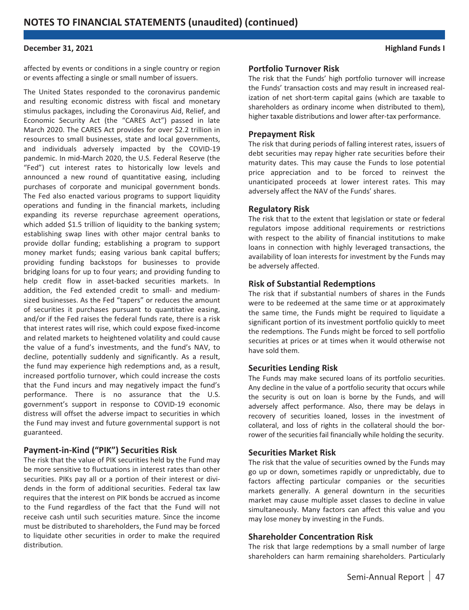affected by events or conditions in a single country or region or events affecting a single or small number of issuers.

The United States responded to the coronavirus pandemic and resulting economic distress with fiscal and monetary stimulus packages, including the Coronavirus Aid, Relief, and Economic Security Act (the "CARES Act") passed in late March 2020. The CARES Act provides for over \$2.2 trillion in resources to small businesses, state and local governments, and individuals adversely impacted by the COVID-19 pandemic. In mid-March 2020, the U.S. Federal Reserve (the "Fed") cut interest rates to historically low levels and announced a new round of quantitative easing, including purchases of corporate and municipal government bonds. The Fed also enacted various programs to support liquidity operations and funding in the financial markets, including expanding its reverse repurchase agreement operations, which added \$1.5 trillion of liquidity to the banking system; establishing swap lines with other major central banks to provide dollar funding; establishing a program to support money market funds; easing various bank capital buffers; providing funding backstops for businesses to provide bridging loans for up to four years; and providing funding to help credit flow in asset-backed securities markets. In addition, the Fed extended credit to small- and mediumsized businesses. As the Fed "tapers" or reduces the amount of securities it purchases pursuant to quantitative easing, and/or if the Fed raises the federal funds rate, there is a risk that interest rates will rise, which could expose fixed-income and related markets to heightened volatility and could cause the value of a fund's investments, and the fund's NAV, to decline, potentially suddenly and significantly. As a result, the fund may experience high redemptions and, as a result, increased portfolio turnover, which could increase the costs that the Fund incurs and may negatively impact the fund's performance. There is no assurance that the U.S. government's support in response to COVID-19 economic distress will offset the adverse impact to securities in which the Fund may invest and future governmental support is not guaranteed.

### **Payment-in-Kind ("PIK") Securities Risk**

The risk that the value of PIK securities held by the Fund may be more sensitive to fluctuations in interest rates than other securities. PIKs pay all or a portion of their interest or dividends in the form of additional securities. Federal tax law requires that the interest on PIK bonds be accrued as income to the Fund regardless of the fact that the Fund will not receive cash until such securities mature. Since the income must be distributed to shareholders, the Fund may be forced to liquidate other securities in order to make the required distribution.

#### **Portfolio Turnover Risk**

The risk that the Funds' high portfolio turnover will increase the Funds' transaction costs and may result in increased realization of net short-term capital gains (which are taxable to shareholders as ordinary income when distributed to them), higher taxable distributions and lower after-tax performance.

#### **Prepayment Risk**

The risk that during periods of falling interest rates, issuers of debt securities may repay higher rate securities before their maturity dates. This may cause the Funds to lose potential price appreciation and to be forced to reinvest the unanticipated proceeds at lower interest rates. This may adversely affect the NAV of the Funds' shares.

#### **Regulatory Risk**

The risk that to the extent that legislation or state or federal regulators impose additional requirements or restrictions with respect to the ability of financial institutions to make loans in connection with highly leveraged transactions, the availability of loan interests for investment by the Funds may be adversely affected.

### **Risk of Substantial Redemptions**

The risk that if substantial numbers of shares in the Funds were to be redeemed at the same time or at approximately the same time, the Funds might be required to liquidate a significant portion of its investment portfolio quickly to meet the redemptions. The Funds might be forced to sell portfolio securities at prices or at times when it would otherwise not have sold them.

#### **Securities Lending Risk**

The Funds may make secured loans of its portfolio securities. Any decline in the value of a portfolio security that occurs while the security is out on loan is borne by the Funds, and will adversely affect performance. Also, there may be delays in recovery of securities loaned, losses in the investment of collateral, and loss of rights in the collateral should the borrower of the securities fail financially while holding the security.

### **Securities Market Risk**

The risk that the value of securities owned by the Funds may go up or down, sometimes rapidly or unpredictably, due to factors affecting particular companies or the securities markets generally. A general downturn in the securities market may cause multiple asset classes to decline in value simultaneously. Many factors can affect this value and you may lose money by investing in the Funds.

#### **Shareholder Concentration Risk**

The risk that large redemptions by a small number of large shareholders can harm remaining shareholders. Particularly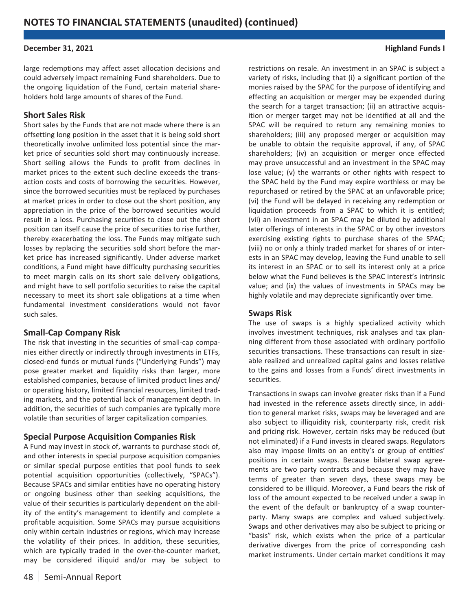large redemptions may affect asset allocation decisions and could adversely impact remaining Fund shareholders. Due to the ongoing liquidation of the Fund, certain material shareholders hold large amounts of shares of the Fund.

#### **Short Sales Risk**

Short sales by the Funds that are not made where there is an offsetting long position in the asset that it is being sold short theoretically involve unlimited loss potential since the market price of securities sold short may continuously increase. Short selling allows the Funds to profit from declines in market prices to the extent such decline exceeds the transaction costs and costs of borrowing the securities. However, since the borrowed securities must be replaced by purchases at market prices in order to close out the short position, any appreciation in the price of the borrowed securities would result in a loss. Purchasing securities to close out the short position can itself cause the price of securities to rise further, thereby exacerbating the loss. The Funds may mitigate such losses by replacing the securities sold short before the market price has increased significantly. Under adverse market conditions, a Fund might have difficulty purchasing securities to meet margin calls on its short sale delivery obligations, and might have to sell portfolio securities to raise the capital necessary to meet its short sale obligations at a time when fundamental investment considerations would not favor such sales.

### **Small-Cap Company Risk**

The risk that investing in the securities of small-cap companies either directly or indirectly through investments in ETFs, closed-end funds or mutual funds ("Underlying Funds") may pose greater market and liquidity risks than larger, more established companies, because of limited product lines and/ or operating history, limited financial resources, limited trading markets, and the potential lack of management depth. In addition, the securities of such companies are typically more volatile than securities of larger capitalization companies.

### **Special Purpose Acquisition Companies Risk**

A Fund may invest in stock of, warrants to purchase stock of, and other interests in special purpose acquisition companies or similar special purpose entities that pool funds to seek potential acquisition opportunities (collectively, "SPACs"). Because SPACs and similar entities have no operating history or ongoing business other than seeking acquisitions, the value of their securities is particularly dependent on the ability of the entity's management to identify and complete a profitable acquisition. Some SPACs may pursue acquisitions only within certain industries or regions, which may increase the volatility of their prices. In addition, these securities, which are typically traded in the over-the-counter market, may be considered illiquid and/or may be subject to

#### restrictions on resale. An investment in an SPAC is subject a variety of risks, including that (i) a significant portion of the monies raised by the SPAC for the purpose of identifying and effecting an acquisition or merger may be expended during the search for a target transaction; (ii) an attractive acquisition or merger target may not be identified at all and the SPAC will be required to return any remaining monies to shareholders; (iii) any proposed merger or acquisition may be unable to obtain the requisite approval, if any, of SPAC shareholders; (iv) an acquisition or merger once effected may prove unsuccessful and an investment in the SPAC may lose value; (v) the warrants or other rights with respect to the SPAC held by the Fund may expire worthless or may be repurchased or retired by the SPAC at an unfavorable price; (vi) the Fund will be delayed in receiving any redemption or liquidation proceeds from a SPAC to which it is entitled; (vii) an investment in an SPAC may be diluted by additional later offerings of interests in the SPAC or by other investors exercising existing rights to purchase shares of the SPAC; (viii) no or only a thinly traded market for shares of or interests in an SPAC may develop, leaving the Fund unable to sell its interest in an SPAC or to sell its interest only at a price below what the Fund believes is the SPAC interest's intrinsic value; and (ix) the values of investments in SPACs may be highly volatile and may depreciate significantly over time.

#### **Swaps Risk**

The use of swaps is a highly specialized activity which involves investment techniques, risk analyses and tax planning different from those associated with ordinary portfolio securities transactions. These transactions can result in sizeable realized and unrealized capital gains and losses relative to the gains and losses from a Funds' direct investments in securities.

Transactions in swaps can involve greater risks than if a Fund had invested in the reference assets directly since, in addition to general market risks, swaps may be leveraged and are also subject to illiquidity risk, counterparty risk, credit risk and pricing risk. However, certain risks may be reduced (but not eliminated) if a Fund invests in cleared swaps. Regulators also may impose limits on an entity's or group of entities' positions in certain swaps. Because bilateral swap agreements are two party contracts and because they may have terms of greater than seven days, these swaps may be considered to be illiquid. Moreover, a Fund bears the risk of loss of the amount expected to be received under a swap in the event of the default or bankruptcy of a swap counterparty. Many swaps are complex and valued subjectively. Swaps and other derivatives may also be subject to pricing or "basis" risk, which exists when the price of a particular derivative diverges from the price of corresponding cash market instruments. Under certain market conditions it may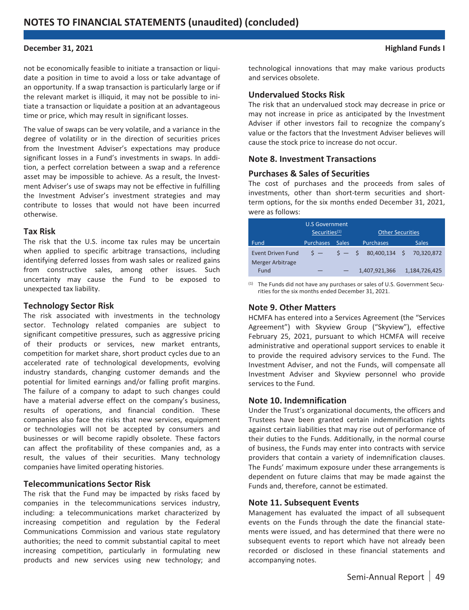not be economically feasible to initiate a transaction or liquidate a position in time to avoid a loss or take advantage of an opportunity. If a swap transaction is particularly large or if the relevant market is illiquid, it may not be possible to initiate a transaction or liquidate a position at an advantageous time or price, which may result in significant losses.

The value of swaps can be very volatile, and a variance in the degree of volatility or in the direction of securities prices from the Investment Adviser's expectations may produce significant losses in a Fund's investments in swaps. In addition, a perfect correlation between a swap and a reference asset may be impossible to achieve. As a result, the Investment Adviser's use of swaps may not be effective in fulfilling the Investment Adviser's investment strategies and may contribute to losses that would not have been incurred otherwise.

#### **Tax Risk**

The risk that the U.S. income tax rules may be uncertain when applied to specific arbitrage transactions, including identifying deferred losses from wash sales or realized gains from constructive sales, among other issues. Such uncertainty may cause the Fund to be exposed to unexpected tax liability.

#### **Technology Sector Risk**

The risk associated with investments in the technology sector. Technology related companies are subject to significant competitive pressures, such as aggressive pricing of their products or services, new market entrants, competition for market share, short product cycles due to an accelerated rate of technological developments, evolving industry standards, changing customer demands and the potential for limited earnings and/or falling profit margins. The failure of a company to adapt to such changes could have a material adverse effect on the company's business, results of operations, and financial condition. These companies also face the risks that new services, equipment or technologies will not be accepted by consumers and businesses or will become rapidly obsolete. These factors can affect the profitability of these companies and, as a result, the values of their securities. Many technology companies have limited operating histories.

#### **Telecommunications Sector Risk**

The risk that the Fund may be impacted by risks faced by companies in the telecommunications services industry, including: a telecommunications market characterized by increasing competition and regulation by the Federal Communications Commission and various state regulatory authorities; the need to commit substantial capital to meet increasing competition, particularly in formulating new products and new services using new technology; and technological innovations that may make various products and services obsolete.

### **Undervalued Stocks Risk**

The risk that an undervalued stock may decrease in price or may not increase in price as anticipated by the Investment Adviser if other investors fail to recognize the company's value or the factors that the Investment Adviser believes will cause the stock price to increase do not occur.

### **Note 8. Investment Transactions**

#### **Purchases & Sales of Securities**

The cost of purchases and the proceeds from sales of investments, other than short-term securities and shortterm options, for the six months ended December 31, 2021, were as follows:

|                          |                  | <b>U.S Government</b><br>Securities <sup>(1)</sup><br><b>Other Securities</b> |                                                           |               |
|--------------------------|------------------|-------------------------------------------------------------------------------|-----------------------------------------------------------|---------------|
| Fund                     | <b>Purchases</b> | <b>Sales</b>                                                                  | <b>Purchases</b>                                          | <b>Sales</b>  |
| Event Driven Fund        |                  |                                                                               | $\zeta$ - $\zeta$ - $\zeta$ 80,400,134 $\zeta$ 70,320,872 |               |
| Merger Arbitrage<br>Fund |                  |                                                                               | 1,407,921,366                                             | 1,184,726,425 |

 $(1)$  The Funds did not have any purchases or sales of U.S. Government Securities for the six months ended December 31, 2021.

#### **Note 9. Other Matters**

HCMFA has entered into a Services Agreement (the "Services Agreement") with Skyview Group ("Skyview"), effective February 25, 2021, pursuant to which HCMFA will receive administrative and operational support services to enable it to provide the required advisory services to the Fund. The Investment Adviser, and not the Funds, will compensate all Investment Adviser and Skyview personnel who provide services to the Fund.

#### **Note 10. Indemnification**

Under the Trust's organizational documents, the officers and Trustees have been granted certain indemnification rights against certain liabilities that may rise out of performance of their duties to the Funds. Additionally, in the normal course of business, the Funds may enter into contracts with service providers that contain a variety of indemnification clauses. The Funds' maximum exposure under these arrangements is dependent on future claims that may be made against the Funds and, therefore, cannot be estimated.

#### **Note 11. Subsequent Events**

Management has evaluated the impact of all subsequent events on the Funds through the date the financial statements were issued, and has determined that there were no subsequent events to report which have not already been recorded or disclosed in these financial statements and accompanying notes.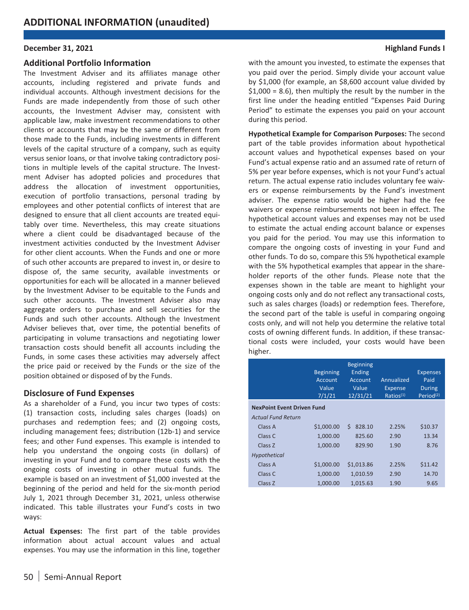#### <span id="page-51-0"></span>**Additional Portfolio Information**

The Investment Adviser and its affiliates manage other accounts, including registered and private funds and individual accounts. Although investment decisions for the Funds are made independently from those of such other accounts, the Investment Adviser may, consistent with applicable law, make investment recommendations to other clients or accounts that may be the same or different from those made to the Funds, including investments in different levels of the capital structure of a company, such as equity versus senior loans, or that involve taking contradictory positions in multiple levels of the capital structure. The Investment Adviser has adopted policies and procedures that address the allocation of investment opportunities, execution of portfolio transactions, personal trading by employees and other potential conflicts of interest that are designed to ensure that all client accounts are treated equitably over time. Nevertheless, this may create situations where a client could be disadvantaged because of the investment activities conducted by the Investment Adviser for other client accounts. When the Funds and one or more of such other accounts are prepared to invest in, or desire to dispose of, the same security, available investments or opportunities for each will be allocated in a manner believed by the Investment Adviser to be equitable to the Funds and such other accounts. The Investment Adviser also may aggregate orders to purchase and sell securities for the Funds and such other accounts. Although the Investment Adviser believes that, over time, the potential benefits of participating in volume transactions and negotiating lower transaction costs should benefit all accounts including the Funds, in some cases these activities may adversely affect the price paid or received by the Funds or the size of the position obtained or disposed of by the Funds.

### <span id="page-51-1"></span>**Disclosure of Fund Expenses**

As a shareholder of a Fund, you incur two types of costs: (1) transaction costs, including sales charges (loads) on purchases and redemption fees; and (2) ongoing costs, including management fees; distribution (12b-1) and service fees; and other Fund expenses. This example is intended to help you understand the ongoing costs (in dollars) of investing in your Fund and to compare these costs with the ongoing costs of investing in other mutual funds. The example is based on an investment of \$1,000 invested at the beginning of the period and held for the six-month period July 1, 2021 through December 31, 2021, unless otherwise indicated. This table illustrates your Fund's costs in two ways:

**Actual Expenses:** The first part of the table provides information about actual account values and actual expenses. You may use the information in this line, together

with the amount you invested, to estimate the expenses that you paid over the period. Simply divide your account value by \$1,000 (for example, an \$8,600 account value divided by  $$1,000 = 8.6$ , then multiply the result by the number in the first line under the heading entitled "Expenses Paid During Period" to estimate the expenses you paid on your account during this period.

**Hypothetical Example for Comparison Purposes:** The second part of the table provides information about hypothetical account values and hypothetical expenses based on your Fund's actual expense ratio and an assumed rate of return of 5% per year before expenses, which is not your Fund's actual return. The actual expense ratio includes voluntary fee waivers or expense reimbursements by the Fund's investment adviser. The expense ratio would be higher had the fee waivers or expense reimbursements not been in effect. The hypothetical account values and expenses may not be used to estimate the actual ending account balance or expenses you paid for the period. You may use this information to compare the ongoing costs of investing in your Fund and other funds. To do so, compare this 5% hypothetical example with the 5% hypothetical examples that appear in the shareholder reports of the other funds. Please note that the expenses shown in the table are meant to highlight your ongoing costs only and do not reflect any transactional costs, such as sales charges (loads) or redemption fees. Therefore, the second part of the table is useful in comparing ongoing costs only, and will not help you determine the relative total costs of owning different funds. In addition, if these transactional costs were included, your costs would have been higher.

|                                   | <b>Beginning</b><br>Account<br>Value<br>7/1/21 | <b>Beginning</b><br><b>Ending</b><br>Account<br>Value<br>12/31/21 | Annualized<br><b>Expense</b><br>Ratios <sup>(1)</sup> | <b>Expenses</b><br>Paid<br><b>During</b><br>Period <sup>(2)</sup> |  |
|-----------------------------------|------------------------------------------------|-------------------------------------------------------------------|-------------------------------------------------------|-------------------------------------------------------------------|--|
| <b>NexPoint Event Driven Fund</b> |                                                |                                                                   |                                                       |                                                                   |  |
| <b>Actual Fund Return</b>         |                                                |                                                                   |                                                       |                                                                   |  |
| Class A                           | \$1,000.00                                     | Ś<br>828.10                                                       | 2.25%                                                 | \$10.37                                                           |  |
| Class C                           | 1.000.00                                       | 825.60                                                            | 2.90                                                  | 13.34                                                             |  |
| Class <sub>7</sub>                | 1,000.00                                       | 829.90                                                            | 1.90                                                  | 8.76                                                              |  |
| <b>Hypothetical</b>               |                                                |                                                                   |                                                       |                                                                   |  |
| Class A                           | \$1,000.00                                     | \$1,013.86                                                        | 2.25%                                                 | \$11.42                                                           |  |
| Class C                           | 1.000.00                                       | 1.010.59                                                          | 2.90                                                  | 14.70                                                             |  |
| Class Z                           | 1.000.00                                       | 1.015.63                                                          | 1.90                                                  | 9.65                                                              |  |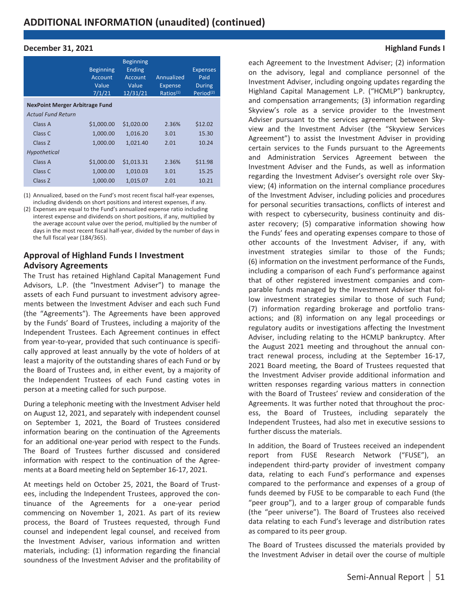|                                       | <b>Beginning</b><br>Account<br>Value<br>7/1/21 | <b>Beginning</b><br><b>Ending</b><br>Account<br>Value<br>12/31/21 | Annualized<br><b>Expense</b><br>Ratios <sup>(1)</sup> | <b>Expenses</b><br>Paid<br><b>During</b><br>Period <sup>(2)</sup> |  |
|---------------------------------------|------------------------------------------------|-------------------------------------------------------------------|-------------------------------------------------------|-------------------------------------------------------------------|--|
| <b>NexPoint Merger Arbitrage Fund</b> |                                                |                                                                   |                                                       |                                                                   |  |
| <b>Actual Fund Return</b>             |                                                |                                                                   |                                                       |                                                                   |  |
| Class A                               | \$1,000.00                                     | \$1,020.00                                                        | 2.36%                                                 | \$12.02                                                           |  |
| Class C                               | 1.000.00                                       | 1.016.20                                                          | 3.01                                                  | 15.30                                                             |  |
| Class <sub>7</sub>                    | 1,000.00                                       | 1,021.40                                                          | 2.01                                                  | 10.24                                                             |  |
| <b>Hypothetical</b>                   |                                                |                                                                   |                                                       |                                                                   |  |
| Class A                               | \$1,000.00                                     | \$1,013.31                                                        | 2.36%                                                 | \$11.98                                                           |  |
| Class C                               | 1,000.00                                       | 1.010.03                                                          | 3.01                                                  | 15.25                                                             |  |
| Class <sub>7</sub>                    | 1,000.00                                       | 1,015.07                                                          | 2.01                                                  | 10.21                                                             |  |

(1) Annualized, based on the Fund's most recent fiscal half-year expenses, including dividends on short positions and interest expenses, if any.

(2) Expenses are equal to the Fund's annualized expense ratio including interest expense and dividends on short positions, if any, multiplied by the average account value over the period, multiplied by the number of days in the most recent fiscal half-year, divided by the number of days in the full fiscal year (184/365).

### **Approval of Highland Funds I Investment Advisory Agreements**

The Trust has retained Highland Capital Management Fund Advisors, L.P. (the "Investment Adviser") to manage the assets of each Fund pursuant to investment advisory agreements between the Investment Adviser and each such Fund (the "Agreements"). The Agreements have been approved by the Funds' Board of Trustees, including a majority of the Independent Trustees. Each Agreement continues in effect from year-to-year, provided that such continuance is specifically approved at least annually by the vote of holders of at least a majority of the outstanding shares of each Fund or by the Board of Trustees and, in either event, by a majority of the Independent Trustees of each Fund casting votes in person at a meeting called for such purpose.

During a telephonic meeting with the Investment Adviser held on August 12, 2021, and separately with independent counsel on September 1, 2021, the Board of Trustees considered information bearing on the continuation of the Agreements for an additional one-year period with respect to the Funds. The Board of Trustees further discussed and considered information with respect to the continuation of the Agreements at a Board meeting held on September 16-17, 2021.

At meetings held on October 25, 2021, the Board of Trustees, including the Independent Trustees, approved the continuance of the Agreements for a one-year period commencing on November 1, 2021. As part of its review process, the Board of Trustees requested, through Fund counsel and independent legal counsel, and received from the Investment Adviser, various information and written materials, including: (1) information regarding the financial soundness of the Investment Adviser and the profitability of

each Agreement to the Investment Adviser; (2) information on the advisory, legal and compliance personnel of the Investment Adviser, including ongoing updates regarding the Highland Capital Management L.P. ("HCMLP") bankruptcy, and compensation arrangements; (3) information regarding Skyview's role as a service provider to the Investment Adviser pursuant to the services agreement between Skyview and the Investment Adviser (the "Skyview Services Agreement") to assist the Investment Adviser in providing certain services to the Funds pursuant to the Agreements and Administration Services Agreement between the Investment Adviser and the Funds, as well as information regarding the Investment Adviser's oversight role over Skyview; (4) information on the internal compliance procedures of the Investment Adviser, including policies and procedures for personal securities transactions, conflicts of interest and with respect to cybersecurity, business continuity and disaster recovery; (5) comparative information showing how the Funds' fees and operating expenses compare to those of other accounts of the Investment Adviser, if any, with investment strategies similar to those of the Funds; (6) information on the investment performance of the Funds, including a comparison of each Fund's performance against that of other registered investment companies and comparable funds managed by the Investment Adviser that follow investment strategies similar to those of such Fund; (7) information regarding brokerage and portfolio transactions; and (8) information on any legal proceedings or regulatory audits or investigations affecting the Investment Adviser, including relating to the HCMLP bankruptcy. After the August 2021 meeting and throughout the annual contract renewal process, including at the September 16-17, 2021 Board meeting, the Board of Trustees requested that the Investment Adviser provide additional information and written responses regarding various matters in connection with the Board of Trustees' review and consideration of the Agreements. It was further noted that throughout the process, the Board of Trustees, including separately the Independent Trustees, had also met in executive sessions to further discuss the materials.

In addition, the Board of Trustees received an independent report from FUSE Research Network ("FUSE"), an independent third-party provider of investment company data, relating to each Fund's performance and expenses compared to the performance and expenses of a group of funds deemed by FUSE to be comparable to each Fund (the "peer group"), and to a larger group of comparable funds (the "peer universe"). The Board of Trustees also received data relating to each Fund's leverage and distribution rates as compared to its peer group.

The Board of Trustees discussed the materials provided by the Investment Adviser in detail over the course of multiple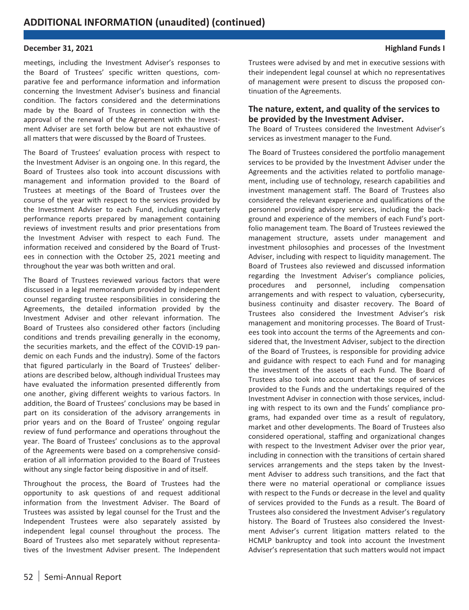meetings, including the Investment Adviser's responses to the Board of Trustees' specific written questions, comparative fee and performance information and information concerning the Investment Adviser's business and financial condition. The factors considered and the determinations made by the Board of Trustees in connection with the approval of the renewal of the Agreement with the Investment Adviser are set forth below but are not exhaustive of all matters that were discussed by the Board of Trustees.

The Board of Trustees' evaluation process with respect to the Investment Adviser is an ongoing one. In this regard, the Board of Trustees also took into account discussions with management and information provided to the Board of Trustees at meetings of the Board of Trustees over the course of the year with respect to the services provided by the Investment Adviser to each Fund, including quarterly performance reports prepared by management containing reviews of investment results and prior presentations from the Investment Adviser with respect to each Fund. The information received and considered by the Board of Trustees in connection with the October 25, 2021 meeting and throughout the year was both written and oral.

The Board of Trustees reviewed various factors that were discussed in a legal memorandum provided by independent counsel regarding trustee responsibilities in considering the Agreements, the detailed information provided by the Investment Adviser and other relevant information. The Board of Trustees also considered other factors (including conditions and trends prevailing generally in the economy, the securities markets, and the effect of the COVID-19 pandemic on each Funds and the industry). Some of the factors that figured particularly in the Board of Trustees' deliberations are described below, although individual Trustees may have evaluated the information presented differently from one another, giving different weights to various factors. In addition, the Board of Trustees' conclusions may be based in part on its consideration of the advisory arrangements in prior years and on the Board of Trustee' ongoing regular review of fund performance and operations throughout the year. The Board of Trustees' conclusions as to the approval of the Agreements were based on a comprehensive consideration of all information provided to the Board of Trustees without any single factor being dispositive in and of itself.

Throughout the process, the Board of Trustees had the opportunity to ask questions of and request additional information from the Investment Adviser. The Board of Trustees was assisted by legal counsel for the Trust and the Independent Trustees were also separately assisted by independent legal counsel throughout the process. The Board of Trustees also met separately without representatives of the Investment Adviser present. The Independent Trustees were advised by and met in executive sessions with their independent legal counsel at which no representatives of management were present to discuss the proposed continuation of the Agreements.

### **The nature, extent, and quality of the services to be provided by the Investment Adviser.**

The Board of Trustees considered the Investment Adviser's services as investment manager to the Fund.

The Board of Trustees considered the portfolio management services to be provided by the Investment Adviser under the Agreements and the activities related to portfolio management, including use of technology, research capabilities and investment management staff. The Board of Trustees also considered the relevant experience and qualifications of the personnel providing advisory services, including the background and experience of the members of each Fund's portfolio management team. The Board of Trustees reviewed the management structure, assets under management and investment philosophies and processes of the Investment Adviser, including with respect to liquidity management. The Board of Trustees also reviewed and discussed information regarding the Investment Adviser's compliance policies, procedures and personnel, including compensation arrangements and with respect to valuation, cybersecurity, business continuity and disaster recovery. The Board of Trustees also considered the Investment Adviser's risk management and monitoring processes. The Board of Trustees took into account the terms of the Agreements and considered that, the Investment Adviser, subject to the direction of the Board of Trustees, is responsible for providing advice and guidance with respect to each Fund and for managing the investment of the assets of each Fund. The Board of Trustees also took into account that the scope of services provided to the Funds and the undertakings required of the Investment Adviser in connection with those services, including with respect to its own and the Funds' compliance programs, had expanded over time as a result of regulatory, market and other developments. The Board of Trustees also considered operational, staffing and organizational changes with respect to the Investment Adviser over the prior year, including in connection with the transitions of certain shared services arrangements and the steps taken by the Investment Adviser to address such transitions, and the fact that there were no material operational or compliance issues with respect to the Funds or decrease in the level and quality of services provided to the Funds as a result. The Board of Trustees also considered the Investment Adviser's regulatory history. The Board of Trustees also considered the Investment Adviser's current litigation matters related to the HCMLP bankruptcy and took into account the Investment Adviser's representation that such matters would not impact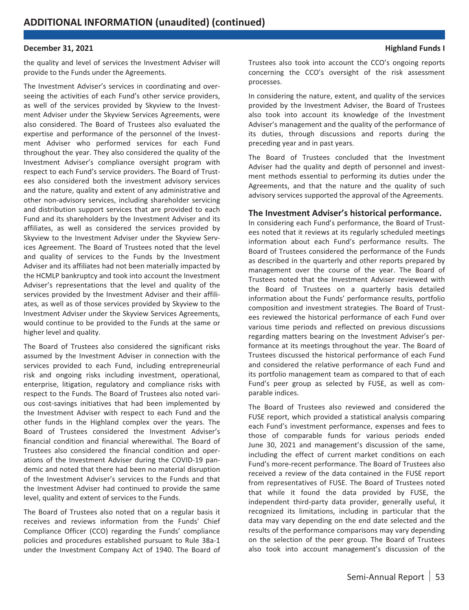the quality and level of services the Investment Adviser will provide to the Funds under the Agreements.

The Investment Adviser's services in coordinating and overseeing the activities of each Fund's other service providers, as well of the services provided by Skyview to the Investment Adviser under the Skyview Services Agreements, were also considered. The Board of Trustees also evaluated the expertise and performance of the personnel of the Investment Adviser who performed services for each Fund throughout the year. They also considered the quality of the Investment Adviser's compliance oversight program with respect to each Fund's service providers. The Board of Trustees also considered both the investment advisory services and the nature, quality and extent of any administrative and other non-advisory services, including shareholder servicing and distribution support services that are provided to each Fund and its shareholders by the Investment Adviser and its affiliates, as well as considered the services provided by Skyview to the Investment Adviser under the Skyview Services Agreement. The Board of Trustees noted that the level and quality of services to the Funds by the Investment Adviser and its affiliates had not been materially impacted by the HCMLP bankruptcy and took into account the Investment Adviser's representations that the level and quality of the services provided by the Investment Adviser and their affiliates, as well as of those services provided by Skyview to the Investment Adviser under the Skyview Services Agreements, would continue to be provided to the Funds at the same or higher level and quality.

The Board of Trustees also considered the significant risks assumed by the Investment Adviser in connection with the services provided to each Fund, including entrepreneurial risk and ongoing risks including investment, operational, enterprise, litigation, regulatory and compliance risks with respect to the Funds. The Board of Trustees also noted various cost-savings initiatives that had been implemented by the Investment Adviser with respect to each Fund and the other funds in the Highland complex over the years. The Board of Trustees considered the Investment Adviser's financial condition and financial wherewithal. The Board of Trustees also considered the financial condition and operations of the Investment Adviser during the COVID-19 pandemic and noted that there had been no material disruption of the Investment Adviser's services to the Funds and that the Investment Adviser had continued to provide the same level, quality and extent of services to the Funds.

The Board of Trustees also noted that on a regular basis it receives and reviews information from the Funds' Chief Compliance Officer (CCO) regarding the Funds' compliance policies and procedures established pursuant to Rule 38a-1 under the Investment Company Act of 1940. The Board of Trustees also took into account the CCO's ongoing reports concerning the CCO's oversight of the risk assessment processes.

In considering the nature, extent, and quality of the services provided by the Investment Adviser, the Board of Trustees also took into account its knowledge of the Investment Adviser's management and the quality of the performance of its duties, through discussions and reports during the preceding year and in past years.

The Board of Trustees concluded that the Investment Adviser had the quality and depth of personnel and investment methods essential to performing its duties under the Agreements, and that the nature and the quality of such advisory services supported the approval of the Agreements.

#### **The Investment Adviser's historical performance.**

In considering each Fund's performance, the Board of Trustees noted that it reviews at its regularly scheduled meetings information about each Fund's performance results. The Board of Trustees considered the performance of the Funds as described in the quarterly and other reports prepared by management over the course of the year. The Board of Trustees noted that the Investment Adviser reviewed with the Board of Trustees on a quarterly basis detailed information about the Funds' performance results, portfolio composition and investment strategies. The Board of Trustees reviewed the historical performance of each Fund over various time periods and reflected on previous discussions regarding matters bearing on the Investment Adviser's performance at its meetings throughout the year. The Board of Trustees discussed the historical performance of each Fund and considered the relative performance of each Fund and its portfolio management team as compared to that of each Fund's peer group as selected by FUSE, as well as comparable indices.

The Board of Trustees also reviewed and considered the FUSE report, which provided a statistical analysis comparing each Fund's investment performance, expenses and fees to those of comparable funds for various periods ended June 30, 2021 and management's discussion of the same, including the effect of current market conditions on each Fund's more-recent performance. The Board of Trustees also received a review of the data contained in the FUSE report from representatives of FUSE. The Board of Trustees noted that while it found the data provided by FUSE, the independent third-party data provider, generally useful, it recognized its limitations, including in particular that the data may vary depending on the end date selected and the results of the performance comparisons may vary depending on the selection of the peer group. The Board of Trustees also took into account management's discussion of the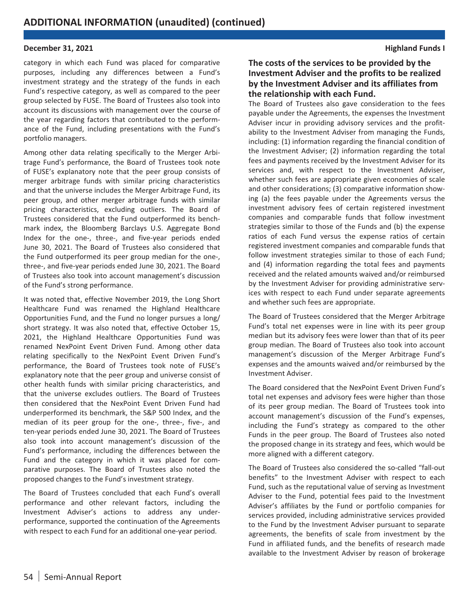category in which each Fund was placed for comparative purposes, including any differences between a Fund's investment strategy and the strategy of the funds in each Fund's respective category, as well as compared to the peer group selected by FUSE. The Board of Trustees also took into account its discussions with management over the course of the year regarding factors that contributed to the performance of the Fund, including presentations with the Fund's portfolio managers.

Among other data relating specifically to the Merger Arbitrage Fund's performance, the Board of Trustees took note of FUSE's explanatory note that the peer group consists of merger arbitrage funds with similar pricing characteristics and that the universe includes the Merger Arbitrage Fund, its peer group, and other merger arbitrage funds with similar pricing characteristics, excluding outliers. The Board of Trustees considered that the Fund outperformed its benchmark index, the Bloomberg Barclays U.S. Aggregate Bond Index for the one-, three-, and five-year periods ended June 30, 2021. The Board of Trustees also considered that the Fund outperformed its peer group median for the one-, three-, and five-year periods ended June 30, 2021. The Board of Trustees also took into account management's discussion of the Fund's strong performance.

It was noted that, effective November 2019, the Long Short Healthcare Fund was renamed the Highland Healthcare Opportunities Fund, and the Fund no longer pursues a long/ short strategy. It was also noted that, effective October 15, 2021, the Highland Healthcare Opportunities Fund was renamed NexPoint Event Driven Fund. Among other data relating specifically to the NexPoint Event Driven Fund's performance, the Board of Trustees took note of FUSE's explanatory note that the peer group and universe consist of other health funds with similar pricing characteristics, and that the universe excludes outliers. The Board of Trustees then considered that the NexPoint Event Driven Fund had underperformed its benchmark, the S&P 500 Index, and the median of its peer group for the one-, three-, five-, and ten-year periods ended June 30, 2021. The Board of Trustees also took into account management's discussion of the Fund's performance, including the differences between the Fund and the category in which it was placed for comparative purposes. The Board of Trustees also noted the proposed changes to the Fund's investment strategy.

The Board of Trustees concluded that each Fund's overall performance and other relevant factors, including the Investment Adviser's actions to address any underperformance, supported the continuation of the Agreements with respect to each Fund for an additional one-year period.

### **The costs of the services to be provided by the Investment Adviser and the profits to be realized by the Investment Adviser and its affiliates from the relationship with each Fund.**

The Board of Trustees also gave consideration to the fees payable under the Agreements, the expenses the Investment Adviser incur in providing advisory services and the profitability to the Investment Adviser from managing the Funds, including: (1) information regarding the financial condition of the Investment Adviser; (2) information regarding the total fees and payments received by the Investment Adviser for its services and, with respect to the Investment Adviser, whether such fees are appropriate given economies of scale and other considerations; (3) comparative information showing (a) the fees payable under the Agreements versus the investment advisory fees of certain registered investment companies and comparable funds that follow investment strategies similar to those of the Funds and (b) the expense ratios of each Fund versus the expense ratios of certain registered investment companies and comparable funds that follow investment strategies similar to those of each Fund; and (4) information regarding the total fees and payments received and the related amounts waived and/or reimbursed by the Investment Adviser for providing administrative services with respect to each Fund under separate agreements and whether such fees are appropriate.

The Board of Trustees considered that the Merger Arbitrage Fund's total net expenses were in line with its peer group median but its advisory fees were lower than that of its peer group median. The Board of Trustees also took into account management's discussion of the Merger Arbitrage Fund's expenses and the amounts waived and/or reimbursed by the Investment Adviser.

The Board considered that the NexPoint Event Driven Fund's total net expenses and advisory fees were higher than those of its peer group median. The Board of Trustees took into account management's discussion of the Fund's expenses, including the Fund's strategy as compared to the other Funds in the peer group. The Board of Trustees also noted the proposed change in its strategy and fees, which would be more aligned with a different category.

The Board of Trustees also considered the so-called "fall-out benefits" to the Investment Adviser with respect to each Fund, such as the reputational value of serving as Investment Adviser to the Fund, potential fees paid to the Investment Adviser's affiliates by the Fund or portfolio companies for services provided, including administrative services provided to the Fund by the Investment Adviser pursuant to separate agreements, the benefits of scale from investment by the Fund in affiliated funds, and the benefits of research made available to the Investment Adviser by reason of brokerage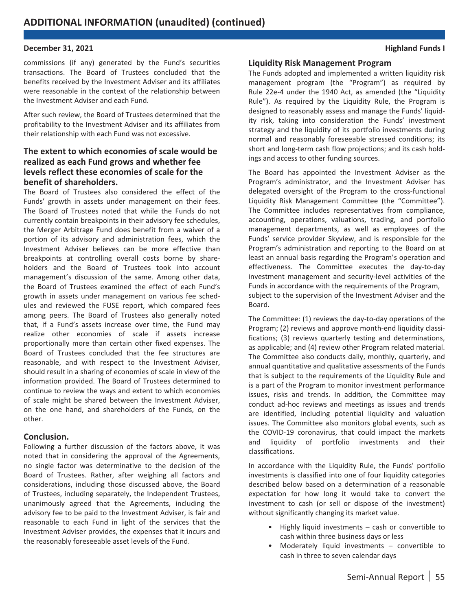commissions (if any) generated by the Fund's securities transactions. The Board of Trustees concluded that the benefits received by the Investment Adviser and its affiliates were reasonable in the context of the relationship between the Investment Adviser and each Fund.

After such review, the Board of Trustees determined that the profitability to the Investment Adviser and its affiliates from their relationship with each Fund was not excessive.

### **The extent to which economies of scale would be realized as each Fund grows and whether fee levels reflect these economies of scale for the benefit of shareholders.**

The Board of Trustees also considered the effect of the Funds' growth in assets under management on their fees. The Board of Trustees noted that while the Funds do not currently contain breakpoints in their advisory fee schedules, the Merger Arbitrage Fund does benefit from a waiver of a portion of its advisory and administration fees, which the Investment Adviser believes can be more effective than breakpoints at controlling overall costs borne by shareholders and the Board of Trustees took into account management's discussion of the same. Among other data, the Board of Trustees examined the effect of each Fund's growth in assets under management on various fee schedules and reviewed the FUSE report, which compared fees among peers. The Board of Trustees also generally noted that, if a Fund's assets increase over time, the Fund may realize other economies of scale if assets increase proportionally more than certain other fixed expenses. The Board of Trustees concluded that the fee structures are reasonable, and with respect to the Investment Adviser, should result in a sharing of economies of scale in view of the information provided. The Board of Trustees determined to continue to review the ways and extent to which economies of scale might be shared between the Investment Adviser, on the one hand, and shareholders of the Funds, on the other.

### **Conclusion.**

Following a further discussion of the factors above, it was noted that in considering the approval of the Agreements, no single factor was determinative to the decision of the Board of Trustees. Rather, after weighing all factors and considerations, including those discussed above, the Board of Trustees, including separately, the Independent Trustees, unanimously agreed that the Agreements, including the advisory fee to be paid to the Investment Adviser, is fair and reasonable to each Fund in light of the services that the Investment Adviser provides, the expenses that it incurs and the reasonably foreseeable asset levels of the Fund.

#### **Liquidity Risk Management Program**

The Funds adopted and implemented a written liquidity risk management program (the "Program") as required by Rule 22e-4 under the 1940 Act, as amended (the "Liquidity Rule"). As required by the Liquidity Rule, the Program is designed to reasonably assess and manage the Funds' liquidity risk, taking into consideration the Funds' investment strategy and the liquidity of its portfolio investments during normal and reasonably foreseeable stressed conditions; its short and long-term cash flow projections; and its cash holdings and access to other funding sources.

The Board has appointed the Investment Adviser as the Program's administrator, and the Investment Adviser has delegated oversight of the Program to the cross-functional Liquidity Risk Management Committee (the "Committee"). The Committee includes representatives from compliance, accounting, operations, valuations, trading, and portfolio management departments, as well as employees of the Funds' service provider Skyview, and is responsible for the Program's administration and reporting to the Board on at least an annual basis regarding the Program's operation and effectiveness. The Committee executes the day-to-day investment management and security-level activities of the Funds in accordance with the requirements of the Program, subject to the supervision of the Investment Adviser and the Board.

The Committee: (1) reviews the day-to-day operations of the Program; (2) reviews and approve month-end liquidity classifications; (3) reviews quarterly testing and determinations, as applicable; and (4) review other Program related material. The Committee also conducts daily, monthly, quarterly, and annual quantitative and qualitative assessments of the Funds that is subject to the requirements of the Liquidity Rule and is a part of the Program to monitor investment performance issues, risks and trends. In addition, the Committee may conduct ad-hoc reviews and meetings as issues and trends are identified, including potential liquidity and valuation issues. The Committee also monitors global events, such as the COVID-19 coronavirus, that could impact the markets and liquidity of portfolio investments and their classifications.

In accordance with the Liquidity Rule, the Funds' portfolio investments is classified into one of four liquidity categories described below based on a determination of a reasonable expectation for how long it would take to convert the investment to cash (or sell or dispose of the investment) without significantly changing its market value.

- Highly liquid investments cash or convertible to cash within three business days or less
- Moderately liquid investments convertible to cash in three to seven calendar days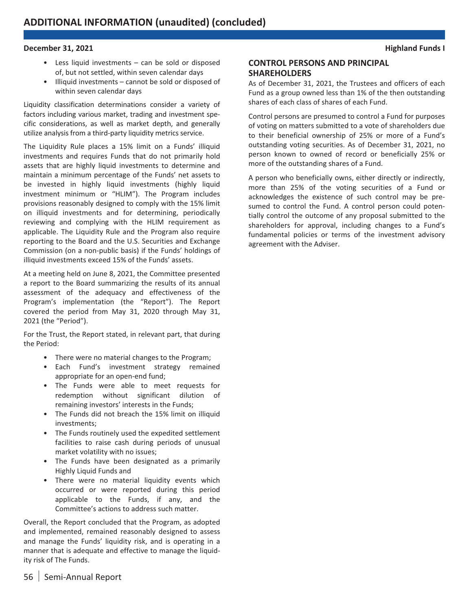- Less liquid investments can be sold or disposed of, but not settled, within seven calendar days
- Illiquid investments cannot be sold or disposed of within seven calendar days

Liquidity classification determinations consider a variety of factors including various market, trading and investment specific considerations, as well as market depth, and generally utilize analysis from a third-party liquidity metrics service.

The Liquidity Rule places a 15% limit on a Funds' illiquid investments and requires Funds that do not primarily hold assets that are highly liquid investments to determine and maintain a minimum percentage of the Funds' net assets to be invested in highly liquid investments (highly liquid investment minimum or "HLIM"). The Program includes provisions reasonably designed to comply with the 15% limit on illiquid investments and for determining, periodically reviewing and complying with the HLIM requirement as applicable. The Liquidity Rule and the Program also require reporting to the Board and the U.S. Securities and Exchange Commission (on a non-public basis) if the Funds' holdings of illiquid investments exceed 15% of the Funds' assets.

At a meeting held on June 8, 2021, the Committee presented a report to the Board summarizing the results of its annual assessment of the adequacy and effectiveness of the Program's implementation (the "Report"). The Report covered the period from May 31, 2020 through May 31, 2021 (the "Period").

For the Trust, the Report stated, in relevant part, that during the Period:

- There were no material changes to the Program;
- Each Fund's investment strategy remained appropriate for an open-end fund;
- The Funds were able to meet requests for redemption without significant dilution of remaining investors' interests in the Funds;
- The Funds did not breach the 15% limit on illiquid investments;
- The Funds routinely used the expedited settlement facilities to raise cash during periods of unusual market volatility with no issues;
- The Funds have been designated as a primarily Highly Liquid Funds and
- There were no material liquidity events which occurred or were reported during this period applicable to the Funds, if any, and the Committee's actions to address such matter.

Overall, the Report concluded that the Program, as adopted and implemented, remained reasonably designed to assess and manage the Funds' liquidity risk, and is operating in a manner that is adequate and effective to manage the liquidity risk of The Funds.

### **CONTROL PERSONS AND PRINCIPAL SHAREHOLDERS**

As of December 31, 2021, the Trustees and officers of each Fund as a group owned less than 1% of the then outstanding shares of each class of shares of each Fund.

Control persons are presumed to control a Fund for purposes of voting on matters submitted to a vote of shareholders due to their beneficial ownership of 25% or more of a Fund's outstanding voting securities. As of December 31, 2021, no person known to owned of record or beneficially 25% or more of the outstanding shares of a Fund.

A person who beneficially owns, either directly or indirectly, more than 25% of the voting securities of a Fund or acknowledges the existence of such control may be presumed to control the Fund. A control person could potentially control the outcome of any proposal submitted to the shareholders for approval, including changes to a Fund's fundamental policies or terms of the investment advisory agreement with the Adviser.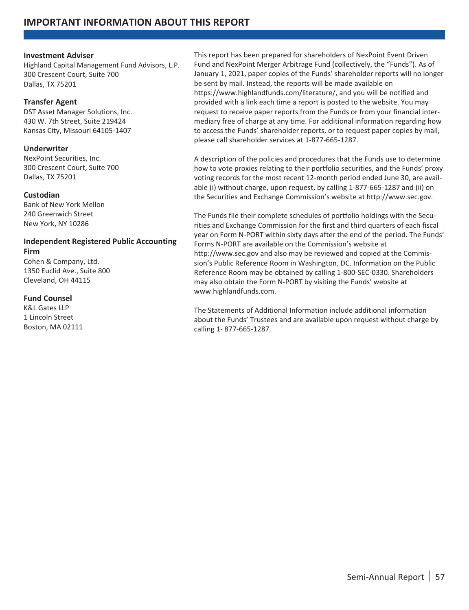#### <span id="page-58-0"></span>**Investment Adviser**

Highland Capital Management Fund Advisors, L.P. 300 Crescent Court, Suite 700 Dallas, TX 75201

#### **Transfer Agent**

DST Asset Manager Solutions, Inc. 430 W. 7th Street, Suite 219424 Kansas City, Missouri 64105-1407

#### **Underwriter**

NexPoint Securities, Inc. 300 Crescent Court, Suite 700 Dallas, TX 75201

#### **Custodian**

Bank of New York Mellon 240 Greenwich Street New York, NY 10286

### **Independent Registered Public Accounting Firm**

Cohen & Company, Ltd. 1350 Euclid Ave., Suite 800 Cleveland, OH 44115

### **Fund Counsel**

K&L Gates LLP 1 Lincoln Street Boston, MA 02111 This report has been prepared for shareholders of NexPoint Event Driven Fund and NexPoint Merger Arbitrage Fund (collectively, the "Funds"). As of January 1, 2021, paper copies of the Funds' shareholder reports will no longer be sent by mail. Instead, the reports will be made available on https://www.highlandfunds.com/literature/, and you will be notified and provided with a link each time a report is posted to the website. You may request to receive paper reports from the Funds or from your financial intermediary free of charge at any time. For additional information regarding how to access the Funds' shareholder reports, or to request paper copies by mail, please call shareholder services at 1-877-665-1287.

A description of the policies and procedures that the Funds use to determine how to vote proxies relating to their portfolio securities, and the Funds' proxy voting records for the most recent 12-month period ended June 30, are available (i) without charge, upon request, by calling 1-877-665-1287 and (ii) on the Securities and Exchange Commission's website at http://www.sec.gov.

The Funds file their complete schedules of portfolio holdings with the Securities and Exchange Commission for the first and third quarters of each fiscal year on Form N-PORT within sixty days after the end of the period. The Funds' Forms N-PORT are available on the Commission's website at http://www.sec.gov and also may be reviewed and copied at the Commission's Public Reference Room in Washington, DC. Information on the Public Reference Room may be obtained by calling 1-800-SEC-0330. Shareholders may also obtain the Form N-PORT by visiting the Funds' website at www.highlandfunds.com.

The Statements of Additional Information include additional information about the Funds' Trustees and are available upon request without charge by calling 1- 877-665-1287.